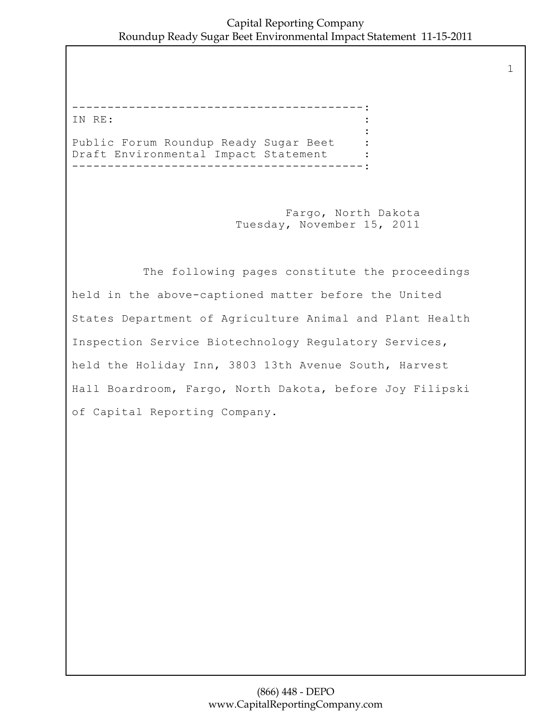1

-----------------------------------------: IN RE: : the contract of the contract of the contract of the contract of the contract of the contract of the contract of Public Forum Roundup Ready Sugar Beet :<br>Draft Environmental Impact Statement : Draft Environmental Impact Statement -----------------------------------------:

> Fargo, North Dakota Tuesday, November 15, 2011

 The following pages constitute the proceedings held in the above-captioned matter before the United States Department of Agriculture Animal and Plant Health Inspection Service Biotechnology Regulatory Services, held the Holiday Inn, 3803 13th Avenue South, Harvest Hall Boardroom, Fargo, North Dakota, before Joy Filipski of Capital Reporting Company.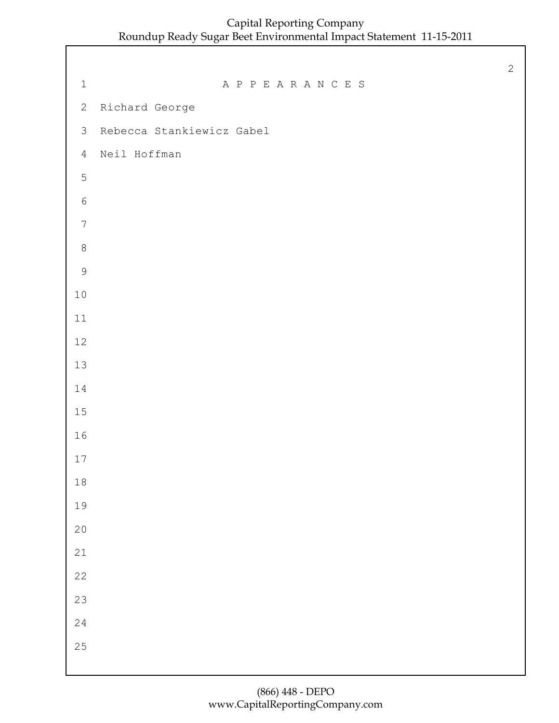1 A P P E A R A N C E S Richard George Rebecca Stankiewicz Gabel Neil Hoffman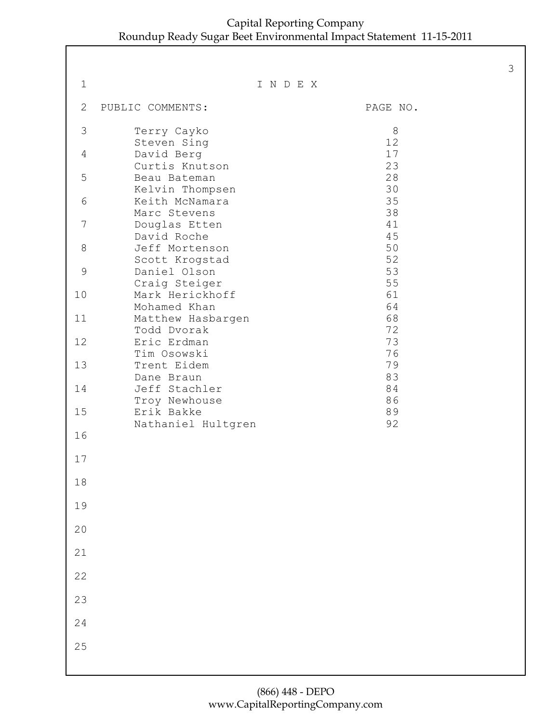| $\mathbf 1$ |                                  | INDEX    |
|-------------|----------------------------------|----------|
| 2           | PUBLIC COMMENTS:                 | PAGE NO. |
| 3           | Terry Cayko<br>Steven Sing       | 8<br>12  |
| 4           | David Berg<br>Curtis Knutson     | 17<br>23 |
| 5           | Beau Bateman<br>Kelvin Thompsen  | 28<br>30 |
| 6           | Keith McNamara<br>Marc Stevens   | 35<br>38 |
| 7           | Douglas Etten<br>David Roche     | 41<br>45 |
| 8           | Jeff Mortenson<br>Scott Krogstad | 50<br>52 |
| $\mathsf 9$ | Daniel Olson<br>Craig Steiger    | 53<br>55 |
| 10          | Mark Herickhoff<br>Mohamed Khan  | 61<br>64 |
| 11          | Matthew Hasbargen<br>Todd Dvorak | 68<br>72 |
| 12          | Eric Erdman<br>Tim Osowski       | 73<br>76 |
| 13          | Trent Eidem<br>Dane Braun        | 79<br>83 |
| 14          | Jeff Stachler<br>Troy Newhouse   | 84<br>86 |
| 15          | Erik Bakke<br>Nathaniel Hultgren | 89<br>92 |
| 16          |                                  |          |
| 17          |                                  |          |
| 18          |                                  |          |
| 19          |                                  |          |
| 20          |                                  |          |
| 21          |                                  |          |
| 22          |                                  |          |
| 23          |                                  |          |
| 24          |                                  |          |
| 25          |                                  |          |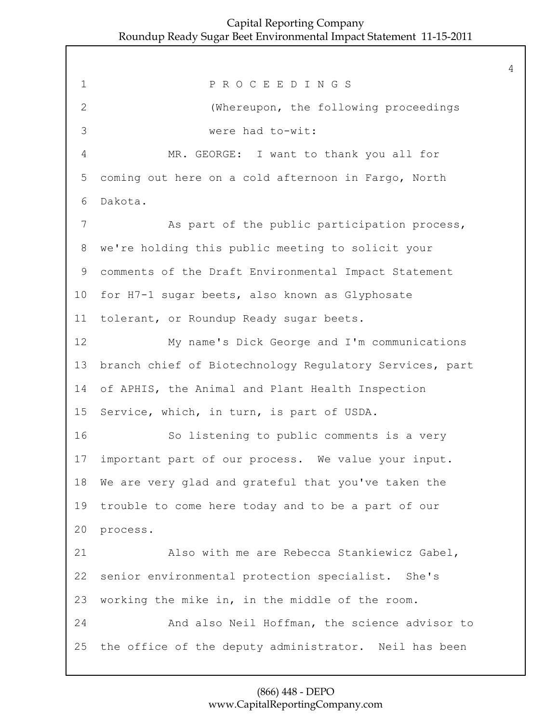1 P R O C E E D I N G S 2 (Whereupon, the following proceedings 3 were had to-wit: 4 MR. GEORGE: I want to thank you all for 5 coming out here on a cold afternoon in Fargo, North 6 Dakota. 7 As part of the public participation process, 8 we're holding this public meeting to solicit your 9 comments of the Draft Environmental Impact Statement 10 for H7-1 sugar beets, also known as Glyphosate 11 tolerant, or Roundup Ready sugar beets. 12 My name's Dick George and I'm communications 13 branch chief of Biotechnology Regulatory Services, part 14 of APHIS, the Animal and Plant Health Inspection 15 Service, which, in turn, is part of USDA. 16 So listening to public comments is a very 17 important part of our process. We value your input. 18 We are very glad and grateful that you've taken the 19 trouble to come here today and to be a part of our 20 process. 21 Also with me are Rebecca Stankiewicz Gabel, 22 senior environmental protection specialist. She's 23 working the mike in, in the middle of the room. 24 And also Neil Hoffman, the science advisor to 25 the office of the deputy administrator. Neil has been

# (866) 448 - DEPO www.CapitalReportingCompany.com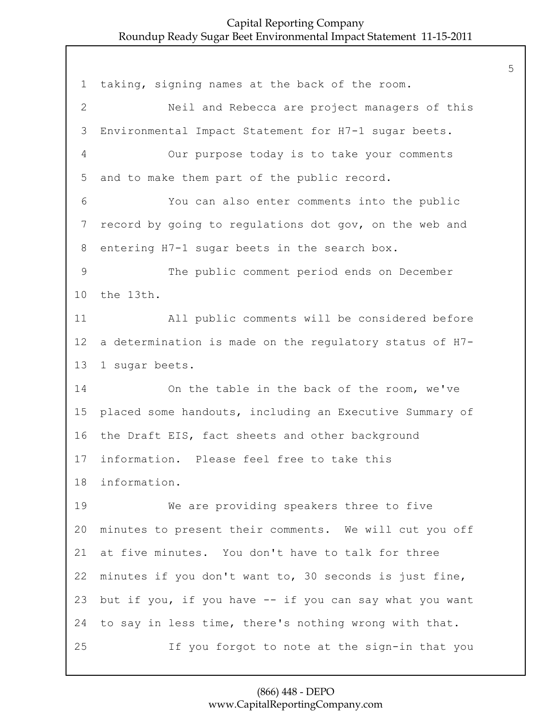taking, signing names at the back of the room. 2 Neil and Rebecca are project managers of this Environmental Impact Statement for H7-1 sugar beets. 4 Our purpose today is to take your comments and to make them part of the public record. 6 You can also enter comments into the public record by going to regulations dot gov, on the web and entering H7-1 sugar beets in the search box. 9 The public comment period ends on December the 13th. 11 All public comments will be considered before a determination is made on the regulatory status of H7- 1 sugar beets. 14 On the table in the back of the room, we've placed some handouts, including an Executive Summary of the Draft EIS, fact sheets and other background information. Please feel free to take this information. 19 We are providing speakers three to five minutes to present their comments. We will cut you off at five minutes. You don't have to talk for three minutes if you don't want to, 30 seconds is just fine, but if you, if you have -- if you can say what you want to say in less time, there's nothing wrong with that. 25 If you forgot to note at the sign-in that you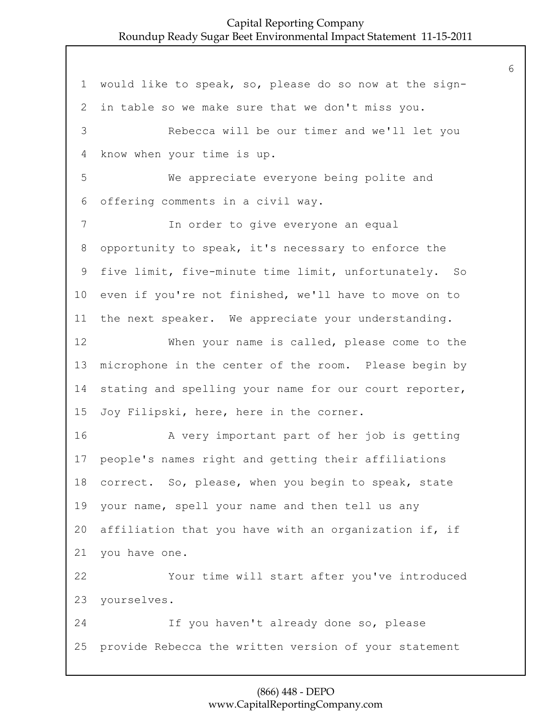would like to speak, so, please do so now at the sign- in table so we make sure that we don't miss you. 3 Rebecca will be our timer and we'll let you know when your time is up. 5 We appreciate everyone being polite and offering comments in a civil way. 7 In order to give everyone an equal opportunity to speak, it's necessary to enforce the five limit, five-minute time limit, unfortunately. So even if you're not finished, we'll have to move on to the next speaker. We appreciate your understanding. 12 When your name is called, please come to the microphone in the center of the room. Please begin by stating and spelling your name for our court reporter, Joy Filipski, here, here in the corner. 16 A very important part of her job is getting people's names right and getting their affiliations correct. So, please, when you begin to speak, state your name, spell your name and then tell us any affiliation that you have with an organization if, if you have one. 22 Your time will start after you've introduced yourselves. 24 If you haven't already done so, please provide Rebecca the written version of your statement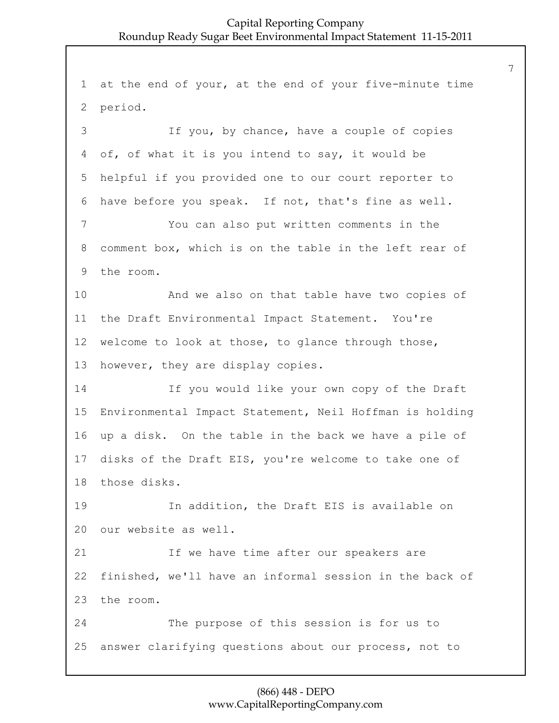at the end of your, at the end of your five-minute time period. 3 If you, by chance, have a couple of copies of, of what it is you intend to say, it would be helpful if you provided one to our court reporter to have before you speak. If not, that's fine as well. 7 You can also put written comments in the comment box, which is on the table in the left rear of the room. 10 And we also on that table have two copies of the Draft Environmental Impact Statement. You're welcome to look at those, to glance through those, however, they are display copies. 14 If you would like your own copy of the Draft Environmental Impact Statement, Neil Hoffman is holding up a disk. On the table in the back we have a pile of disks of the Draft EIS, you're welcome to take one of those disks. 19 In addition, the Draft EIS is available on our website as well. 21 If we have time after our speakers are finished, we'll have an informal session in the back of the room. 24 The purpose of this session is for us to answer clarifying questions about our process, not to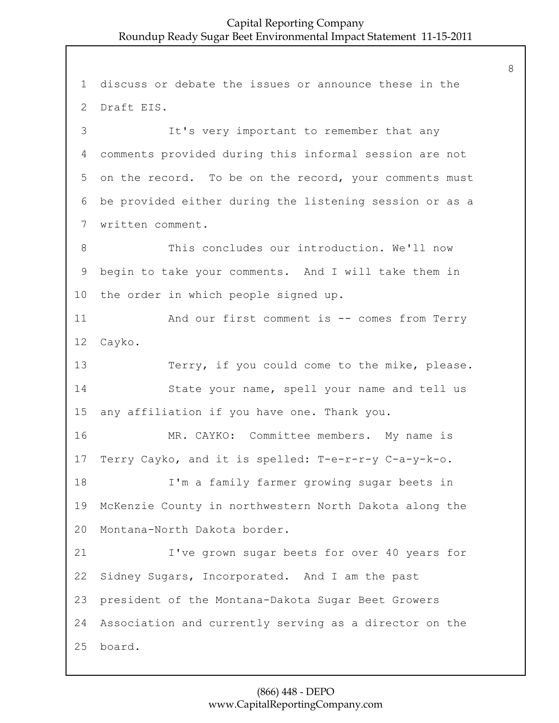1 discuss or debate the issues or announce these in the 2 Draft EIS. 3 It's very important to remember that any 4 comments provided during this informal session are not 5 on the record. To be on the record, your comments must 6 be provided either during the listening session or as a 7 written comment. 8 This concludes our introduction. We'll now 9 begin to take your comments. And I will take them in 10 the order in which people signed up. 11 And our first comment is -- comes from Terry 12 Cayko. 13 Terry, if you could come to the mike, please. 14 State your name, spell your name and tell us 15 any affiliation if you have one. Thank you. 16 MR. CAYKO: Committee members. My name is 17 Terry Cayko, and it is spelled: T-e-r-r-y C-a-y-k-o. 18 I'm a family farmer growing sugar beets in 19 McKenzie County in northwestern North Dakota along the 20 Montana-North Dakota border. 21 I've grown sugar beets for over 40 years for 22 Sidney Sugars, Incorporated. And I am the past 23 president of the Montana-Dakota Sugar Beet Growers 24 Association and currently serving as a director on the 25 board.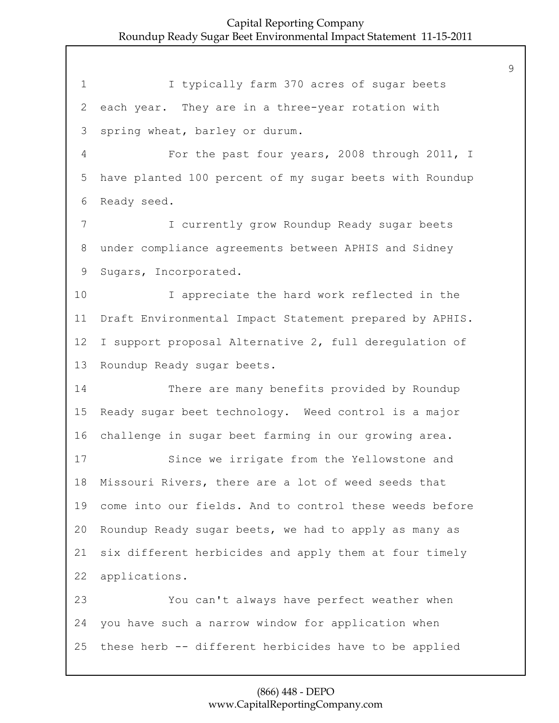1 I typically farm 370 acres of sugar beets each year. They are in a three-year rotation with spring wheat, barley or durum. 4 For the past four years, 2008 through 2011, I have planted 100 percent of my sugar beets with Roundup Ready seed. 7 I currently grow Roundup Ready sugar beets under compliance agreements between APHIS and Sidney Sugars, Incorporated. 10 I appreciate the hard work reflected in the Draft Environmental Impact Statement prepared by APHIS. I support proposal Alternative 2, full deregulation of Roundup Ready sugar beets. 14 There are many benefits provided by Roundup Ready sugar beet technology. Weed control is a major challenge in sugar beet farming in our growing area. 17 Since we irrigate from the Yellowstone and Missouri Rivers, there are a lot of weed seeds that come into our fields. And to control these weeds before Roundup Ready sugar beets, we had to apply as many as six different herbicides and apply them at four timely applications. 23 You can't always have perfect weather when you have such a narrow window for application when these herb -- different herbicides have to be applied

#### (866) 448 - DEPO www.CapitalReportingCompany.com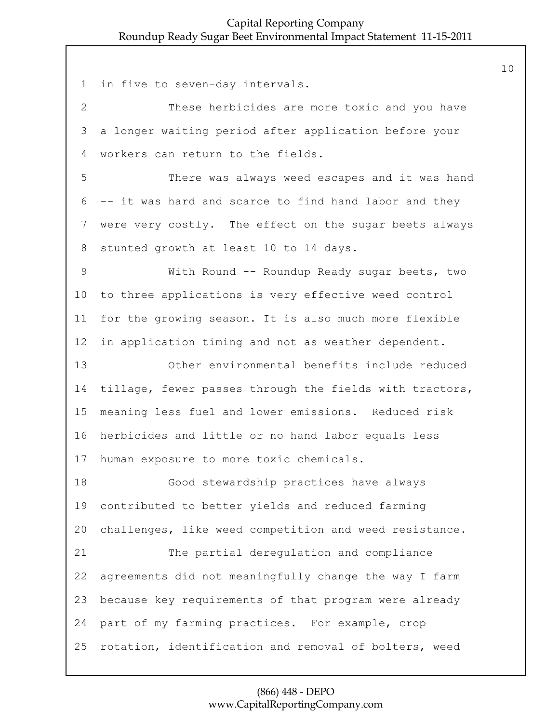in five to seven-day intervals. 2 These herbicides are more toxic and you have a longer waiting period after application before your workers can return to the fields. 5 There was always weed escapes and it was hand -- it was hard and scarce to find hand labor and they were very costly. The effect on the sugar beets always stunted growth at least 10 to 14 days. 9 With Round -- Roundup Ready sugar beets, two to three applications is very effective weed control for the growing season. It is also much more flexible in application timing and not as weather dependent. 13 Other environmental benefits include reduced tillage, fewer passes through the fields with tractors, meaning less fuel and lower emissions. Reduced risk herbicides and little or no hand labor equals less human exposure to more toxic chemicals. 18 Good stewardship practices have always contributed to better yields and reduced farming challenges, like weed competition and weed resistance. 21 The partial deregulation and compliance agreements did not meaningfully change the way I farm because key requirements of that program were already part of my farming practices. For example, crop rotation, identification and removal of bolters, weed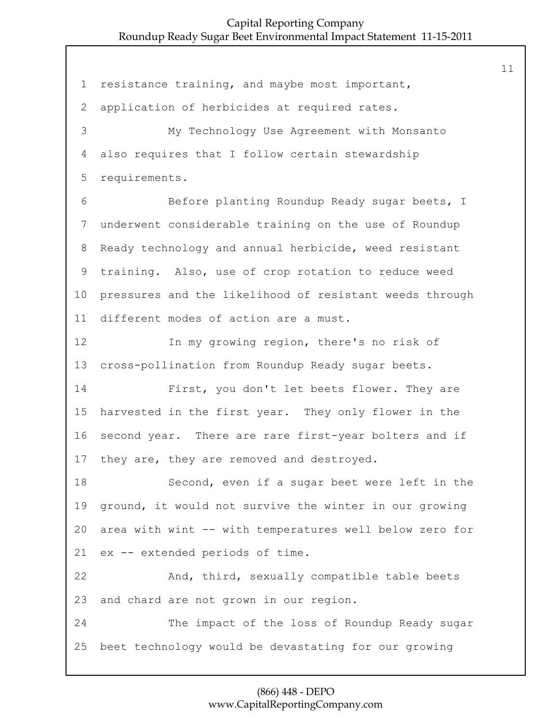resistance training, and maybe most important, application of herbicides at required rates. 3 My Technology Use Agreement with Monsanto also requires that I follow certain stewardship requirements. 6 Before planting Roundup Ready sugar beets, I underwent considerable training on the use of Roundup Ready technology and annual herbicide, weed resistant training. Also, use of crop rotation to reduce weed pressures and the likelihood of resistant weeds through different modes of action are a must. 12 In my growing region, there's no risk of cross-pollination from Roundup Ready sugar beets. 14 First, you don't let beets flower. They are harvested in the first year. They only flower in the second year. There are rare first-year bolters and if 17 they are, they are removed and destroyed. 18 Second, even if a sugar beet were left in the ground, it would not survive the winter in our growing area with wint -- with temperatures well below zero for ex -- extended periods of time. 22 And, third, sexually compatible table beets and chard are not grown in our region. 24 The impact of the loss of Roundup Ready sugar beet technology would be devastating for our growing

## (866) 448 - DEPO www.CapitalReportingCompany.com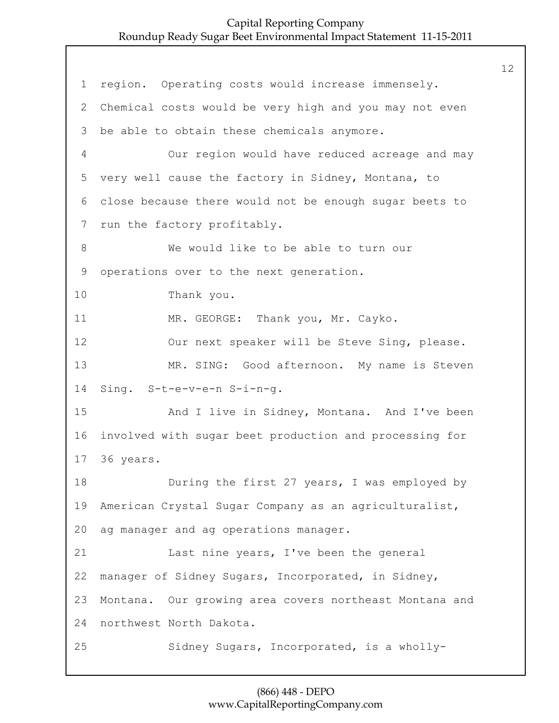1 region. Operating costs would increase immensely. 2 Chemical costs would be very high and you may not even 3 be able to obtain these chemicals anymore. 4 Our region would have reduced acreage and may 5 very well cause the factory in Sidney, Montana, to 6 close because there would not be enough sugar beets to 7 run the factory profitably. 8 We would like to be able to turn our 9 operations over to the next generation. 10 Thank you. 11 MR. GEORGE: Thank you, Mr. Cayko. 12 Our next speaker will be Steve Sing, please. 13 MR. SING: Good afternoon. My name is Steven 14 Sing. S-t-e-v-e-n S-i-n-g. 15 And I live in Sidney, Montana. And I've been 16 involved with sugar beet production and processing for 17 36 years. 18 During the first 27 years, I was employed by 19 American Crystal Sugar Company as an agriculturalist, 20 ag manager and ag operations manager. 21 Last nine years, I've been the general 22 manager of Sidney Sugars, Incorporated, in Sidney, 23 Montana. Our growing area covers northeast Montana and 24 northwest North Dakota. 25 Sidney Sugars, Incorporated, is a wholly-

#### (866) 448 - DEPO www.CapitalReportingCompany.com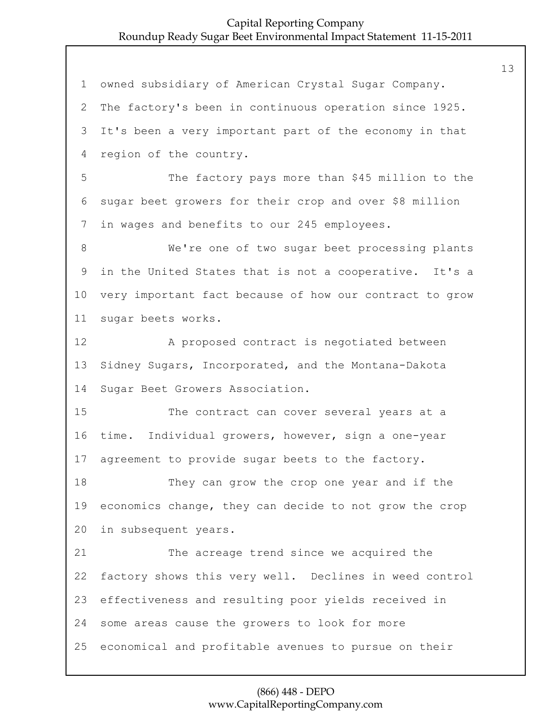owned subsidiary of American Crystal Sugar Company. The factory's been in continuous operation since 1925. It's been a very important part of the economy in that region of the country. 5 The factory pays more than \$45 million to the sugar beet growers for their crop and over \$8 million in wages and benefits to our 245 employees. 8 We're one of two sugar beet processing plants in the United States that is not a cooperative. It's a very important fact because of how our contract to grow sugar beets works. 12 A proposed contract is negotiated between Sidney Sugars, Incorporated, and the Montana-Dakota Sugar Beet Growers Association. 15 The contract can cover several years at a time. Individual growers, however, sign a one-year agreement to provide sugar beets to the factory. 18 They can grow the crop one year and if the economics change, they can decide to not grow the crop in subsequent years. 21 The acreage trend since we acquired the factory shows this very well. Declines in weed control effectiveness and resulting poor yields received in some areas cause the growers to look for more economical and profitable avenues to pursue on their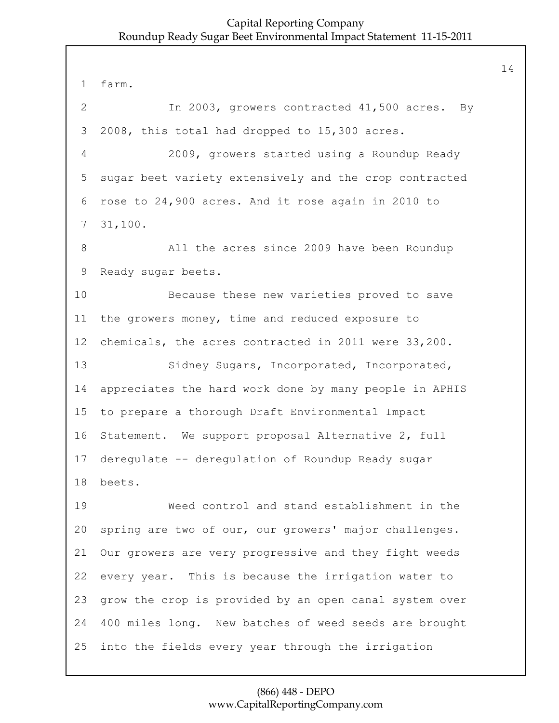farm. 2 In 2003, growers contracted 41,500 acres. By 2008, this total had dropped to 15,300 acres. 4 2009, growers started using a Roundup Ready sugar beet variety extensively and the crop contracted rose to 24,900 acres. And it rose again in 2010 to 31,100. 8 All the acres since 2009 have been Roundup Ready sugar beets. 10 Because these new varieties proved to save the growers money, time and reduced exposure to chemicals, the acres contracted in 2011 were 33,200. 13 Sidney Sugars, Incorporated, Incorporated, appreciates the hard work done by many people in APHIS to prepare a thorough Draft Environmental Impact Statement. We support proposal Alternative 2, full deregulate -- deregulation of Roundup Ready sugar beets. 19 Weed control and stand establishment in the spring are two of our, our growers' major challenges. Our growers are very progressive and they fight weeds every year. This is because the irrigation water to grow the crop is provided by an open canal system over 400 miles long. New batches of weed seeds are brought into the fields every year through the irrigation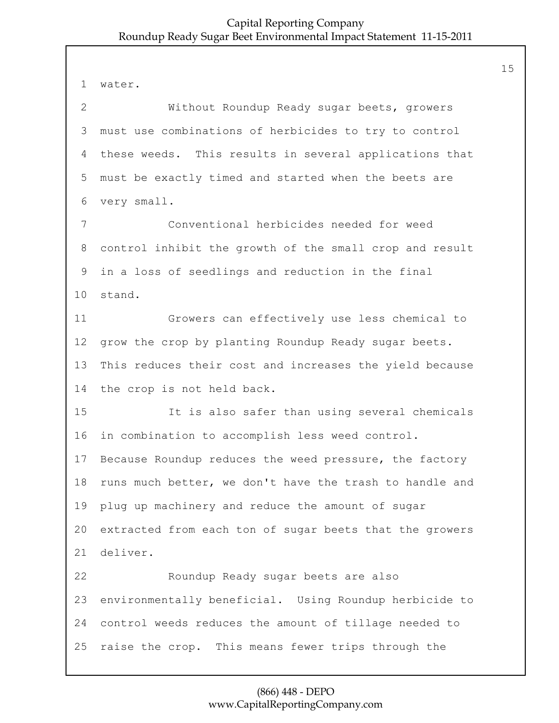water. 2 Without Roundup Ready sugar beets, growers must use combinations of herbicides to try to control these weeds. This results in several applications that must be exactly timed and started when the beets are very small. 7 Conventional herbicides needed for weed control inhibit the growth of the small crop and result in a loss of seedlings and reduction in the final stand. 11 Growers can effectively use less chemical to grow the crop by planting Roundup Ready sugar beets. This reduces their cost and increases the yield because the crop is not held back. 15 It is also safer than using several chemicals in combination to accomplish less weed control. Because Roundup reduces the weed pressure, the factory runs much better, we don't have the trash to handle and plug up machinery and reduce the amount of sugar extracted from each ton of sugar beets that the growers deliver. 22 Roundup Ready sugar beets are also environmentally beneficial. Using Roundup herbicide to control weeds reduces the amount of tillage needed to raise the crop. This means fewer trips through the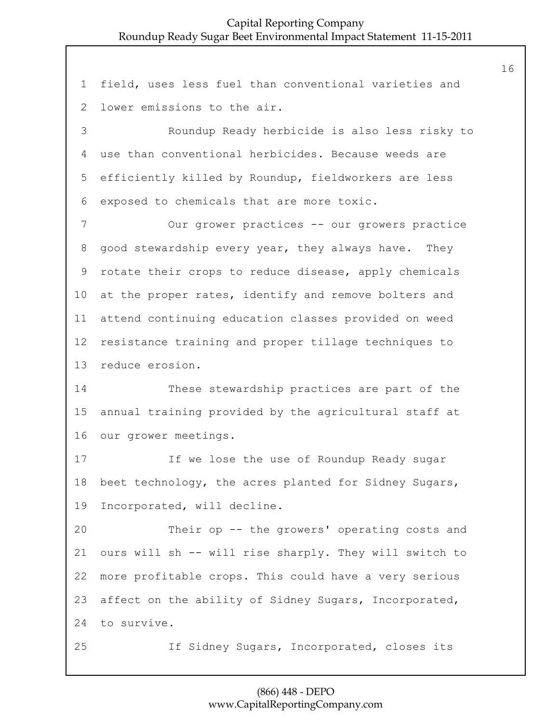field, uses less fuel than conventional varieties and lower emissions to the air.

3 Roundup Ready herbicide is also less risky to use than conventional herbicides. Because weeds are efficiently killed by Roundup, fieldworkers are less exposed to chemicals that are more toxic.

7 Our grower practices -- our growers practice good stewardship every year, they always have. They rotate their crops to reduce disease, apply chemicals at the proper rates, identify and remove bolters and attend continuing education classes provided on weed resistance training and proper tillage techniques to reduce erosion.

14 These stewardship practices are part of the annual training provided by the agricultural staff at our grower meetings.

17 If we lose the use of Roundup Ready sugar beet technology, the acres planted for Sidney Sugars, Incorporated, will decline.

20 Their op -- the growers' operating costs and ours will sh -- will rise sharply. They will switch to more profitable crops. This could have a very serious affect on the ability of Sidney Sugars, Incorporated, to survive.

25 If Sidney Sugars, Incorporated, closes its

# (866) 448 - DEPO www.CapitalReportingCompany.com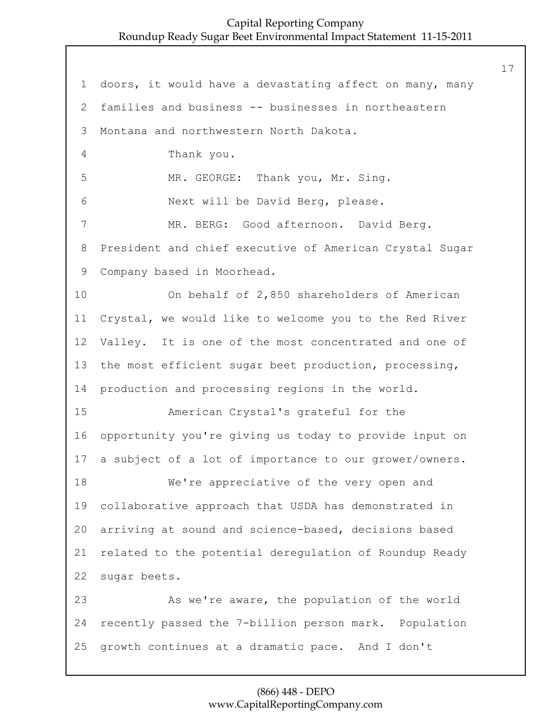doors, it would have a devastating affect on many, many families and business -- businesses in northeastern Montana and northwestern North Dakota. 4 Thank you. 5 MR. GEORGE: Thank you, Mr. Sing. 6 Next will be David Berg, please. 7 MR. BERG: Good afternoon. David Berg. President and chief executive of American Crystal Sugar Company based in Moorhead. 10 On behalf of 2,850 shareholders of American Crystal, we would like to welcome you to the Red River Valley. It is one of the most concentrated and one of the most efficient sugar beet production, processing, production and processing regions in the world. 15 American Crystal's grateful for the opportunity you're giving us today to provide input on a subject of a lot of importance to our grower/owners. 18 We're appreciative of the very open and collaborative approach that USDA has demonstrated in arriving at sound and science-based, decisions based related to the potential deregulation of Roundup Ready sugar beets. 23 As we're aware, the population of the world recently passed the 7-billion person mark. Population growth continues at a dramatic pace. And I don't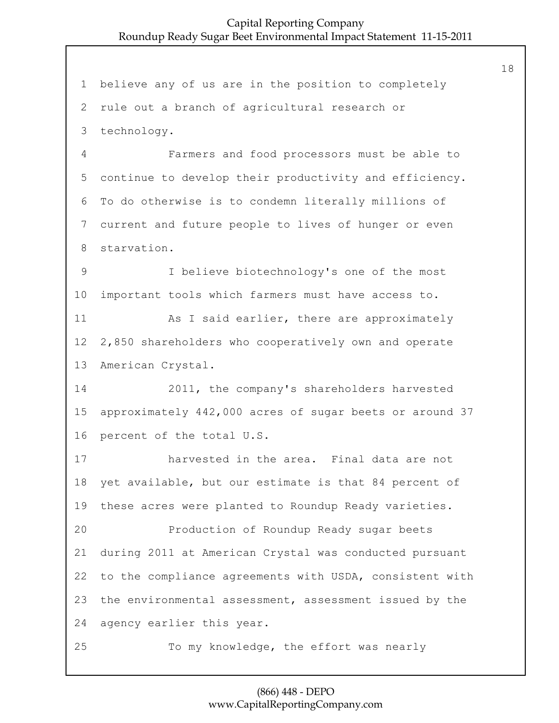believe any of us are in the position to completely rule out a branch of agricultural research or technology. 4 Farmers and food processors must be able to continue to develop their productivity and efficiency. To do otherwise is to condemn literally millions of current and future people to lives of hunger or even starvation. 9 I believe biotechnology's one of the most important tools which farmers must have access to. 11 As I said earlier, there are approximately 2,850 shareholders who cooperatively own and operate American Crystal. 14 2011, the company's shareholders harvested approximately 442,000 acres of sugar beets or around 37 percent of the total U.S. 17 harvested in the area. Final data are not yet available, but our estimate is that 84 percent of these acres were planted to Roundup Ready varieties. 20 Production of Roundup Ready sugar beets during 2011 at American Crystal was conducted pursuant to the compliance agreements with USDA, consistent with the environmental assessment, assessment issued by the agency earlier this year. 25 To my knowledge, the effort was nearly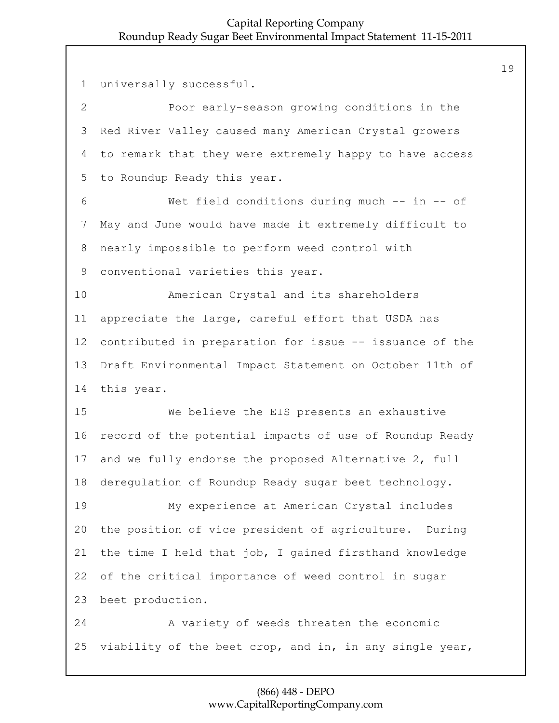universally successful. 2 Poor early-season growing conditions in the Red River Valley caused many American Crystal growers to remark that they were extremely happy to have access to Roundup Ready this year. 6 Wet field conditions during much -- in -- of May and June would have made it extremely difficult to nearly impossible to perform weed control with conventional varieties this year. 10 American Crystal and its shareholders appreciate the large, careful effort that USDA has contributed in preparation for issue -- issuance of the Draft Environmental Impact Statement on October 11th of this year. 15 We believe the EIS presents an exhaustive record of the potential impacts of use of Roundup Ready and we fully endorse the proposed Alternative 2, full deregulation of Roundup Ready sugar beet technology. 19 My experience at American Crystal includes the position of vice president of agriculture. During the time I held that job, I gained firsthand knowledge of the critical importance of weed control in sugar beet production. 24 A variety of weeds threaten the economic viability of the beet crop, and in, in any single year,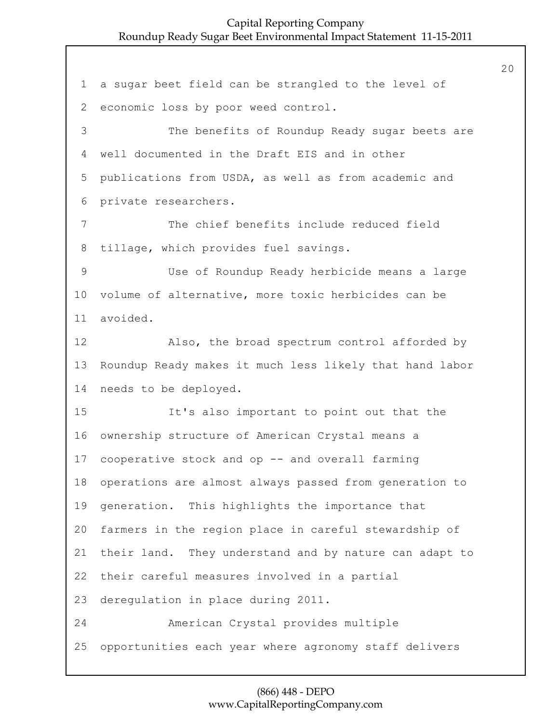a sugar beet field can be strangled to the level of economic loss by poor weed control. 3 The benefits of Roundup Ready sugar beets are well documented in the Draft EIS and in other publications from USDA, as well as from academic and private researchers. 7 The chief benefits include reduced field tillage, which provides fuel savings. 9 Use of Roundup Ready herbicide means a large volume of alternative, more toxic herbicides can be avoided. 12 Also, the broad spectrum control afforded by Roundup Ready makes it much less likely that hand labor needs to be deployed. 15 It's also important to point out that the ownership structure of American Crystal means a cooperative stock and op -- and overall farming operations are almost always passed from generation to generation. This highlights the importance that farmers in the region place in careful stewardship of their land. They understand and by nature can adapt to their careful measures involved in a partial deregulation in place during 2011. 24 American Crystal provides multiple opportunities each year where agronomy staff delivers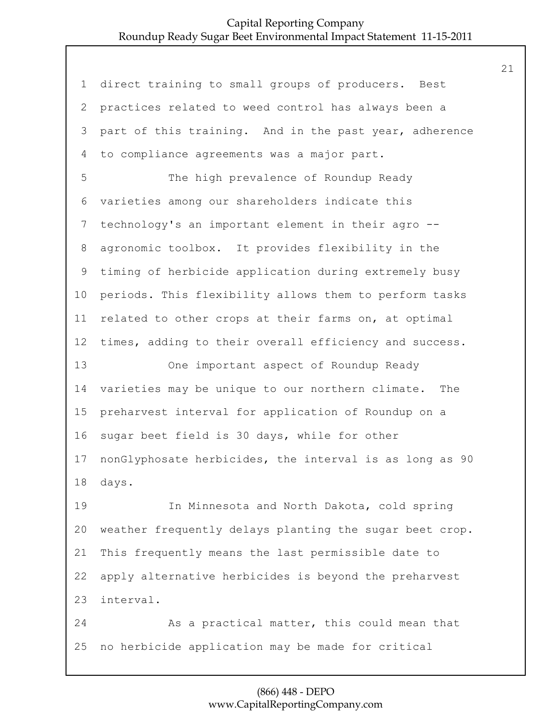direct training to small groups of producers. Best practices related to weed control has always been a part of this training. And in the past year, adherence to compliance agreements was a major part. 5 The high prevalence of Roundup Ready varieties among our shareholders indicate this technology's an important element in their agro -- agronomic toolbox. It provides flexibility in the timing of herbicide application during extremely busy periods. This flexibility allows them to perform tasks related to other crops at their farms on, at optimal times, adding to their overall efficiency and success. 13 One important aspect of Roundup Ready varieties may be unique to our northern climate. The preharvest interval for application of Roundup on a sugar beet field is 30 days, while for other nonGlyphosate herbicides, the interval is as long as 90 days. 19 In Minnesota and North Dakota, cold spring weather frequently delays planting the sugar beet crop. This frequently means the last permissible date to apply alternative herbicides is beyond the preharvest interval. 24 As a practical matter, this could mean that no herbicide application may be made for critical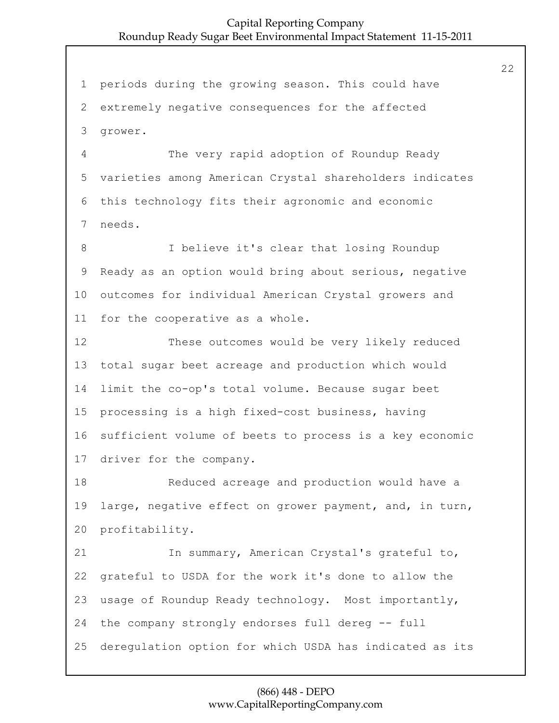periods during the growing season. This could have extremely negative consequences for the affected grower. 4 The very rapid adoption of Roundup Ready varieties among American Crystal shareholders indicates this technology fits their agronomic and economic needs. 8 I believe it's clear that losing Roundup Ready as an option would bring about serious, negative outcomes for individual American Crystal growers and for the cooperative as a whole. 12 These outcomes would be very likely reduced total sugar beet acreage and production which would limit the co-op's total volume. Because sugar beet processing is a high fixed-cost business, having sufficient volume of beets to process is a key economic driver for the company. 18 Reduced acreage and production would have a large, negative effect on grower payment, and, in turn, profitability. 21 In summary, American Crystal's grateful to, grateful to USDA for the work it's done to allow the usage of Roundup Ready technology. Most importantly, the company strongly endorses full dereg -- full deregulation option for which USDA has indicated as its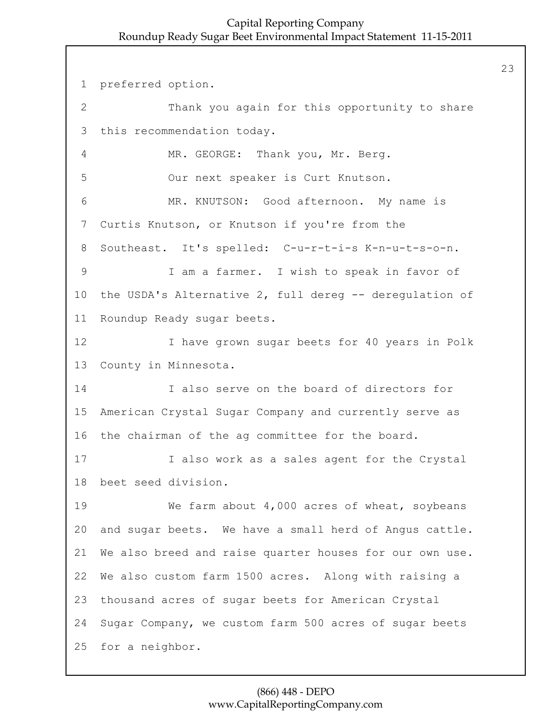preferred option. 2 Thank you again for this opportunity to share this recommendation today. 4 MR. GEORGE: Thank you, Mr. Berg. 5 Our next speaker is Curt Knutson. 6 MR. KNUTSON: Good afternoon. My name is Curtis Knutson, or Knutson if you're from the Southeast. It's spelled: C-u-r-t-i-s K-n-u-t-s-o-n. 9 I am a farmer. I wish to speak in favor of the USDA's Alternative 2, full dereg -- deregulation of Roundup Ready sugar beets. 12 I have grown sugar beets for 40 years in Polk County in Minnesota. 14 I also serve on the board of directors for American Crystal Sugar Company and currently serve as the chairman of the ag committee for the board. 17 I also work as a sales agent for the Crystal beet seed division. 19 We farm about 4,000 acres of wheat, soybeans and sugar beets. We have a small herd of Angus cattle. We also breed and raise quarter houses for our own use. We also custom farm 1500 acres. Along with raising a thousand acres of sugar beets for American Crystal Sugar Company, we custom farm 500 acres of sugar beets for a neighbor.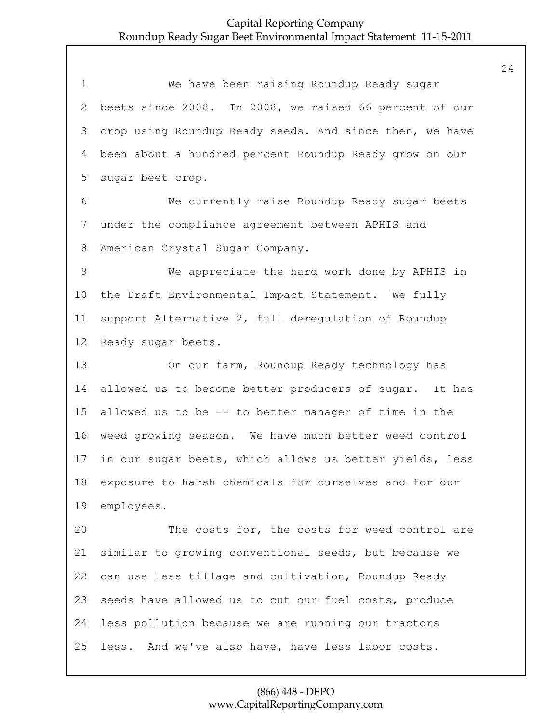1 We have been raising Roundup Ready sugar beets since 2008. In 2008, we raised 66 percent of our crop using Roundup Ready seeds. And since then, we have been about a hundred percent Roundup Ready grow on our sugar beet crop. 6 We currently raise Roundup Ready sugar beets under the compliance agreement between APHIS and American Crystal Sugar Company. 9 We appreciate the hard work done by APHIS in the Draft Environmental Impact Statement. We fully support Alternative 2, full deregulation of Roundup Ready sugar beets. 13 On our farm, Roundup Ready technology has allowed us to become better producers of sugar. It has allowed us to be -- to better manager of time in the weed growing season. We have much better weed control in our sugar beets, which allows us better yields, less exposure to harsh chemicals for ourselves and for our employees. 20 The costs for, the costs for weed control are similar to growing conventional seeds, but because we can use less tillage and cultivation, Roundup Ready seeds have allowed us to cut our fuel costs, produce less pollution because we are running our tractors less. And we've also have, have less labor costs.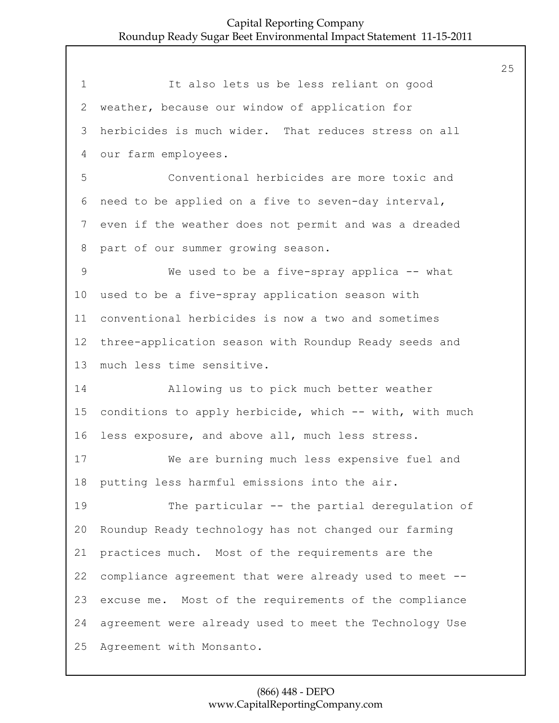1 It also lets us be less reliant on good weather, because our window of application for herbicides is much wider. That reduces stress on all our farm employees. 5 Conventional herbicides are more toxic and need to be applied on a five to seven-day interval, even if the weather does not permit and was a dreaded part of our summer growing season. 9 We used to be a five-spray applica -- what used to be a five-spray application season with conventional herbicides is now a two and sometimes three-application season with Roundup Ready seeds and much less time sensitive. 14 Allowing us to pick much better weather conditions to apply herbicide, which -- with, with much less exposure, and above all, much less stress. 17 We are burning much less expensive fuel and putting less harmful emissions into the air. 19 The particular -- the partial deregulation of Roundup Ready technology has not changed our farming practices much. Most of the requirements are the compliance agreement that were already used to meet -- excuse me. Most of the requirements of the compliance agreement were already used to meet the Technology Use Agreement with Monsanto.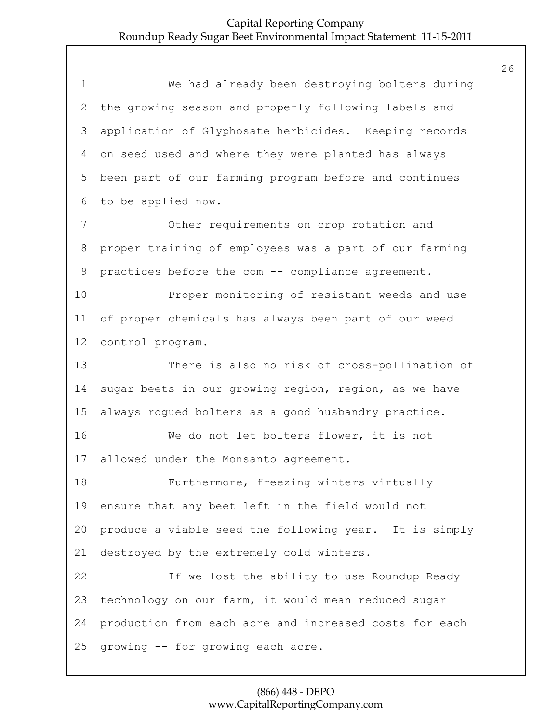1 We had already been destroying bolters during the growing season and properly following labels and application of Glyphosate herbicides. Keeping records on seed used and where they were planted has always been part of our farming program before and continues to be applied now. 7 Other requirements on crop rotation and proper training of employees was a part of our farming practices before the com -- compliance agreement. 10 Proper monitoring of resistant weeds and use of proper chemicals has always been part of our weed control program. 13 There is also no risk of cross-pollination of sugar beets in our growing region, region, as we have always rogued bolters as a good husbandry practice. 16 We do not let bolters flower, it is not allowed under the Monsanto agreement. 18 Furthermore, freezing winters virtually ensure that any beet left in the field would not produce a viable seed the following year. It is simply destroyed by the extremely cold winters. 22 If we lost the ability to use Roundup Ready technology on our farm, it would mean reduced sugar production from each acre and increased costs for each growing -- for growing each acre.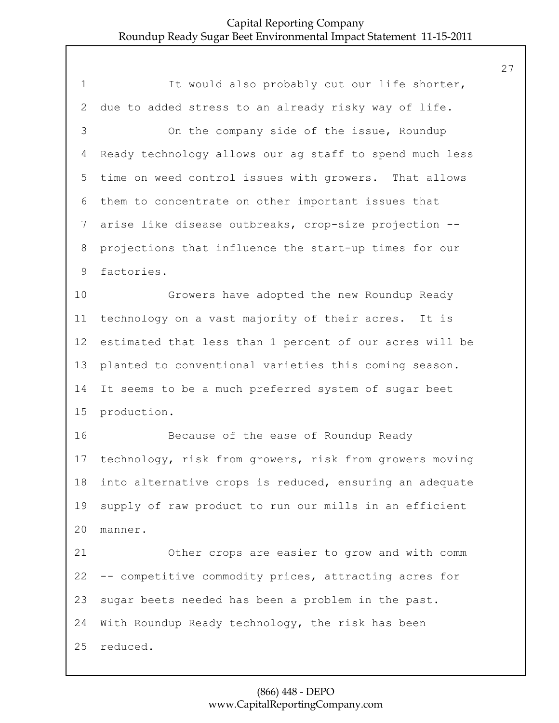1 It would also probably cut our life shorter, due to added stress to an already risky way of life. 3 On the company side of the issue, Roundup Ready technology allows our ag staff to spend much less time on weed control issues with growers. That allows them to concentrate on other important issues that arise like disease outbreaks, crop-size projection -- projections that influence the start-up times for our factories. 10 Growers have adopted the new Roundup Ready technology on a vast majority of their acres. It is estimated that less than 1 percent of our acres will be planted to conventional varieties this coming season. It seems to be a much preferred system of sugar beet production. 16 Because of the ease of Roundup Ready technology, risk from growers, risk from growers moving into alternative crops is reduced, ensuring an adequate supply of raw product to run our mills in an efficient manner. 21 Other crops are easier to grow and with comm -- competitive commodity prices, attracting acres for sugar beets needed has been a problem in the past. With Roundup Ready technology, the risk has been reduced.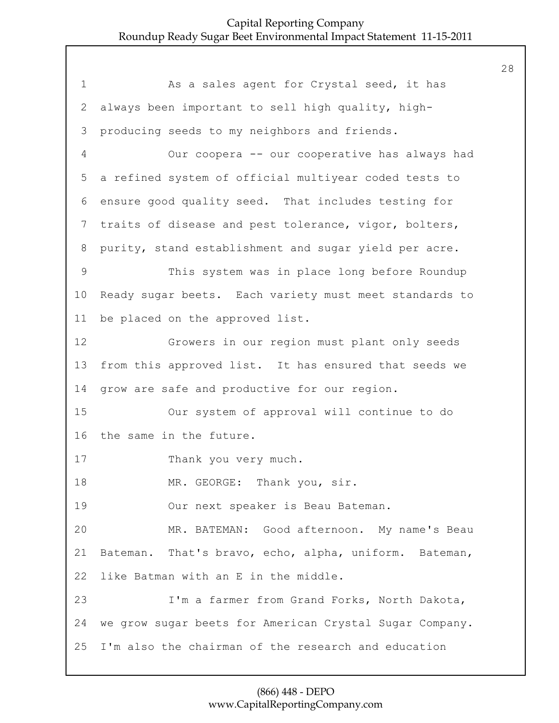1 As a sales agent for Crystal seed, it has 2 always been important to sell high quality, high-3 producing seeds to my neighbors and friends. 4 Our coopera -- our cooperative has always had 5 a refined system of official multiyear coded tests to 6 ensure good quality seed. That includes testing for 7 traits of disease and pest tolerance, vigor, bolters, 8 purity, stand establishment and sugar yield per acre. 9 This system was in place long before Roundup 10 Ready sugar beets. Each variety must meet standards to 11 be placed on the approved list. 12 Growers in our region must plant only seeds 13 from this approved list. It has ensured that seeds we 14 grow are safe and productive for our region. 15 Our system of approval will continue to do 16 the same in the future. 17 Thank you very much. 18 MR. GEORGE: Thank you, sir. 19 Our next speaker is Beau Bateman. 20 MR. BATEMAN: Good afternoon. My name's Beau 21 Bateman. That's bravo, echo, alpha, uniform. Bateman, 22 like Batman with an E in the middle. 23 I'm a farmer from Grand Forks, North Dakota, 24 we grow sugar beets for American Crystal Sugar Company. 25 I'm also the chairman of the research and education

# (866) 448 - DEPO www.CapitalReportingCompany.com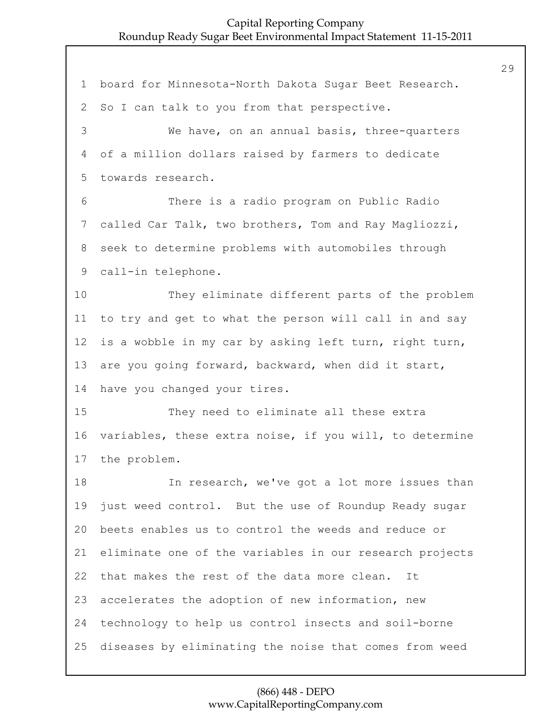board for Minnesota-North Dakota Sugar Beet Research. So I can talk to you from that perspective. 3 We have, on an annual basis, three-quarters of a million dollars raised by farmers to dedicate towards research. 6 There is a radio program on Public Radio called Car Talk, two brothers, Tom and Ray Magliozzi, seek to determine problems with automobiles through call-in telephone. 10 They eliminate different parts of the problem to try and get to what the person will call in and say is a wobble in my car by asking left turn, right turn, are you going forward, backward, when did it start, have you changed your tires. 15 They need to eliminate all these extra variables, these extra noise, if you will, to determine the problem. 18 In research, we've got a lot more issues than just weed control. But the use of Roundup Ready sugar beets enables us to control the weeds and reduce or eliminate one of the variables in our research projects that makes the rest of the data more clean. It accelerates the adoption of new information, new technology to help us control insects and soil-borne diseases by eliminating the noise that comes from weed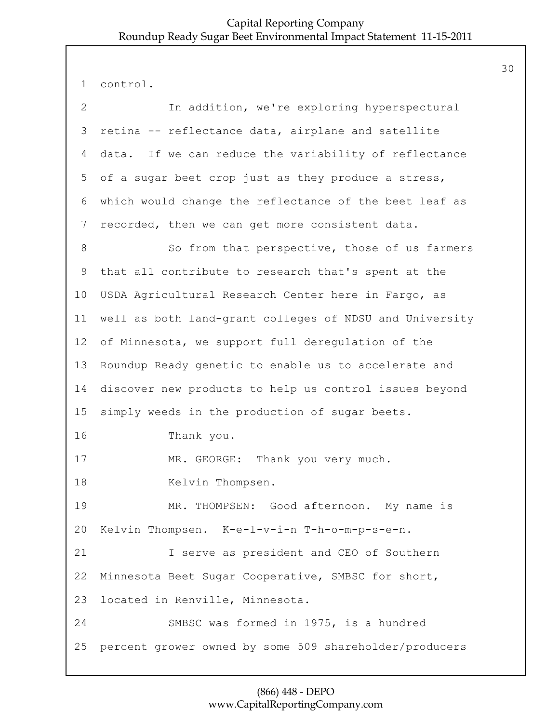```
1 control.
```

| $\overline{2}$ | In addition, we're exploring hyperspectural             |
|----------------|---------------------------------------------------------|
| 3              | retina -- reflectance data, airplane and satellite      |
| 4              | data. If we can reduce the variability of reflectance   |
| 5              | of a sugar beet crop just as they produce a stress,     |
| 6              | which would change the reflectance of the beet leaf as  |
| 7              | recorded, then we can get more consistent data.         |
| $8\,$          | So from that perspective, those of us farmers           |
| 9              | that all contribute to research that's spent at the     |
| 10             | USDA Agricultural Research Center here in Fargo, as     |
| 11             | well as both land-grant colleges of NDSU and University |
| 12             | of Minnesota, we support full deregulation of the       |
| 13             | Roundup Ready genetic to enable us to accelerate and    |
| 14             | discover new products to help us control issues beyond  |
| 15             | simply weeds in the production of sugar beets.          |
| 16             | Thank you.                                              |
| 17             | MR. GEORGE: Thank you very much.                        |
| 18             | Kelvin Thompsen.                                        |
| 19             | MR. THOMPSEN: Good afternoon. My name is                |
| 20             | Kelvin Thompsen. K-e-l-v-i-n T-h-o-m-p-s-e-n.           |
| 21             | I serve as president and CEO of Southern                |
| 22             | Minnesota Beet Sugar Cooperative, SMBSC for short,      |
| 23             | located in Renville, Minnesota.                         |
| 24             | SMBSC was formed in 1975, is a hundred                  |
| 25             | percent grower owned by some 509 shareholder/producers  |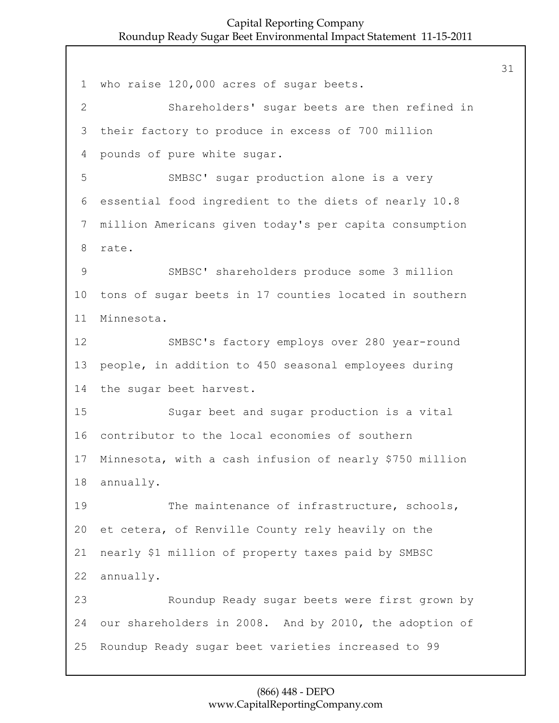who raise 120,000 acres of sugar beets. 2 Shareholders' sugar beets are then refined in their factory to produce in excess of 700 million pounds of pure white sugar. 5 SMBSC' sugar production alone is a very essential food ingredient to the diets of nearly 10.8 million Americans given today's per capita consumption rate. 9 SMBSC' shareholders produce some 3 million tons of sugar beets in 17 counties located in southern Minnesota. 12 SMBSC's factory employs over 280 year-round people, in addition to 450 seasonal employees during the sugar beet harvest. 15 Sugar beet and sugar production is a vital contributor to the local economies of southern Minnesota, with a cash infusion of nearly \$750 million annually. 19 The maintenance of infrastructure, schools, et cetera, of Renville County rely heavily on the nearly \$1 million of property taxes paid by SMBSC annually. 23 Roundup Ready sugar beets were first grown by our shareholders in 2008. And by 2010, the adoption of Roundup Ready sugar beet varieties increased to 99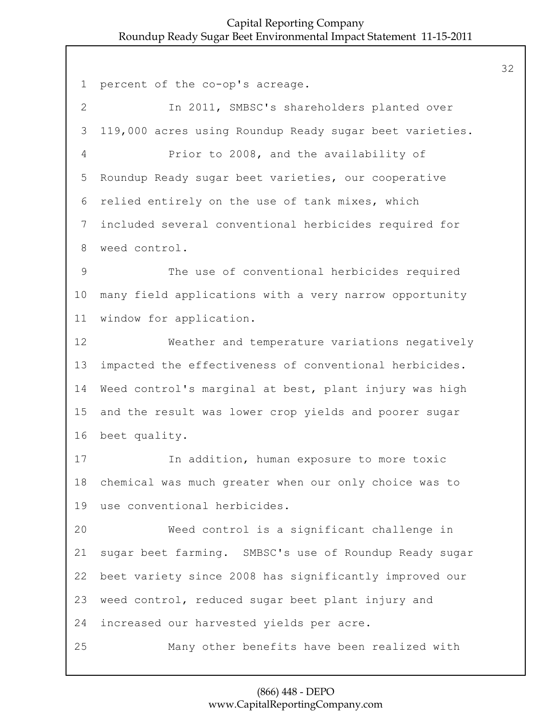percent of the co-op's acreage. 2 In 2011, SMBSC's shareholders planted over 119,000 acres using Roundup Ready sugar beet varieties. 4 Prior to 2008, and the availability of Roundup Ready sugar beet varieties, our cooperative relied entirely on the use of tank mixes, which included several conventional herbicides required for weed control. 9 The use of conventional herbicides required many field applications with a very narrow opportunity window for application. 12 Weather and temperature variations negatively impacted the effectiveness of conventional herbicides. Weed control's marginal at best, plant injury was high and the result was lower crop yields and poorer sugar beet quality. 17 In addition, human exposure to more toxic chemical was much greater when our only choice was to use conventional herbicides. 20 Weed control is a significant challenge in sugar beet farming. SMBSC's use of Roundup Ready sugar beet variety since 2008 has significantly improved our weed control, reduced sugar beet plant injury and increased our harvested yields per acre. 25 Many other benefits have been realized with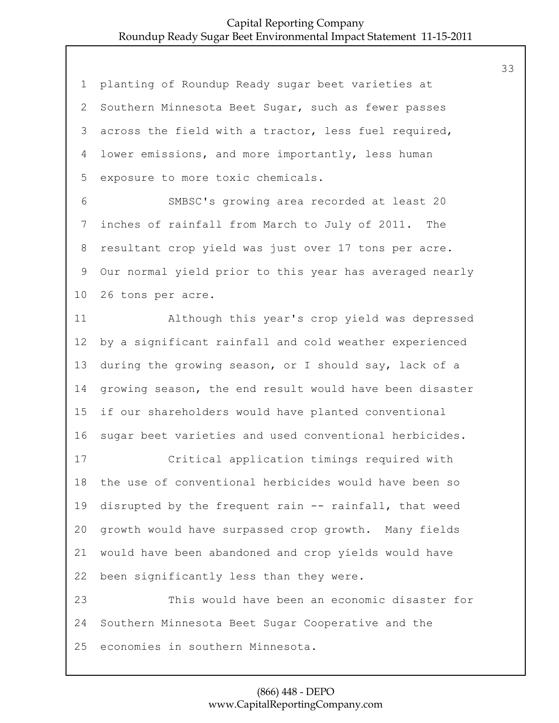| $\mathbf 1$    | planting of Roundup Ready sugar beet varieties at       |
|----------------|---------------------------------------------------------|
| $\overline{2}$ | Southern Minnesota Beet Sugar, such as fewer passes     |
| 3              | across the field with a tractor, less fuel required,    |
| 4              | lower emissions, and more importantly, less human       |
| 5              | exposure to more toxic chemicals.                       |
| 6              | SMBSC's growing area recorded at least 20               |
| $\overline{7}$ | inches of rainfall from March to July of 2011. The      |
| 8              | resultant crop yield was just over 17 tons per acre.    |
| $\mathsf 9$    | Our normal yield prior to this year has averaged nearly |
| 10             | 26 tons per acre.                                       |
| 11             | Although this year's crop yield was depressed           |
| 12             | by a significant rainfall and cold weather experienced  |
| 13             | during the growing season, or I should say, lack of a   |
| 14             | growing season, the end result would have been disaster |
| 15             | if our shareholders would have planted conventional     |
| 16             | sugar beet varieties and used conventional herbicides.  |
| 17             | Critical application timings required with              |
| 18             | the use of conventional herbicides would have been so   |
| 19             | disrupted by the frequent rain -- rainfall, that weed   |
| 20             | growth would have surpassed crop growth. Many fields    |
| 21             | would have been abandoned and crop yields would have    |
| 22             | been significantly less than they were.                 |
| 23             | This would have been an economic disaster for           |
| 24             | Southern Minnesota Beet Sugar Cooperative and the       |
| 25             | economies in southern Minnesota.                        |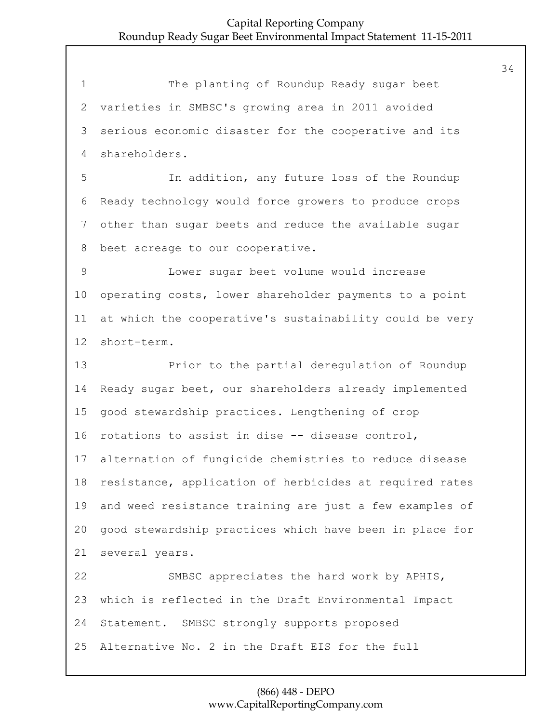1 The planting of Roundup Ready sugar beet varieties in SMBSC's growing area in 2011 avoided serious economic disaster for the cooperative and its shareholders.

5 In addition, any future loss of the Roundup Ready technology would force growers to produce crops other than sugar beets and reduce the available sugar beet acreage to our cooperative.

9 Lower sugar beet volume would increase operating costs, lower shareholder payments to a point at which the cooperative's sustainability could be very short-term.

13 Prior to the partial deregulation of Roundup Ready sugar beet, our shareholders already implemented good stewardship practices. Lengthening of crop rotations to assist in dise -- disease control, alternation of fungicide chemistries to reduce disease resistance, application of herbicides at required rates and weed resistance training are just a few examples of good stewardship practices which have been in place for several years. 22 SMBSC appreciates the hard work by APHIS, which is reflected in the Draft Environmental Impact Statement. SMBSC strongly supports proposed Alternative No. 2 in the Draft EIS for the full

> (866) 448 - DEPO www.CapitalReportingCompany.com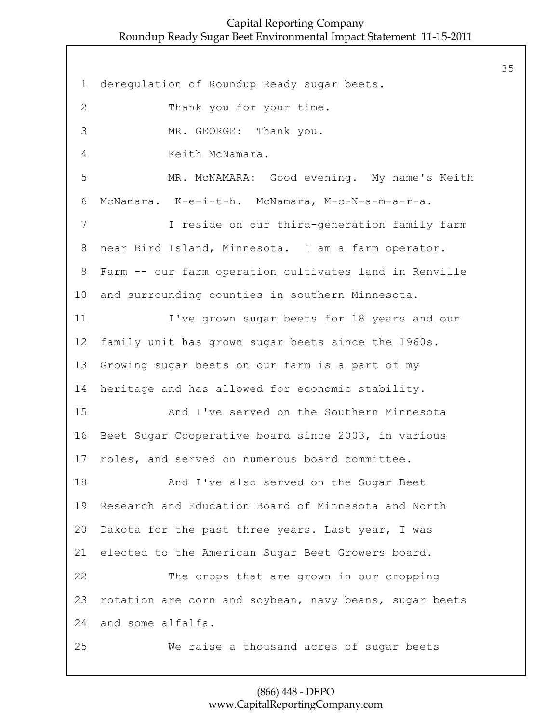1 deregulation of Roundup Ready sugar beets. 2 Thank you for your time. 3 MR. GEORGE: Thank you. 4 Keith McNamara. 5 MR. McNAMARA: Good evening. My name's Keith 6 McNamara. K-e-i-t-h. McNamara, M-c-N-a-m-a-r-a. 7 I reside on our third-generation family farm 8 near Bird Island, Minnesota. I am a farm operator. 9 Farm -- our farm operation cultivates land in Renville 10 and surrounding counties in southern Minnesota. 11 I've grown sugar beets for 18 years and our 12 family unit has grown sugar beets since the 1960s. 13 Growing sugar beets on our farm is a part of my 14 heritage and has allowed for economic stability. 15 And I've served on the Southern Minnesota 16 Beet Sugar Cooperative board since 2003, in various 17 roles, and served on numerous board committee. 18 And I've also served on the Sugar Beet 19 Research and Education Board of Minnesota and North 20 Dakota for the past three years. Last year, I was 21 elected to the American Sugar Beet Growers board. 22 The crops that are grown in our cropping 23 rotation are corn and soybean, navy beans, sugar beets 24 and some alfalfa. 25 We raise a thousand acres of sugar beets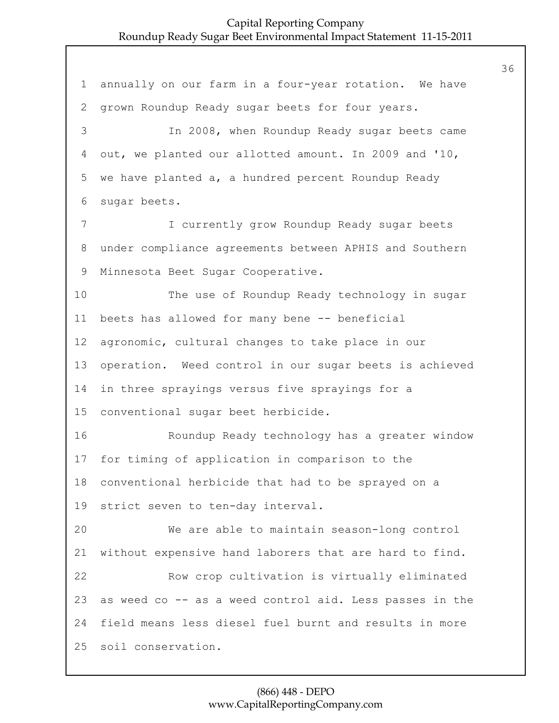annually on our farm in a four-year rotation. We have grown Roundup Ready sugar beets for four years. 3 In 2008, when Roundup Ready sugar beets came out, we planted our allotted amount. In 2009 and '10, we have planted a, a hundred percent Roundup Ready sugar beets. 7 I currently grow Roundup Ready sugar beets under compliance agreements between APHIS and Southern Minnesota Beet Sugar Cooperative. 10 The use of Roundup Ready technology in sugar beets has allowed for many bene -- beneficial agronomic, cultural changes to take place in our operation. Weed control in our sugar beets is achieved in three sprayings versus five sprayings for a conventional sugar beet herbicide. 16 Roundup Ready technology has a greater window for timing of application in comparison to the conventional herbicide that had to be sprayed on a strict seven to ten-day interval. 20 We are able to maintain season-long control without expensive hand laborers that are hard to find. 22 Row crop cultivation is virtually eliminated as weed co -- as a weed control aid. Less passes in the field means less diesel fuel burnt and results in more soil conservation.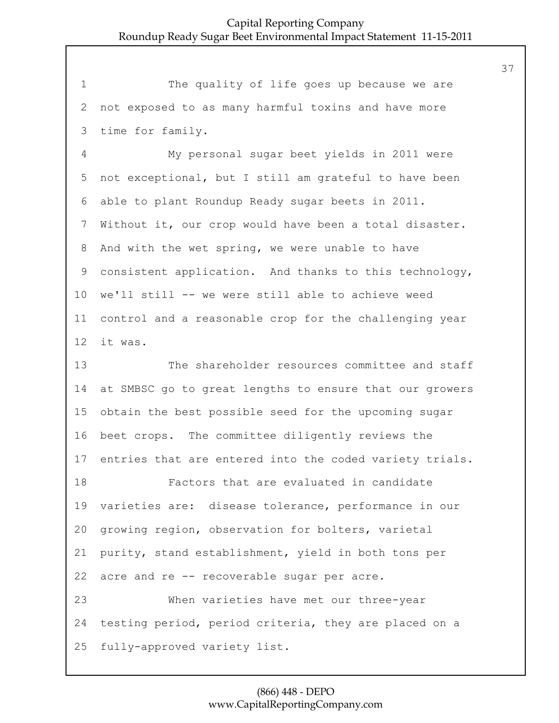1 The quality of life goes up because we are not exposed to as many harmful toxins and have more time for family.

4 My personal sugar beet yields in 2011 were not exceptional, but I still am grateful to have been able to plant Roundup Ready sugar beets in 2011. Without it, our crop would have been a total disaster. And with the wet spring, we were unable to have consistent application. And thanks to this technology, we'll still -- we were still able to achieve weed control and a reasonable crop for the challenging year it was.

13 The shareholder resources committee and staff at SMBSC go to great lengths to ensure that our growers obtain the best possible seed for the upcoming sugar beet crops. The committee diligently reviews the entries that are entered into the coded variety trials. 18 Factors that are evaluated in candidate varieties are: disease tolerance, performance in our growing region, observation for bolters, varietal purity, stand establishment, yield in both tons per acre and re -- recoverable sugar per acre. 23 When varieties have met our three-year testing period, period criteria, they are placed on a fully-approved variety list.

## (866) 448 - DEPO www.CapitalReportingCompany.com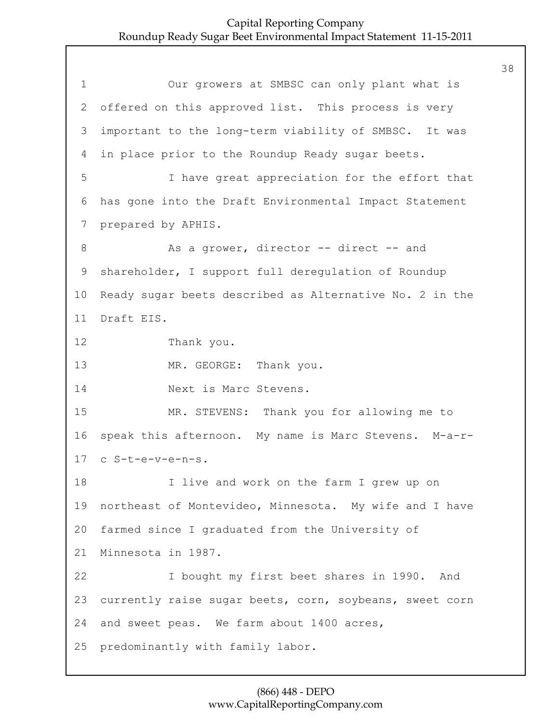1 Our growers at SMBSC can only plant what is 2 offered on this approved list. This process is very 3 important to the long-term viability of SMBSC. It was 4 in place prior to the Roundup Ready sugar beets. 5 I have great appreciation for the effort that 6 has gone into the Draft Environmental Impact Statement 7 prepared by APHIS. 8 As a grower, director -- direct -- and 9 shareholder, I support full deregulation of Roundup 10 Ready sugar beets described as Alternative No. 2 in the 11 Draft EIS. 12 Thank you. 13 MR. GEORGE: Thank you. 14 Next is Marc Stevens. 15 MR. STEVENS: Thank you for allowing me to 16 speak this afternoon. My name is Marc Stevens. M-a-r-17 c S-t-e-v-e-n-s. 18 I live and work on the farm I grew up on 19 northeast of Montevideo, Minnesota. My wife and I have 20 farmed since I graduated from the University of 21 Minnesota in 1987. 22 I bought my first beet shares in 1990. And 23 currently raise sugar beets, corn, soybeans, sweet corn 24 and sweet peas. We farm about 1400 acres, 25 predominantly with family labor.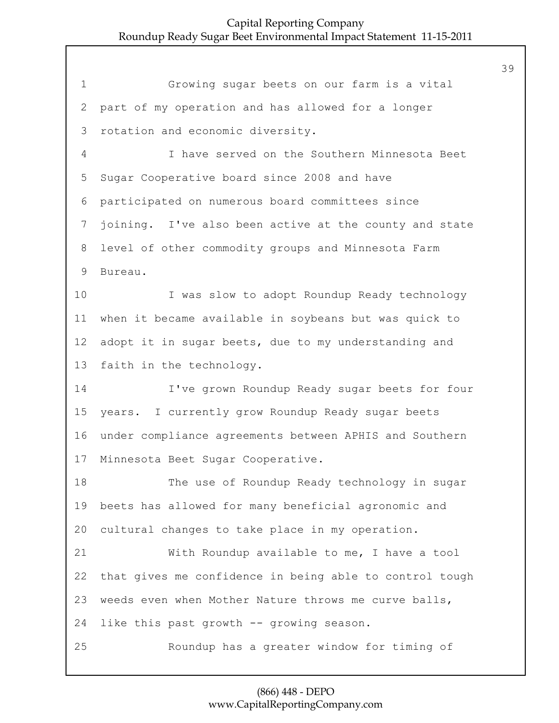1 Growing sugar beets on our farm is a vital part of my operation and has allowed for a longer rotation and economic diversity. 4 I have served on the Southern Minnesota Beet Sugar Cooperative board since 2008 and have participated on numerous board committees since joining. I've also been active at the county and state level of other commodity groups and Minnesota Farm Bureau. 10 I was slow to adopt Roundup Ready technology when it became available in soybeans but was quick to adopt it in sugar beets, due to my understanding and faith in the technology. 14 I've grown Roundup Ready sugar beets for four years. I currently grow Roundup Ready sugar beets under compliance agreements between APHIS and Southern Minnesota Beet Sugar Cooperative. 18 The use of Roundup Ready technology in sugar beets has allowed for many beneficial agronomic and cultural changes to take place in my operation. 21 With Roundup available to me, I have a tool that gives me confidence in being able to control tough weeds even when Mother Nature throws me curve balls, like this past growth -- growing season. 25 Roundup has a greater window for timing of

# (866) 448 - DEPO www.CapitalReportingCompany.com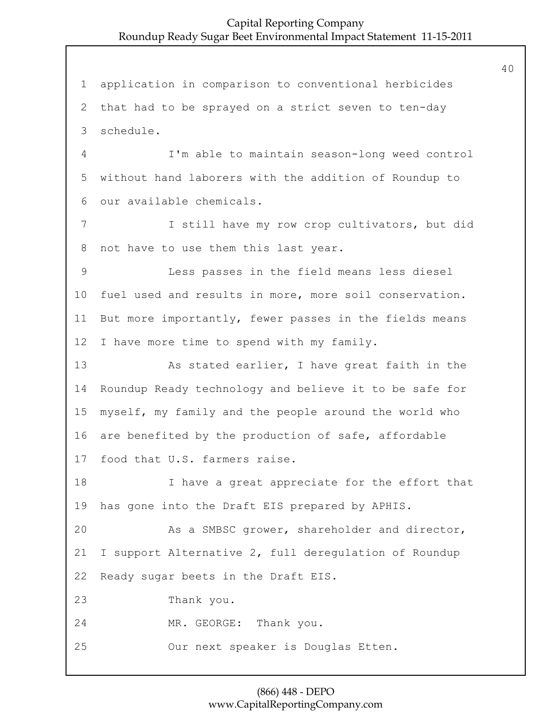application in comparison to conventional herbicides that had to be sprayed on a strict seven to ten-day schedule. 4 I'm able to maintain season-long weed control without hand laborers with the addition of Roundup to our available chemicals. 7 I still have my row crop cultivators, but did not have to use them this last year. 9 Less passes in the field means less diesel fuel used and results in more, more soil conservation. But more importantly, fewer passes in the fields means I have more time to spend with my family. 13 As stated earlier, I have great faith in the Roundup Ready technology and believe it to be safe for myself, my family and the people around the world who are benefited by the production of safe, affordable food that U.S. farmers raise. 18 I have a great appreciate for the effort that has gone into the Draft EIS prepared by APHIS. 20 As a SMBSC grower, shareholder and director, I support Alternative 2, full deregulation of Roundup Ready sugar beets in the Draft EIS. 23 Thank you. 24 MR. GEORGE: Thank you. 25 Our next speaker is Douglas Etten.

# (866) 448 - DEPO www.CapitalReportingCompany.com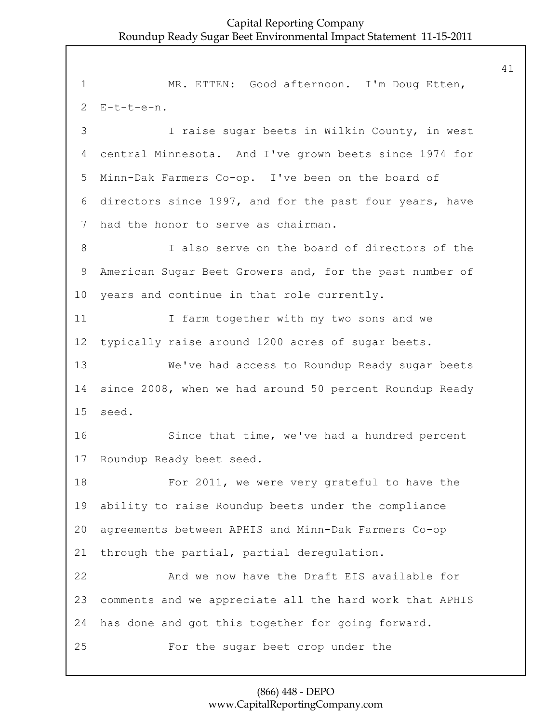1 MR. ETTEN: Good afternoon. I'm Doug Etten,  $2$  E-t-t-e-n. 3 I raise sugar beets in Wilkin County, in west 4 central Minnesota. And I've grown beets since 1974 for 5 Minn-Dak Farmers Co-op. I've been on the board of 6 directors since 1997, and for the past four years, have 7 had the honor to serve as chairman. 8 I also serve on the board of directors of the 9 American Sugar Beet Growers and, for the past number of 10 years and continue in that role currently. 11 I farm together with my two sons and we 12 typically raise around 1200 acres of sugar beets. 13 We've had access to Roundup Ready sugar beets 14 since 2008, when we had around 50 percent Roundup Ready 15 seed. 16 Since that time, we've had a hundred percent 17 Roundup Ready beet seed. 18 For 2011, we were very grateful to have the 19 ability to raise Roundup beets under the compliance 20 agreements between APHIS and Minn-Dak Farmers Co-op 21 through the partial, partial deregulation. 22 And we now have the Draft EIS available for 23 comments and we appreciate all the hard work that APHIS 24 has done and got this together for going forward. 25 For the sugar beet crop under the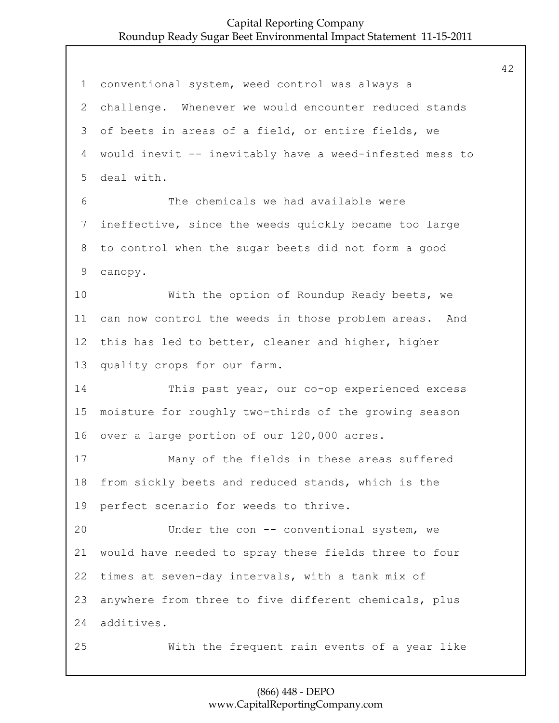conventional system, weed control was always a challenge. Whenever we would encounter reduced stands of beets in areas of a field, or entire fields, we would inevit -- inevitably have a weed-infested mess to deal with. 6 The chemicals we had available were ineffective, since the weeds quickly became too large to control when the sugar beets did not form a good canopy. 10 With the option of Roundup Ready beets, we can now control the weeds in those problem areas. And this has led to better, cleaner and higher, higher quality crops for our farm. 14 This past year, our co-op experienced excess moisture for roughly two-thirds of the growing season over a large portion of our 120,000 acres. 17 Many of the fields in these areas suffered from sickly beets and reduced stands, which is the perfect scenario for weeds to thrive. 20 Under the con -- conventional system, we would have needed to spray these fields three to four times at seven-day intervals, with a tank mix of anywhere from three to five different chemicals, plus additives. 25 With the frequent rain events of a year like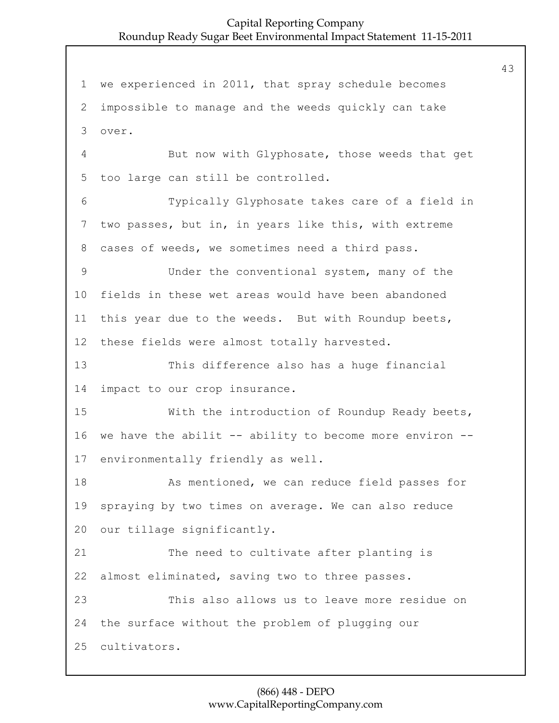we experienced in 2011, that spray schedule becomes impossible to manage and the weeds quickly can take 3 over. 4 But now with Glyphosate, those weeds that get too large can still be controlled. 6 Typically Glyphosate takes care of a field in two passes, but in, in years like this, with extreme cases of weeds, we sometimes need a third pass. 9 Under the conventional system, many of the fields in these wet areas would have been abandoned this year due to the weeds. But with Roundup beets, these fields were almost totally harvested. 13 This difference also has a huge financial impact to our crop insurance. 15 With the introduction of Roundup Ready beets, we have the abilit -- ability to become more environ -- environmentally friendly as well. 18 As mentioned, we can reduce field passes for spraying by two times on average. We can also reduce our tillage significantly. 21 The need to cultivate after planting is almost eliminated, saving two to three passes. 23 This also allows us to leave more residue on the surface without the problem of plugging our cultivators.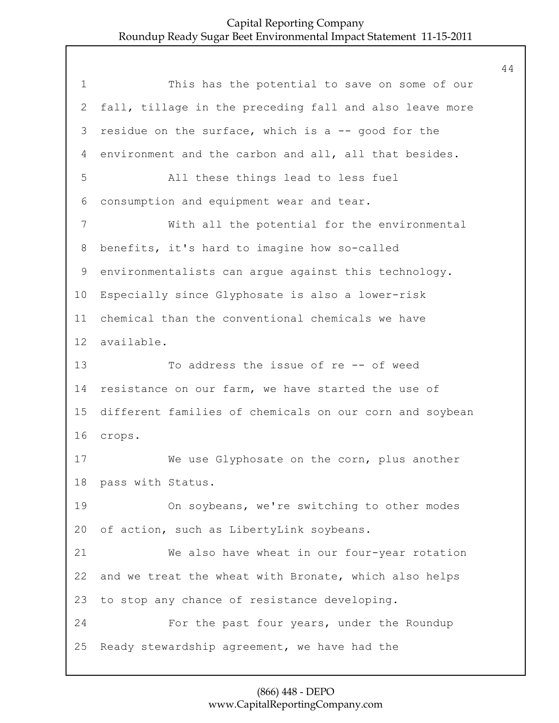1 This has the potential to save on some of our fall, tillage in the preceding fall and also leave more residue on the surface, which is a -- good for the environment and the carbon and all, all that besides. 5 All these things lead to less fuel consumption and equipment wear and tear. 7 With all the potential for the environmental benefits, it's hard to imagine how so-called environmentalists can argue against this technology. Especially since Glyphosate is also a lower-risk chemical than the conventional chemicals we have available. 13 To address the issue of re -- of weed resistance on our farm, we have started the use of different families of chemicals on our corn and soybean 16 crops. 17 We use Glyphosate on the corn, plus another pass with Status. 19 On soybeans, we're switching to other modes of action, such as LibertyLink soybeans. 21 We also have wheat in our four-year rotation and we treat the wheat with Bronate, which also helps to stop any chance of resistance developing. 24 For the past four years, under the Roundup Ready stewardship agreement, we have had the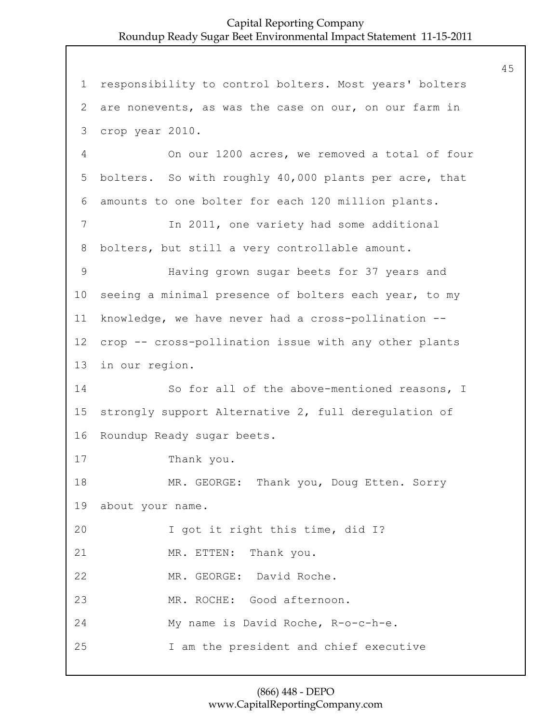1 responsibility to control bolters. Most years' bolters 2 are nonevents, as was the case on our, on our farm in 3 crop year 2010. 4 On our 1200 acres, we removed a total of four 5 bolters. So with roughly 40,000 plants per acre, that 6 amounts to one bolter for each 120 million plants. 7 In 2011, one variety had some additional 8 bolters, but still a very controllable amount. 9 Having grown sugar beets for 37 years and 10 seeing a minimal presence of bolters each year, to my 11 knowledge, we have never had a cross-pollination -- 12 crop -- cross-pollination issue with any other plants 13 in our region. 14 So for all of the above-mentioned reasons, I 15 strongly support Alternative 2, full deregulation of 16 Roundup Ready sugar beets. 17 Thank you. 18 MR. GEORGE: Thank you, Doug Etten. Sorry 19 about your name. 20 I got it right this time, did I? 21 MR. ETTEN: Thank you. 22 MR. GEORGE: David Roche. 23 MR. ROCHE: Good afternoon. 24 My name is David Roche, R-o-c-h-e. 25 I am the president and chief executive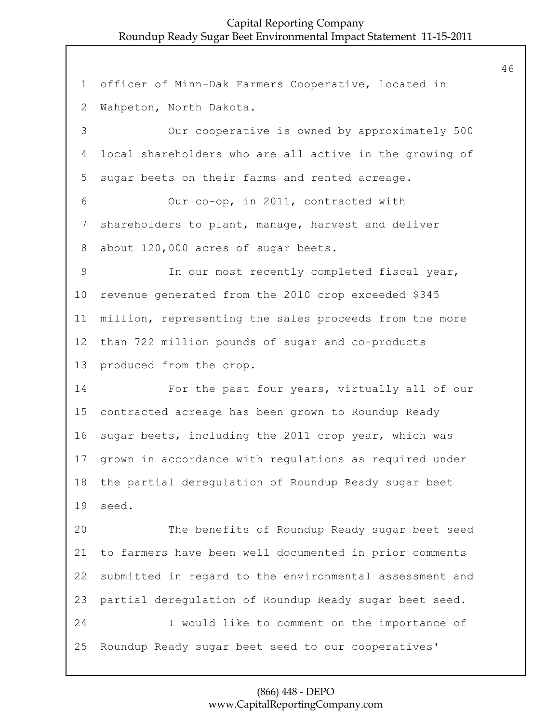officer of Minn-Dak Farmers Cooperative, located in Wahpeton, North Dakota. 3 Our cooperative is owned by approximately 500 local shareholders who are all active in the growing of sugar beets on their farms and rented acreage. 6 Our co-op, in 2011, contracted with shareholders to plant, manage, harvest and deliver about 120,000 acres of sugar beets. 9 In our most recently completed fiscal year, revenue generated from the 2010 crop exceeded \$345 million, representing the sales proceeds from the more than 722 million pounds of sugar and co-products produced from the crop. 14 For the past four years, virtually all of our contracted acreage has been grown to Roundup Ready sugar beets, including the 2011 crop year, which was grown in accordance with regulations as required under the partial deregulation of Roundup Ready sugar beet seed. 20 The benefits of Roundup Ready sugar beet seed to farmers have been well documented in prior comments submitted in regard to the environmental assessment and partial deregulation of Roundup Ready sugar beet seed. 24 I would like to comment on the importance of Roundup Ready sugar beet seed to our cooperatives'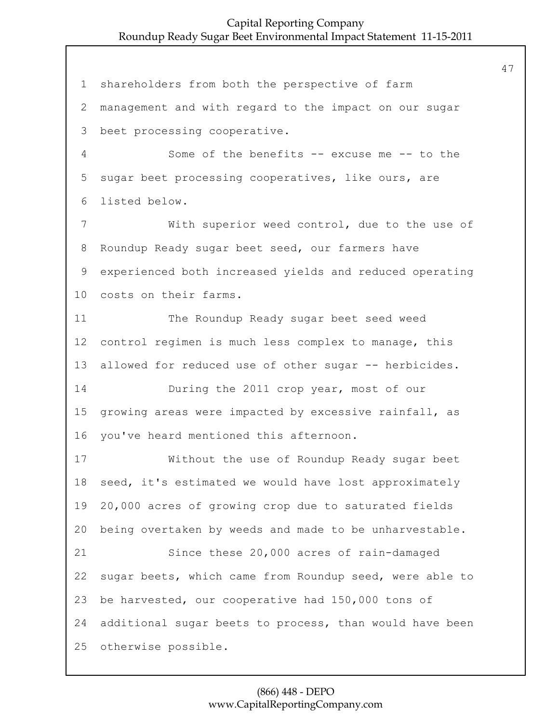shareholders from both the perspective of farm management and with regard to the impact on our sugar beet processing cooperative. 4 Some of the benefits -- excuse me -- to the sugar beet processing cooperatives, like ours, are listed below. 7 With superior weed control, due to the use of Roundup Ready sugar beet seed, our farmers have experienced both increased yields and reduced operating costs on their farms. 11 The Roundup Ready sugar beet seed weed control regimen is much less complex to manage, this allowed for reduced use of other sugar -- herbicides. 14 During the 2011 crop year, most of our growing areas were impacted by excessive rainfall, as you've heard mentioned this afternoon. 17 Without the use of Roundup Ready sugar beet seed, it's estimated we would have lost approximately 20,000 acres of growing crop due to saturated fields being overtaken by weeds and made to be unharvestable. 21 Since these 20,000 acres of rain-damaged sugar beets, which came from Roundup seed, were able to be harvested, our cooperative had 150,000 tons of additional sugar beets to process, than would have been otherwise possible.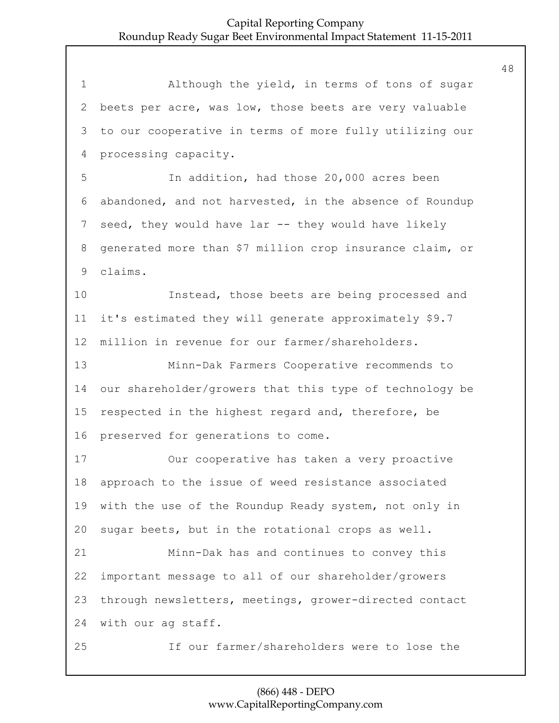1 Although the yield, in terms of tons of sugar beets per acre, was low, those beets are very valuable to our cooperative in terms of more fully utilizing our processing capacity. 5 In addition, had those 20,000 acres been abandoned, and not harvested, in the absence of Roundup seed, they would have lar -- they would have likely generated more than \$7 million crop insurance claim, or claims. 10 Instead, those beets are being processed and it's estimated they will generate approximately \$9.7 million in revenue for our farmer/shareholders. 13 Minn-Dak Farmers Cooperative recommends to our shareholder/growers that this type of technology be respected in the highest regard and, therefore, be preserved for generations to come. 17 Our cooperative has taken a very proactive approach to the issue of weed resistance associated with the use of the Roundup Ready system, not only in sugar beets, but in the rotational crops as well. 21 Minn-Dak has and continues to convey this important message to all of our shareholder/growers through newsletters, meetings, grower-directed contact with our ag staff. 25 If our farmer/shareholders were to lose the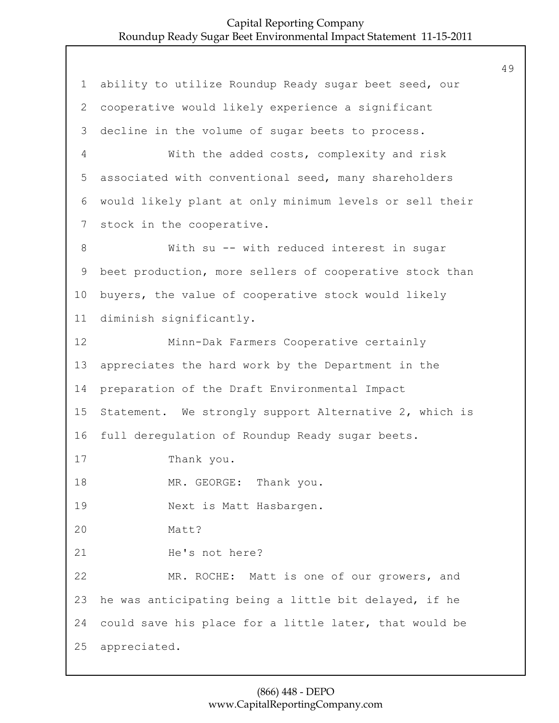ability to utilize Roundup Ready sugar beet seed, our cooperative would likely experience a significant decline in the volume of sugar beets to process. 4 With the added costs, complexity and risk associated with conventional seed, many shareholders would likely plant at only minimum levels or sell their stock in the cooperative. 8 With su -- with reduced interest in sugar beet production, more sellers of cooperative stock than buyers, the value of cooperative stock would likely diminish significantly. 12 Minn-Dak Farmers Cooperative certainly appreciates the hard work by the Department in the preparation of the Draft Environmental Impact Statement. We strongly support Alternative 2, which is full deregulation of Roundup Ready sugar beets. 17 Thank you. 18 MR. GEORGE: Thank you. 19 Next is Matt Hasbargen. 20 Matt? 21 He's not here? 22 MR. ROCHE: Matt is one of our growers, and he was anticipating being a little bit delayed, if he could save his place for a little later, that would be appreciated.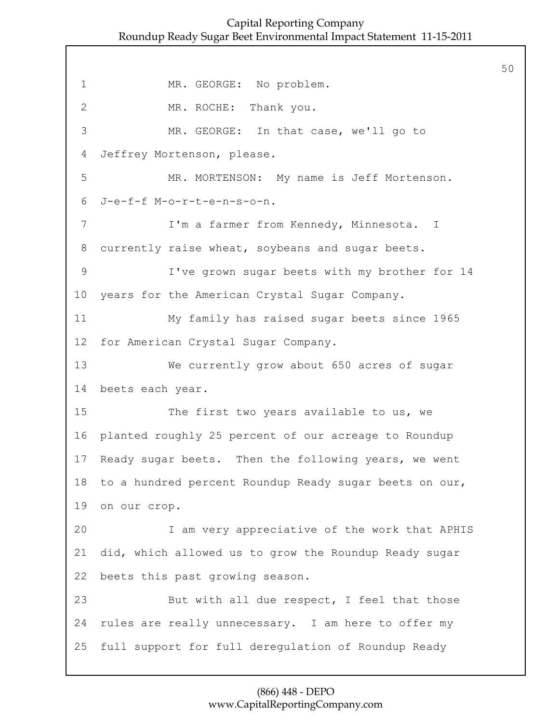50

1 MR. GEORGE: No problem. 2 MR. ROCHE: Thank you. 3 MR. GEORGE: In that case, we'll go to 4 Jeffrey Mortenson, please. 5 MR. MORTENSON: My name is Jeff Mortenson. 6 J-e-f-f M-o-r-t-e-n-s-o-n. 7 I'm a farmer from Kennedy, Minnesota. I 8 currently raise wheat, soybeans and sugar beets. 9 I've grown sugar beets with my brother for 14 10 years for the American Crystal Sugar Company. 11 My family has raised sugar beets since 1965 12 for American Crystal Sugar Company. 13 We currently grow about 650 acres of sugar 14 beets each year. 15 The first two years available to us, we 16 planted roughly 25 percent of our acreage to Roundup 17 Ready sugar beets. Then the following years, we went 18 to a hundred percent Roundup Ready sugar beets on our, 19 on our crop. 20 I am very appreciative of the work that APHIS 21 did, which allowed us to grow the Roundup Ready sugar 22 beets this past growing season. 23 But with all due respect, I feel that those 24 rules are really unnecessary. I am here to offer my 25 full support for full deregulation of Roundup Ready

#### (866) 448 - DEPO www.CapitalReportingCompany.com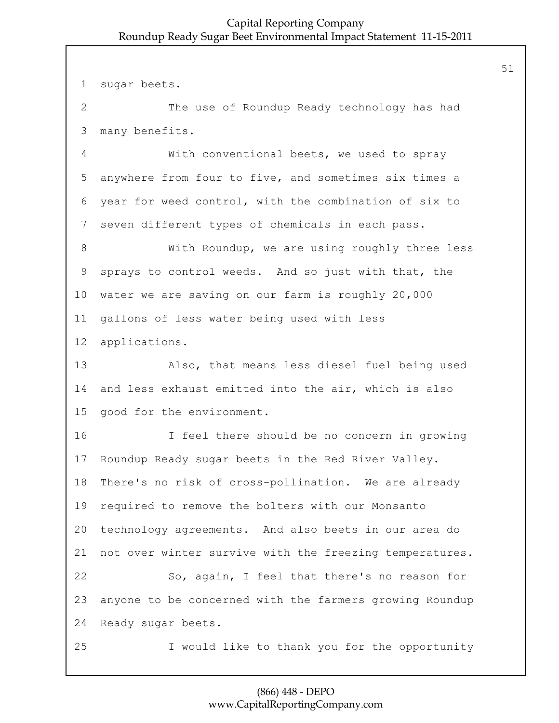sugar beets.

2 The use of Roundup Ready technology has had many benefits.

4 With conventional beets, we used to spray anywhere from four to five, and sometimes six times a year for weed control, with the combination of six to seven different types of chemicals in each pass.

8 With Roundup, we are using roughly three less sprays to control weeds. And so just with that, the water we are saving on our farm is roughly 20,000 gallons of less water being used with less applications.

13 Also, that means less diesel fuel being used and less exhaust emitted into the air, which is also good for the environment.

16 I feel there should be no concern in growing Roundup Ready sugar beets in the Red River Valley. There's no risk of cross-pollination. We are already required to remove the bolters with our Monsanto technology agreements. And also beets in our area do not over winter survive with the freezing temperatures. 22 So, again, I feel that there's no reason for anyone to be concerned with the farmers growing Roundup Ready sugar beets. 25 I would like to thank you for the opportunity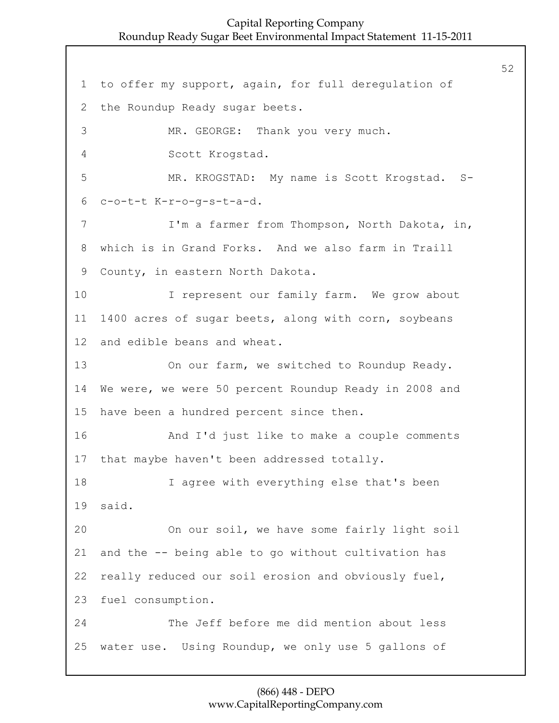1 to offer my support, again, for full deregulation of 2 the Roundup Ready sugar beets. 3 MR. GEORGE: Thank you very much. 4 Scott Krogstad. 5 MR. KROGSTAD: My name is Scott Krogstad. S-6 c-o-t-t K-r-o-g-s-t-a-d. 7 I'm a farmer from Thompson, North Dakota, in, 8 which is in Grand Forks. And we also farm in Traill 9 County, in eastern North Dakota. 10 I represent our family farm. We grow about 11 1400 acres of sugar beets, along with corn, soybeans 12 and edible beans and wheat. 13 On our farm, we switched to Roundup Ready. 14 We were, we were 50 percent Roundup Ready in 2008 and 15 have been a hundred percent since then. 16 And I'd just like to make a couple comments 17 that maybe haven't been addressed totally. 18 I agree with everything else that's been 19 said. 20 On our soil, we have some fairly light soil 21 and the -- being able to go without cultivation has 22 really reduced our soil erosion and obviously fuel, 23 fuel consumption. 24 The Jeff before me did mention about less 25 water use. Using Roundup, we only use 5 gallons of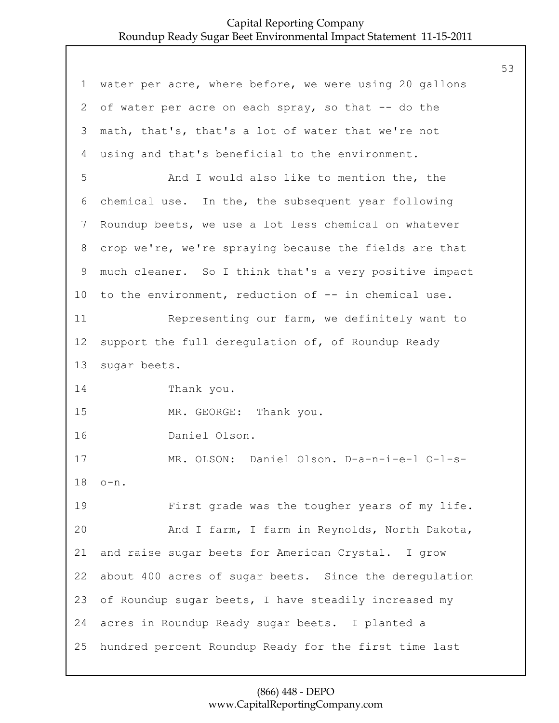| $\mathbf 1$     | water per acre, where before, we were using 20 gallons |
|-----------------|--------------------------------------------------------|
| $\mathbf{2}$    | of water per acre on each spray, so that -- do the     |
| 3               | math, that's, that's a lot of water that we're not     |
| 4               | using and that's beneficial to the environment.        |
| 5               | And I would also like to mention the, the              |
| 6               | chemical use. In the, the subsequent year following    |
| $7\phantom{.0}$ | Roundup beets, we use a lot less chemical on whatever  |
| 8               | crop we're, we're spraying because the fields are that |
| 9               | much cleaner. So I think that's a very positive impact |
| 10              | to the environment, reduction of -- in chemical use.   |
| 11              | Representing our farm, we definitely want to           |
| 12              | support the full deregulation of, of Roundup Ready     |
| 13              | sugar beets.                                           |
| 14              | Thank you.                                             |
| 15              | MR. GEORGE: Thank you.                                 |
| 16              | Daniel Olson.                                          |
| 17              | MR. OLSON: Daniel Olson. D-a-n-i-e-l O-l-s-            |
| 18              | $o-n$ .                                                |
| 19              | First grade was the tougher years of my life.          |
| 20              | And I farm, I farm in Reynolds, North Dakota,          |
| 21              | and raise sugar beets for American Crystal. I grow     |
| 22              | about 400 acres of sugar beets. Since the deregulation |
| 23              | of Roundup sugar beets, I have steadily increased my   |
| 24              | acres in Roundup Ready sugar beets. I planted a        |
| 25              | hundred percent Roundup Ready for the first time last  |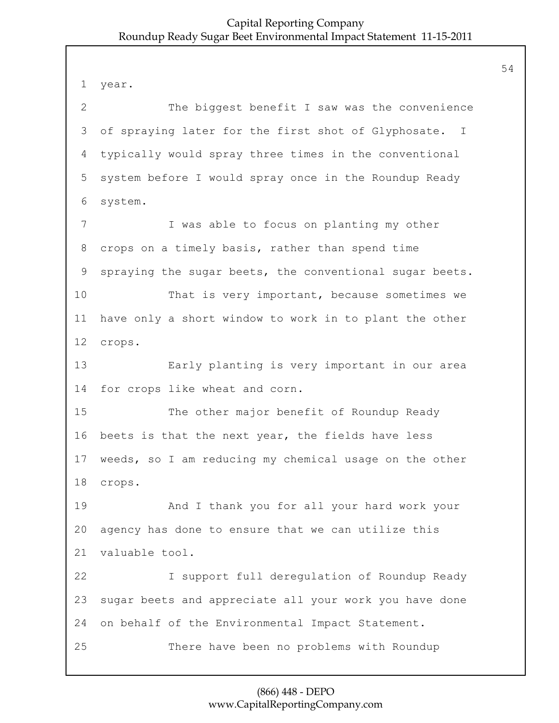1 year. 2 The biggest benefit I saw was the convenience 3 of spraying later for the first shot of Glyphosate. I 4 typically would spray three times in the conventional 5 system before I would spray once in the Roundup Ready 6 system. 7 I was able to focus on planting my other 8 crops on a timely basis, rather than spend time 9 spraying the sugar beets, the conventional sugar beets. 10 That is very important, because sometimes we 11 have only a short window to work in to plant the other 12 crops. 13 Early planting is very important in our area 14 for crops like wheat and corn. 15 The other major benefit of Roundup Ready 16 beets is that the next year, the fields have less 17 weeds, so I am reducing my chemical usage on the other 18 crops. 19 And I thank you for all your hard work your 20 agency has done to ensure that we can utilize this 21 valuable tool. 22 I support full deregulation of Roundup Ready 23 sugar beets and appreciate all your work you have done 24 on behalf of the Environmental Impact Statement. 25 There have been no problems with Roundup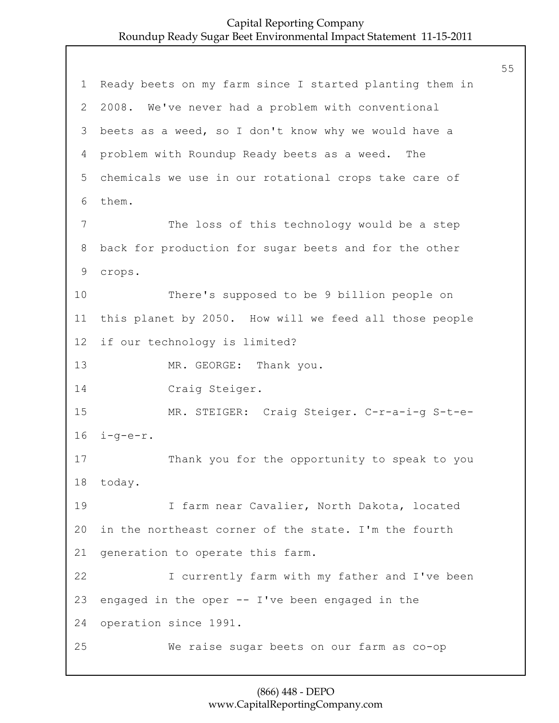1 Ready beets on my farm since I started planting them in 2 2008. We've never had a problem with conventional 3 beets as a weed, so I don't know why we would have a 4 problem with Roundup Ready beets as a weed. The 5 chemicals we use in our rotational crops take care of 6 them. 7 The loss of this technology would be a step 8 back for production for sugar beets and for the other 9 crops. 10 There's supposed to be 9 billion people on 11 this planet by 2050. How will we feed all those people 12 if our technology is limited? 13 MR. GEORGE: Thank you. 14 Craig Steiger. 15 MR. STEIGER: Craig Steiger. C-r-a-i-g S-t-e-16 i-g-e-r. 17 Thank you for the opportunity to speak to you 18 today. 19 I farm near Cavalier, North Dakota, located 20 in the northeast corner of the state. I'm the fourth 21 generation to operate this farm. 22 I currently farm with my father and I've been 23 engaged in the oper -- I've been engaged in the 24 operation since 1991. 25 We raise sugar beets on our farm as co-op

# (866) 448 - DEPO www.CapitalReportingCompany.com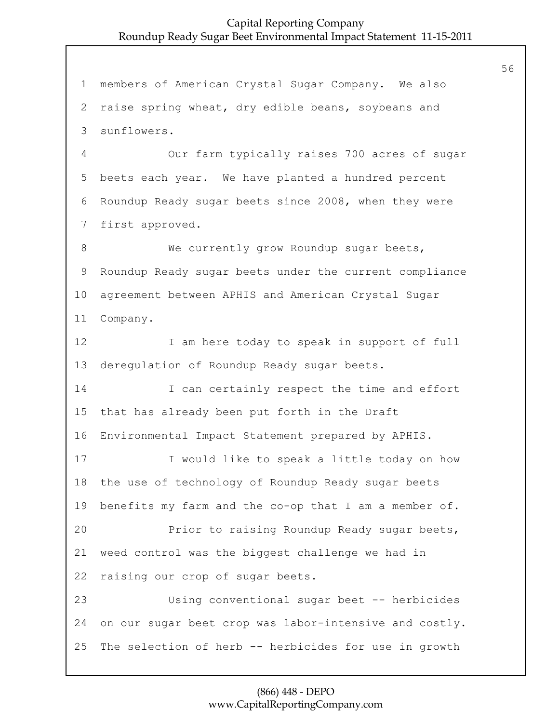members of American Crystal Sugar Company. We also raise spring wheat, dry edible beans, soybeans and sunflowers. 4 Our farm typically raises 700 acres of sugar beets each year. We have planted a hundred percent Roundup Ready sugar beets since 2008, when they were first approved. 8 We currently grow Roundup sugar beets, Roundup Ready sugar beets under the current compliance agreement between APHIS and American Crystal Sugar Company. 12 I am here today to speak in support of full deregulation of Roundup Ready sugar beets. 14 I can certainly respect the time and effort that has already been put forth in the Draft Environmental Impact Statement prepared by APHIS. 17 I would like to speak a little today on how the use of technology of Roundup Ready sugar beets benefits my farm and the co-op that I am a member of. 20 Prior to raising Roundup Ready sugar beets, weed control was the biggest challenge we had in raising our crop of sugar beets. 23 Using conventional sugar beet -- herbicides on our sugar beet crop was labor-intensive and costly. The selection of herb -- herbicides for use in growth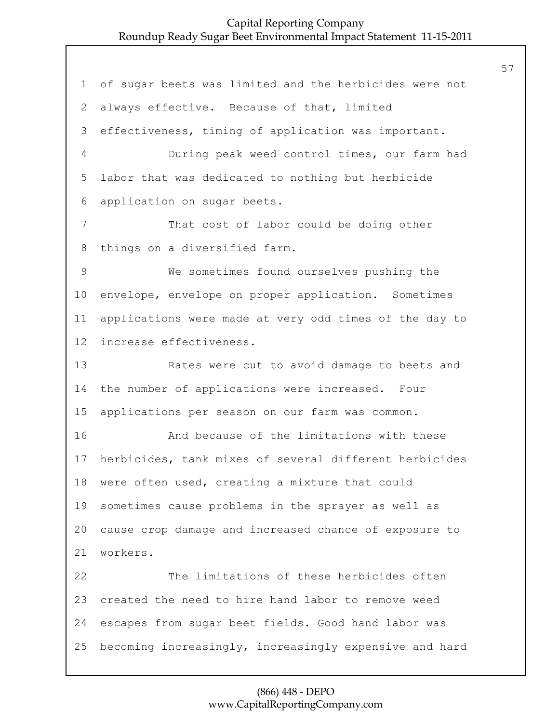of sugar beets was limited and the herbicides were not always effective. Because of that, limited effectiveness, timing of application was important. 4 During peak weed control times, our farm had labor that was dedicated to nothing but herbicide application on sugar beets. 7 That cost of labor could be doing other things on a diversified farm. 9 We sometimes found ourselves pushing the envelope, envelope on proper application. Sometimes applications were made at very odd times of the day to increase effectiveness. 13 Rates were cut to avoid damage to beets and the number of applications were increased. Four applications per season on our farm was common. 16 And because of the limitations with these herbicides, tank mixes of several different herbicides were often used, creating a mixture that could sometimes cause problems in the sprayer as well as cause crop damage and increased chance of exposure to workers. 22 The limitations of these herbicides often created the need to hire hand labor to remove weed escapes from sugar beet fields. Good hand labor was becoming increasingly, increasingly expensive and hard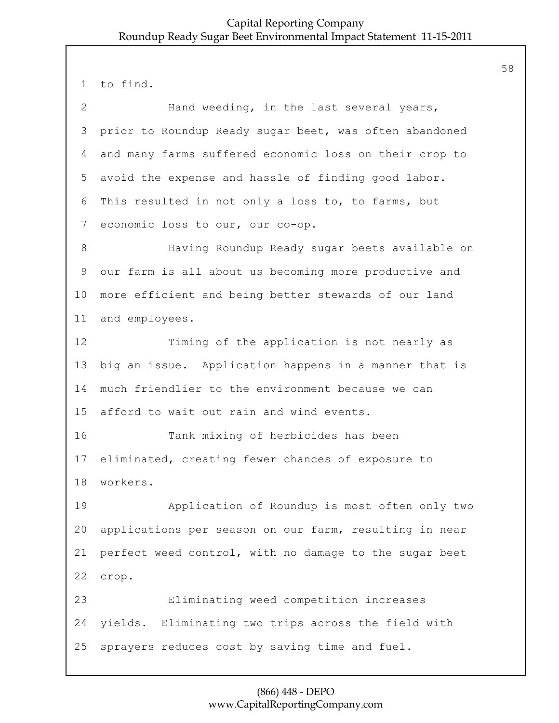to find. 2 Hand weeding, in the last several years, prior to Roundup Ready sugar beet, was often abandoned and many farms suffered economic loss on their crop to avoid the expense and hassle of finding good labor. This resulted in not only a loss to, to farms, but economic loss to our, our co-op. 8 Having Roundup Ready sugar beets available on our farm is all about us becoming more productive and more efficient and being better stewards of our land and employees. 12 Timing of the application is not nearly as big an issue. Application happens in a manner that is much friendlier to the environment because we can afford to wait out rain and wind events. 16 Tank mixing of herbicides has been eliminated, creating fewer chances of exposure to workers. 19 Application of Roundup is most often only two applications per season on our farm, resulting in near perfect weed control, with no damage to the sugar beet crop. 23 Eliminating weed competition increases yields. Eliminating two trips across the field with sprayers reduces cost by saving time and fuel.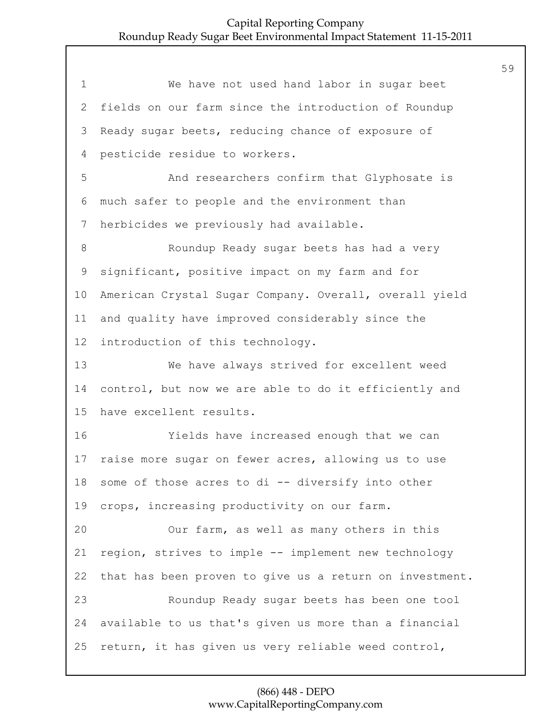| $\mathbf 1$               | We have not used hand labor in sugar beet               |
|---------------------------|---------------------------------------------------------|
| $\mathbf{2}^{\mathsf{I}}$ | fields on our farm since the introduction of Roundup    |
| 3                         | Ready sugar beets, reducing chance of exposure of       |
| 4                         | pesticide residue to workers.                           |
| 5                         | And researchers confirm that Glyphosate is              |
| 6                         | much safer to people and the environment than           |
| 7                         | herbicides we previously had available.                 |
| 8                         | Roundup Ready sugar beets has had a very                |
| 9                         | significant, positive impact on my farm and for         |
| 10                        | American Crystal Sugar Company. Overall, overall yield  |
| 11                        | and quality have improved considerably since the        |
| 12                        | introduction of this technology.                        |
| 13                        | We have always strived for excellent weed               |
| 14                        | control, but now we are able to do it efficiently and   |
| 15                        | have excellent results.                                 |
| 16                        | Yields have increased enough that we can                |
| 17                        | raise more sugar on fewer acres, allowing us to use     |
| 18                        | some of those acres to di -- diversify into other       |
| 19                        | crops, increasing productivity on our farm.             |
| 20                        | Our farm, as well as many others in this                |
| 21                        | region, strives to imple -- implement new technology    |
| 22                        | that has been proven to give us a return on investment. |
| 23                        | Roundup Ready sugar beets has been one tool             |
| 24                        | available to us that's given us more than a financial   |
| 25                        | return, it has given us very reliable weed control,     |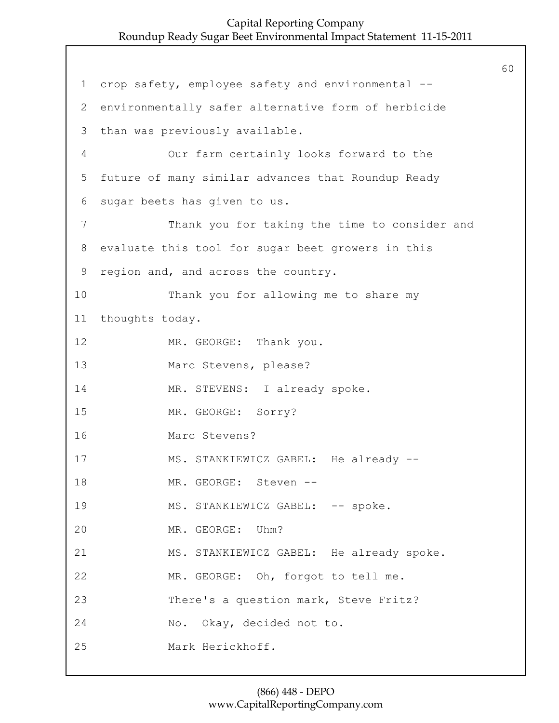1 crop safety, employee safety and environmental -- 2 environmentally safer alternative form of herbicide 3 than was previously available. 4 Our farm certainly looks forward to the 5 future of many similar advances that Roundup Ready 6 sugar beets has given to us. 7 Thank you for taking the time to consider and 8 evaluate this tool for sugar beet growers in this 9 region and, and across the country. 10 Thank you for allowing me to share my 11 thoughts today. 12 MR. GEORGE: Thank you. 13 Marc Stevens, please? 14 MR. STEVENS: I already spoke. 15 MR. GEORGE: Sorry? 16 Marc Stevens? 17 MS. STANKIEWICZ GABEL: He already --18 MR. GEORGE: Steven --19 MS. STANKIEWICZ GABEL: -- spoke. 20 MR. GEORGE: Uhm? 21 MS. STANKIEWICZ GABEL: He already spoke. 22 MR. GEORGE: Oh, forgot to tell me. 23 There's a question mark, Steve Fritz? 24 No. Okay, decided not to. 25 Mark Herickhoff.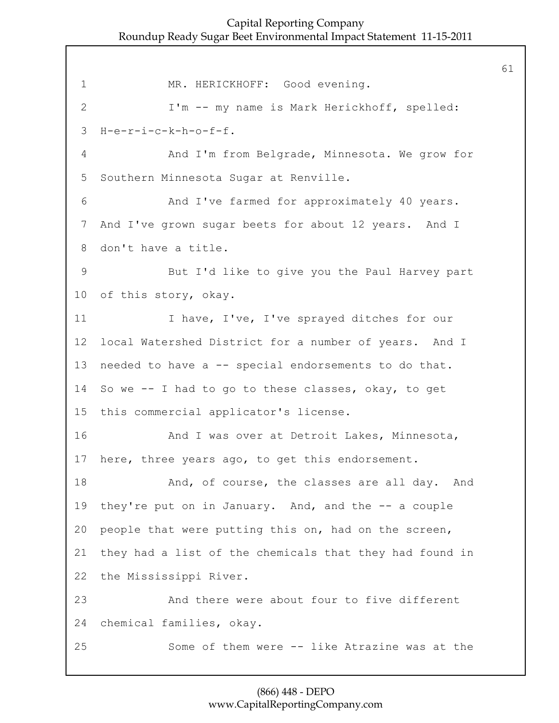1 MR. HERICKHOFF: Good evening. 2 I'm -- my name is Mark Herickhoff, spelled: H-e-r-i-c-k-h-o-f-f. 4 And I'm from Belgrade, Minnesota. We grow for Southern Minnesota Sugar at Renville. 6 And I've farmed for approximately 40 years. And I've grown sugar beets for about 12 years. And I don't have a title. 9 But I'd like to give you the Paul Harvey part of this story, okay. 11 I have, I've, I've sprayed ditches for our local Watershed District for a number of years. And I needed to have a -- special endorsements to do that. So we -- I had to go to these classes, okay, to get this commercial applicator's license. **And I was over at Detroit Lakes, Minnesota,**  here, three years ago, to get this endorsement. 18 And, of course, the classes are all day. And they're put on in January. And, and the -- a couple people that were putting this on, had on the screen, they had a list of the chemicals that they had found in the Mississippi River. 23 And there were about four to five different chemical families, okay. 25 Some of them were -- like Atrazine was at the

# (866) 448 - DEPO www.CapitalReportingCompany.com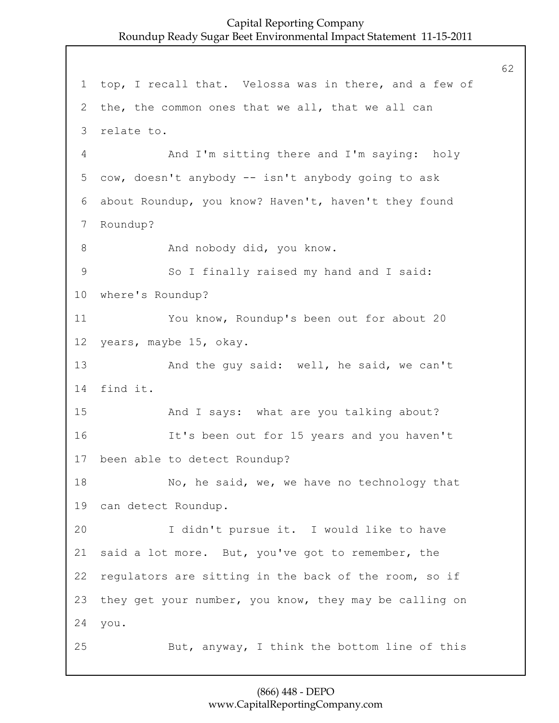1 top, I recall that. Velossa was in there, and a few of 2 the, the common ones that we all, that we all can 3 relate to. 4 And I'm sitting there and I'm saying: holy 5 cow, doesn't anybody -- isn't anybody going to ask 6 about Roundup, you know? Haven't, haven't they found 7 Roundup? 8 And nobody did, you know. 9 So I finally raised my hand and I said: 10 where's Roundup? 11 You know, Roundup's been out for about 20 12 years, maybe 15, okay. 13 And the guy said: well, he said, we can't 14 find it. 15 And I says: what are you talking about? 16 It's been out for 15 years and you haven't 17 been able to detect Roundup? 18 No, he said, we, we have no technology that 19 can detect Roundup. 20 I didn't pursue it. I would like to have 21 said a lot more. But, you've got to remember, the 22 regulators are sitting in the back of the room, so if 23 they get your number, you know, they may be calling on 24 you. 25 But, anyway, I think the bottom line of this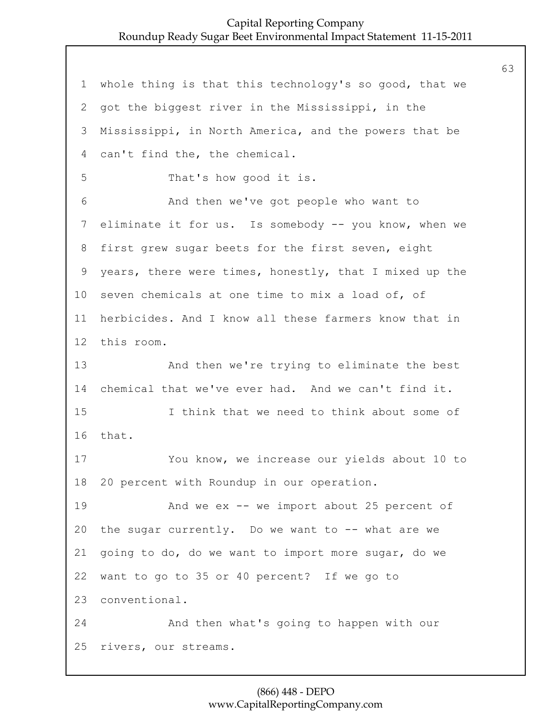whole thing is that this technology's so good, that we got the biggest river in the Mississippi, in the Mississippi, in North America, and the powers that be can't find the, the chemical. 5 That's how good it is. 6 And then we've got people who want to eliminate it for us. Is somebody -- you know, when we first grew sugar beets for the first seven, eight years, there were times, honestly, that I mixed up the seven chemicals at one time to mix a load of, of herbicides. And I know all these farmers know that in this room. 13 And then we're trying to eliminate the best chemical that we've ever had. And we can't find it. 15 I think that we need to think about some of that. 17 You know, we increase our yields about 10 to 20 percent with Roundup in our operation. 19 And we ex -- we import about 25 percent of the sugar currently. Do we want to -- what are we going to do, do we want to import more sugar, do we want to go to 35 or 40 percent? If we go to conventional. 24 And then what's going to happen with our rivers, our streams.

# (866) 448 - DEPO www.CapitalReportingCompany.com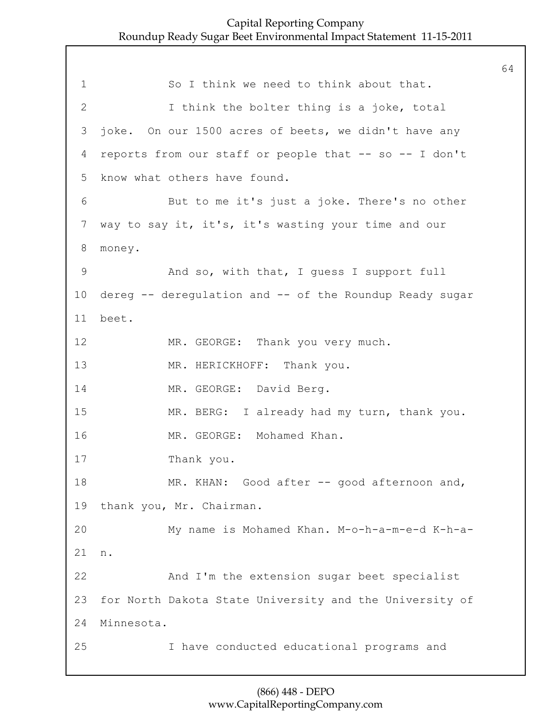64

1 So I think we need to think about that. 2 I think the bolter thing is a joke, total 3 joke. On our 1500 acres of beets, we didn't have any 4 reports from our staff or people that -- so -- I don't 5 know what others have found. 6 But to me it's just a joke. There's no other 7 way to say it, it's, it's wasting your time and our 8 money. 9 And so, with that, I guess I support full 10 dereg -- deregulation and -- of the Roundup Ready sugar 11 beet. 12 MR. GEORGE: Thank you very much. 13 MR. HERICKHOFF: Thank you. 14 MR. GEORGE: David Berg. 15 MR. BERG: I already had my turn, thank you. 16 MR. GEORGE: Mohamed Khan. 17 Thank you. 18 MR. KHAN: Good after -- good afternoon and, 19 thank you, Mr. Chairman. 20 My name is Mohamed Khan. M-o-h-a-m-e-d K-h-a-21 n. 22 And I'm the extension sugar beet specialist 23 for North Dakota State University and the University of 24 Minnesota. 25 I have conducted educational programs and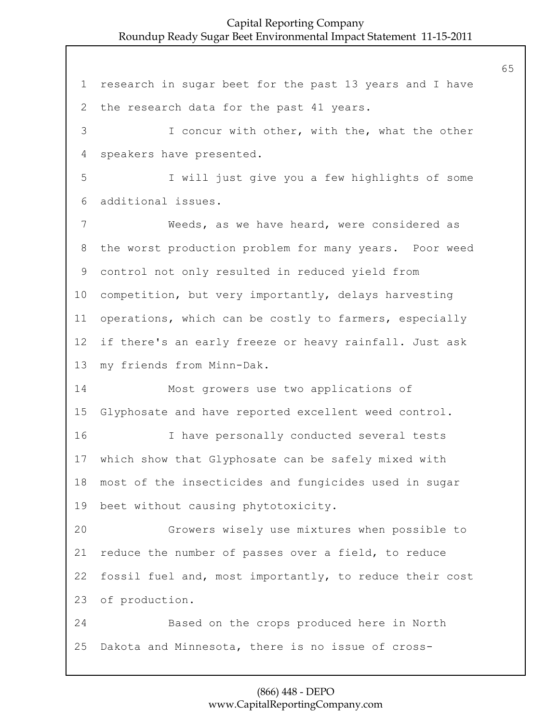research in sugar beet for the past 13 years and I have the research data for the past 41 years. 3 I concur with other, with the, what the other speakers have presented. 5 I will just give you a few highlights of some additional issues. 7 Weeds, as we have heard, were considered as the worst production problem for many years. Poor weed control not only resulted in reduced yield from competition, but very importantly, delays harvesting operations, which can be costly to farmers, especially if there's an early freeze or heavy rainfall. Just ask my friends from Minn-Dak. 14 Most growers use two applications of Glyphosate and have reported excellent weed control. 16 I have personally conducted several tests which show that Glyphosate can be safely mixed with most of the insecticides and fungicides used in sugar beet without causing phytotoxicity. 20 Growers wisely use mixtures when possible to reduce the number of passes over a field, to reduce fossil fuel and, most importantly, to reduce their cost of production. 24 Based on the crops produced here in North Dakota and Minnesota, there is no issue of cross-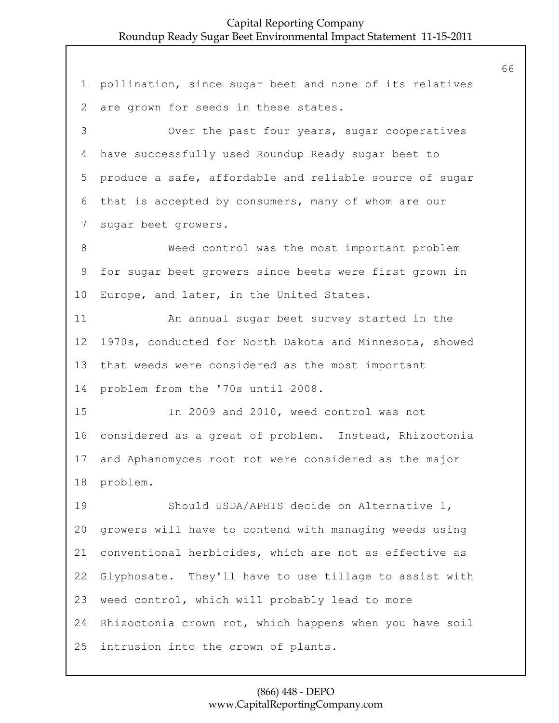pollination, since sugar beet and none of its relatives are grown for seeds in these states. 3 Over the past four years, sugar cooperatives have successfully used Roundup Ready sugar beet to produce a safe, affordable and reliable source of sugar that is accepted by consumers, many of whom are our sugar beet growers. 8 Weed control was the most important problem for sugar beet growers since beets were first grown in Europe, and later, in the United States. 11 An annual sugar beet survey started in the 1970s, conducted for North Dakota and Minnesota, showed that weeds were considered as the most important problem from the '70s until 2008. 15 In 2009 and 2010, weed control was not considered as a great of problem. Instead, Rhizoctonia and Aphanomyces root rot were considered as the major problem. 19 Should USDA/APHIS decide on Alternative 1, growers will have to contend with managing weeds using conventional herbicides, which are not as effective as Glyphosate. They'll have to use tillage to assist with weed control, which will probably lead to more Rhizoctonia crown rot, which happens when you have soil intrusion into the crown of plants.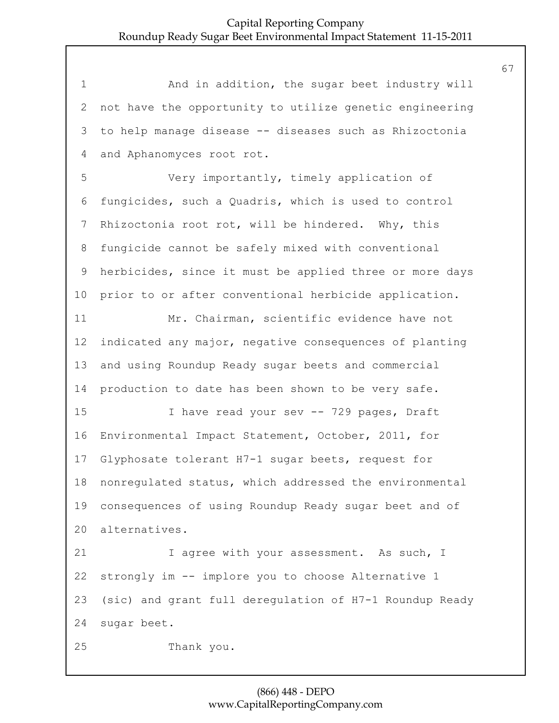1 And in addition, the sugar beet industry will not have the opportunity to utilize genetic engineering to help manage disease -- diseases such as Rhizoctonia and Aphanomyces root rot.

5 Very importantly, timely application of fungicides, such a Quadris, which is used to control Rhizoctonia root rot, will be hindered. Why, this fungicide cannot be safely mixed with conventional herbicides, since it must be applied three or more days prior to or after conventional herbicide application.

11 Mr. Chairman, scientific evidence have not indicated any major, negative consequences of planting and using Roundup Ready sugar beets and commercial production to date has been shown to be very safe.

15 I have read your sev -- 729 pages, Draft Environmental Impact Statement, October, 2011, for Glyphosate tolerant H7-1 sugar beets, request for nonregulated status, which addressed the environmental consequences of using Roundup Ready sugar beet and of alternatives.

21 1 agree with your assessment. As such, I strongly im -- implore you to choose Alternative 1 (sic) and grant full deregulation of H7-1 Roundup Ready sugar beet.

25 Thank you.

# (866) 448 - DEPO www.CapitalReportingCompany.com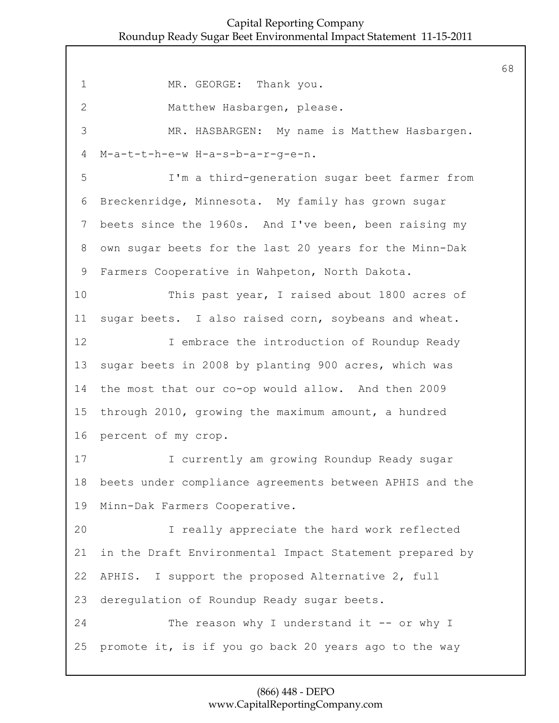1 MR. GEORGE: Thank you. 2 Matthew Hasbargen, please. 3 MR. HASBARGEN: My name is Matthew Hasbargen. M-a-t-t-h-e-w H-a-s-b-a-r-g-e-n. 5 I'm a third-generation sugar beet farmer from Breckenridge, Minnesota. My family has grown sugar beets since the 1960s. And I've been, been raising my own sugar beets for the last 20 years for the Minn-Dak Farmers Cooperative in Wahpeton, North Dakota. 10 This past year, I raised about 1800 acres of sugar beets. I also raised corn, soybeans and wheat. **I** embrace the introduction of Roundup Ready sugar beets in 2008 by planting 900 acres, which was the most that our co-op would allow. And then 2009 through 2010, growing the maximum amount, a hundred percent of my crop. 17 I currently am growing Roundup Ready sugar beets under compliance agreements between APHIS and the Minn-Dak Farmers Cooperative. 20 I really appreciate the hard work reflected in the Draft Environmental Impact Statement prepared by APHIS. I support the proposed Alternative 2, full deregulation of Roundup Ready sugar beets. 24 The reason why I understand it -- or why I promote it, is if you go back 20 years ago to the way

## (866) 448 - DEPO www.CapitalReportingCompany.com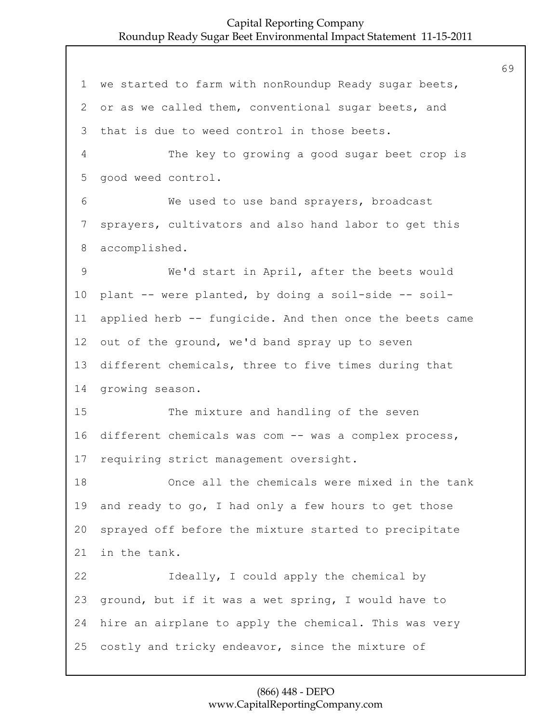we started to farm with nonRoundup Ready sugar beets, or as we called them, conventional sugar beets, and that is due to weed control in those beets. 4 The key to growing a good sugar beet crop is good weed control. 6 We used to use band sprayers, broadcast sprayers, cultivators and also hand labor to get this accomplished. 9 We'd start in April, after the beets would plant -- were planted, by doing a soil-side -- soil- applied herb -- fungicide. And then once the beets came out of the ground, we'd band spray up to seven different chemicals, three to five times during that growing season. 15 The mixture and handling of the seven different chemicals was com -- was a complex process, requiring strict management oversight. 18 Once all the chemicals were mixed in the tank and ready to go, I had only a few hours to get those sprayed off before the mixture started to precipitate in the tank. 22 Ideally, I could apply the chemical by ground, but if it was a wet spring, I would have to hire an airplane to apply the chemical. This was very costly and tricky endeavor, since the mixture of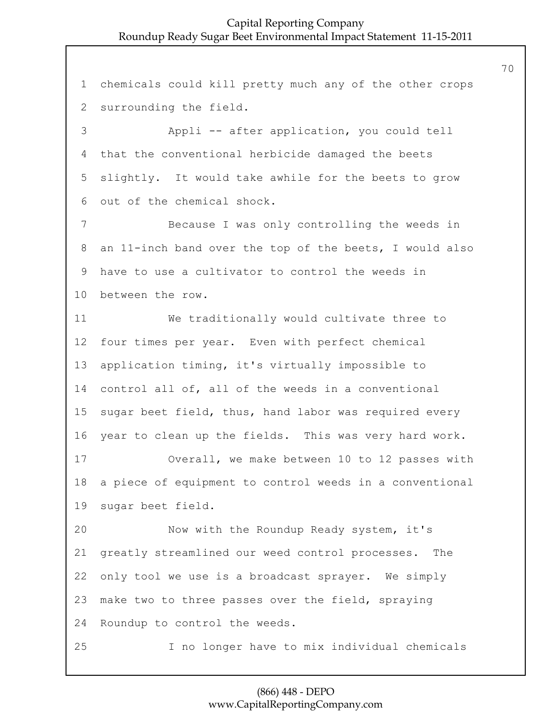chemicals could kill pretty much any of the other crops surrounding the field. 3 Appli -- after application, you could tell that the conventional herbicide damaged the beets slightly. It would take awhile for the beets to grow out of the chemical shock. 7 Because I was only controlling the weeds in an 11-inch band over the top of the beets, I would also have to use a cultivator to control the weeds in between the row. 11 We traditionally would cultivate three to four times per year. Even with perfect chemical application timing, it's virtually impossible to control all of, all of the weeds in a conventional sugar beet field, thus, hand labor was required every year to clean up the fields. This was very hard work. 17 Overall, we make between 10 to 12 passes with a piece of equipment to control weeds in a conventional sugar beet field. 20 Now with the Roundup Ready system, it's greatly streamlined our weed control processes. The only tool we use is a broadcast sprayer. We simply make two to three passes over the field, spraying Roundup to control the weeds. 25 I no longer have to mix individual chemicals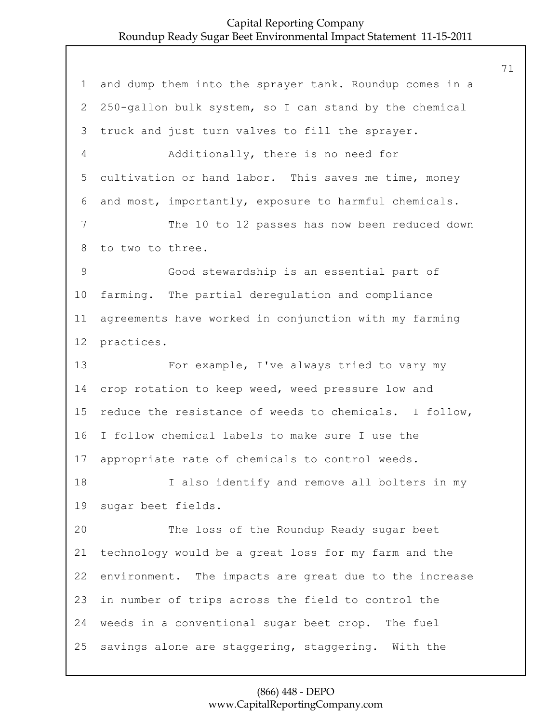| $\mathbf 1$  | and dump them into the sprayer tank. Roundup comes in a |
|--------------|---------------------------------------------------------|
| $\mathbf{2}$ | 250-gallon bulk system, so I can stand by the chemical  |
| 3            | truck and just turn valves to fill the sprayer.         |
| 4            | Additionally, there is no need for                      |
| 5            | cultivation or hand labor. This saves me time, money    |
| 6            | and most, importantly, exposure to harmful chemicals.   |
| 7            | The 10 to 12 passes has now been reduced down           |
| 8            | to two to three.                                        |
| 9            | Good stewardship is an essential part of                |
| 10           | farming. The partial deregulation and compliance        |
| 11           | agreements have worked in conjunction with my farming   |
| 12           | practices.                                              |
| 13           | For example, I've always tried to vary my               |
| 14           | crop rotation to keep weed, weed pressure low and       |
| 15           | reduce the resistance of weeds to chemicals. I follow,  |
| 16           | I follow chemical labels to make sure I use the         |
| 17           | appropriate rate of chemicals to control weeds.         |
| 18           | I also identify and remove all bolters in my            |
| 19           | sugar beet fields.                                      |
| 20           | The loss of the Roundup Ready sugar beet                |
| 21           | technology would be a great loss for my farm and the    |
| 22           | environment. The impacts are great due to the increase  |
| 23           | in number of trips across the field to control the      |
| 24           | weeds in a conventional sugar beet crop. The fuel       |
| 25           | savings alone are staggering, staggering. With the      |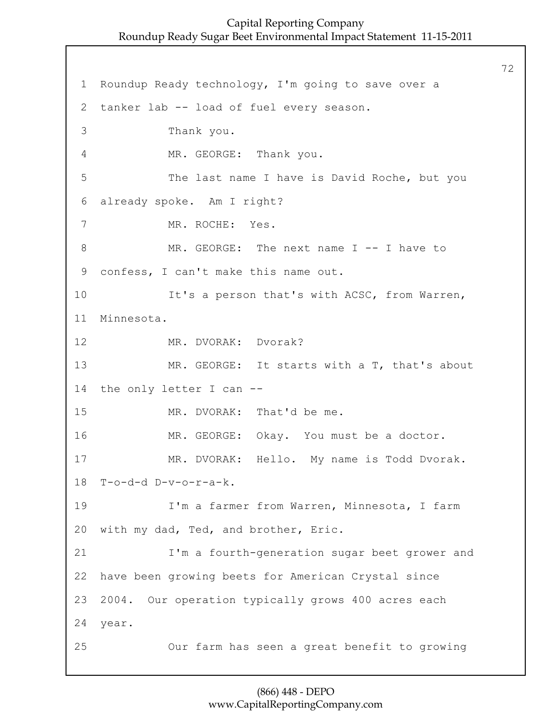72

1 Roundup Ready technology, I'm going to save over a 2 tanker lab -- load of fuel every season. 3 Thank you. 4 MR. GEORGE: Thank you. 5 The last name I have is David Roche, but you 6 already spoke. Am I right? 7 MR. ROCHE: Yes. 8 MR. GEORGE: The next name I -- I have to 9 confess, I can't make this name out. 10 It's a person that's with ACSC, from Warren, 11 Minnesota. 12 MR. DVORAK: Dvorak? 13 MR. GEORGE: It starts with a T, that's about 14 the only letter I can -- 15 MR. DVORAK: That'd be me. 16 MR. GEORGE: Okay. You must be a doctor. 17 MR. DVORAK: Hello. My name is Todd Dvorak. 18 T-o-d-d D-v-o-r-a-k. 19 I'm a farmer from Warren, Minnesota, I farm 20 with my dad, Ted, and brother, Eric. 21 I'm a fourth-generation sugar beet grower and 22 have been growing beets for American Crystal since 23 2004. Our operation typically grows 400 acres each 24 year. 25 Our farm has seen a great benefit to growing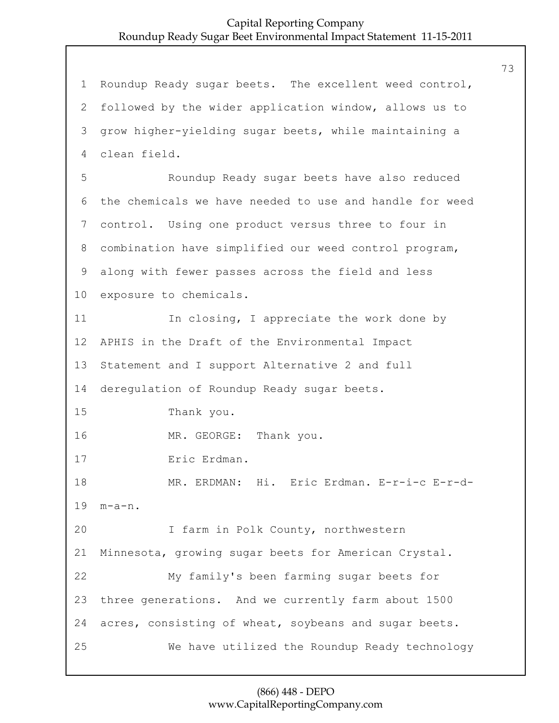1 Roundup Ready sugar beets. The excellent weed control, 2 followed by the wider application window, allows us to 3 grow higher-yielding sugar beets, while maintaining a 4 clean field. 5 Roundup Ready sugar beets have also reduced 6 the chemicals we have needed to use and handle for weed 7 control. Using one product versus three to four in 8 combination have simplified our weed control program, 9 along with fewer passes across the field and less 10 exposure to chemicals. 11 In closing, I appreciate the work done by 12 APHIS in the Draft of the Environmental Impact 13 Statement and I support Alternative 2 and full 14 deregulation of Roundup Ready sugar beets. 15 Thank you. 16 MR. GEORGE: Thank you. 17 Eric Erdman. 18 MR. ERDMAN: Hi. Eric Erdman. E-r-i-c E-r-d-19 m-a-n. 20 I farm in Polk County, northwestern 21 Minnesota, growing sugar beets for American Crystal. 22 My family's been farming sugar beets for 23 three generations. And we currently farm about 1500 24 acres, consisting of wheat, soybeans and sugar beets. 25 We have utilized the Roundup Ready technology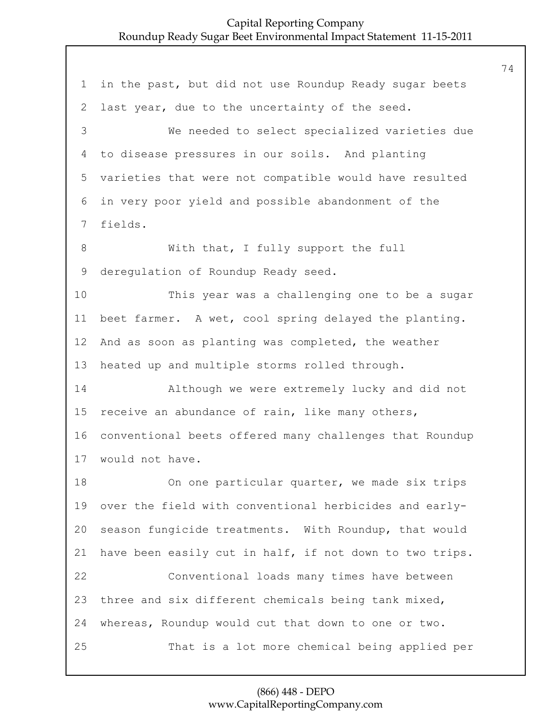in the past, but did not use Roundup Ready sugar beets last year, due to the uncertainty of the seed. 3 We needed to select specialized varieties due to disease pressures in our soils. And planting varieties that were not compatible would have resulted in very poor yield and possible abandonment of the fields. 8 With that, I fully support the full deregulation of Roundup Ready seed. 10 This year was a challenging one to be a sugar beet farmer. A wet, cool spring delayed the planting. And as soon as planting was completed, the weather heated up and multiple storms rolled through. 14 Although we were extremely lucky and did not receive an abundance of rain, like many others, conventional beets offered many challenges that Roundup would not have. 18 On one particular quarter, we made six trips over the field with conventional herbicides and early- season fungicide treatments. With Roundup, that would have been easily cut in half, if not down to two trips. 22 Conventional loads many times have between three and six different chemicals being tank mixed, whereas, Roundup would cut that down to one or two. 25 That is a lot more chemical being applied per

#### (866) 448 - DEPO www.CapitalReportingCompany.com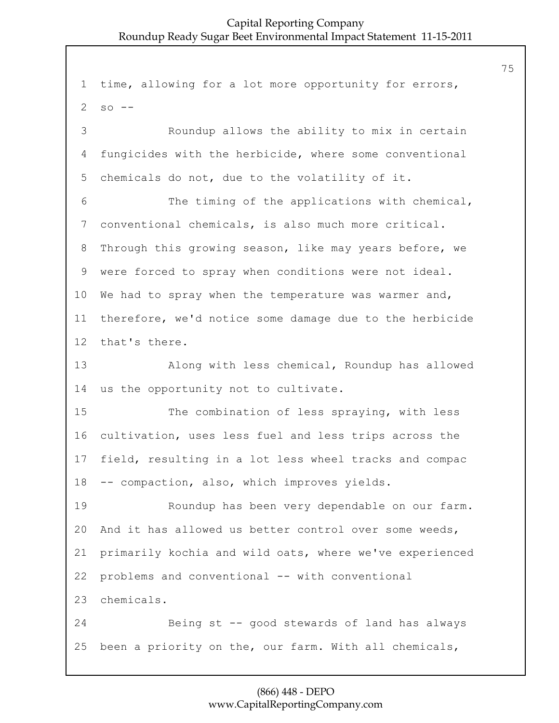time, allowing for a lot more opportunity for errors, so  $-$ 3 Roundup allows the ability to mix in certain fungicides with the herbicide, where some conventional chemicals do not, due to the volatility of it. 6 The timing of the applications with chemical, conventional chemicals, is also much more critical. Through this growing season, like may years before, we were forced to spray when conditions were not ideal. We had to spray when the temperature was warmer and, therefore, we'd notice some damage due to the herbicide that's there. 13 Along with less chemical, Roundup has allowed us the opportunity not to cultivate. 15 The combination of less spraying, with less cultivation, uses less fuel and less trips across the field, resulting in a lot less wheel tracks and compac -- compaction, also, which improves yields. 19 Roundup has been very dependable on our farm. And it has allowed us better control over some weeds, primarily kochia and wild oats, where we've experienced problems and conventional -- with conventional chemicals. 24 Being st -- good stewards of land has always been a priority on the, our farm. With all chemicals,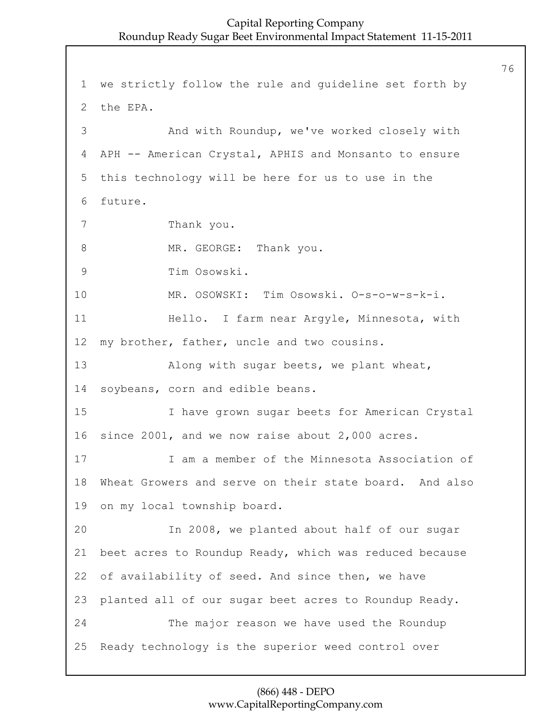1 we strictly follow the rule and guideline set forth by 2 the EPA. 3 And with Roundup, we've worked closely with 4 APH -- American Crystal, APHIS and Monsanto to ensure 5 this technology will be here for us to use in the 6 future. 7 Thank you. 8 MR. GEORGE: Thank you. 9 Tim Osowski. 10 MR. OSOWSKI: Tim Osowski. O-s-o-w-s-k-i. 11 Hello. I farm near Argyle, Minnesota, with 12 my brother, father, uncle and two cousins. 13 Along with sugar beets, we plant wheat, 14 soybeans, corn and edible beans. 15 I have grown sugar beets for American Crystal 16 since 2001, and we now raise about 2,000 acres. 17 I am a member of the Minnesota Association of 18 Wheat Growers and serve on their state board. And also 19 on my local township board. 20 In 2008, we planted about half of our sugar 21 beet acres to Roundup Ready, which was reduced because 22 of availability of seed. And since then, we have 23 planted all of our sugar beet acres to Roundup Ready. 24 The major reason we have used the Roundup 25 Ready technology is the superior weed control over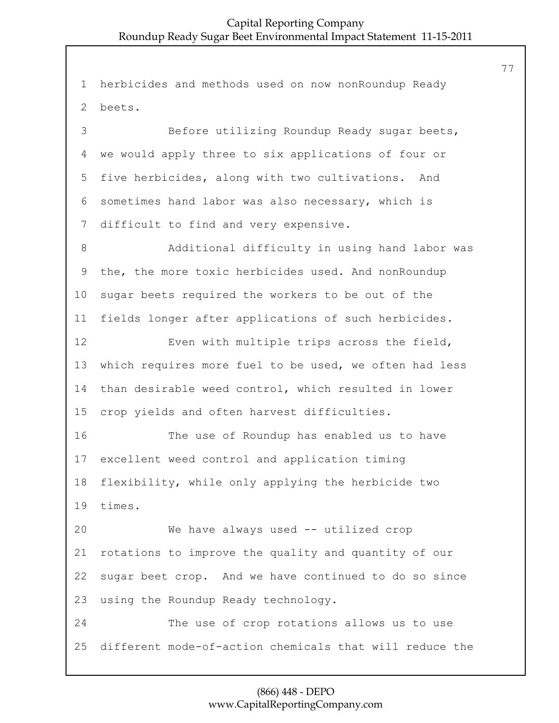herbicides and methods used on now nonRoundup Ready beets. 3 Before utilizing Roundup Ready sugar beets, we would apply three to six applications of four or five herbicides, along with two cultivations. And sometimes hand labor was also necessary, which is difficult to find and very expensive. 8 Additional difficulty in using hand labor was the, the more toxic herbicides used. And nonRoundup sugar beets required the workers to be out of the fields longer after applications of such herbicides. 12 Even with multiple trips across the field, which requires more fuel to be used, we often had less than desirable weed control, which resulted in lower crop yields and often harvest difficulties. 16 The use of Roundup has enabled us to have excellent weed control and application timing flexibility, while only applying the herbicide two times. 20 We have always used -- utilized crop rotations to improve the quality and quantity of our sugar beet crop. And we have continued to do so since using the Roundup Ready technology. 24 The use of crop rotations allows us to use different mode-of-action chemicals that will reduce the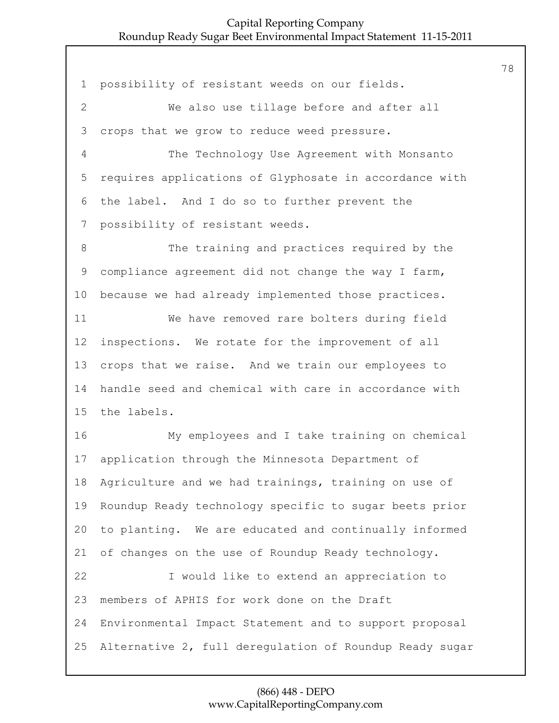possibility of resistant weeds on our fields. 2 We also use tillage before and after all crops that we grow to reduce weed pressure. 4 The Technology Use Agreement with Monsanto requires applications of Glyphosate in accordance with the label. And I do so to further prevent the possibility of resistant weeds. 8 The training and practices required by the compliance agreement did not change the way I farm, because we had already implemented those practices. 11 We have removed rare bolters during field inspections. We rotate for the improvement of all crops that we raise. And we train our employees to handle seed and chemical with care in accordance with the labels. 16 My employees and I take training on chemical application through the Minnesota Department of Agriculture and we had trainings, training on use of Roundup Ready technology specific to sugar beets prior to planting. We are educated and continually informed of changes on the use of Roundup Ready technology. 22 I would like to extend an appreciation to members of APHIS for work done on the Draft Environmental Impact Statement and to support proposal Alternative 2, full deregulation of Roundup Ready sugar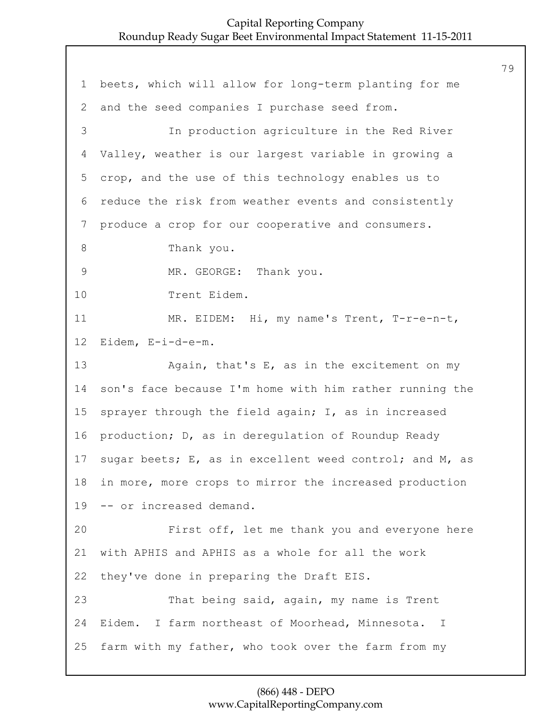beets, which will allow for long-term planting for me and the seed companies I purchase seed from. 3 In production agriculture in the Red River Valley, weather is our largest variable in growing a crop, and the use of this technology enables us to reduce the risk from weather events and consistently produce a crop for our cooperative and consumers. 8 Thank you. 9 MR. GEORGE: Thank you. 10 Trent Eidem. 11 MR. EIDEM: Hi, my name's Trent, T-r-e-n-t, Eidem, E-i-d-e-m. 13 Again, that's E, as in the excitement on my son's face because I'm home with him rather running the sprayer through the field again; I, as in increased production; D, as in deregulation of Roundup Ready sugar beets; E, as in excellent weed control; and M, as in more, more crops to mirror the increased production -- or increased demand. 20 First off, let me thank you and everyone here with APHIS and APHIS as a whole for all the work they've done in preparing the Draft EIS. 23 That being said, again, my name is Trent Eidem. I farm northeast of Moorhead, Minnesota. I farm with my father, who took over the farm from my

#### (866) 448 - DEPO www.CapitalReportingCompany.com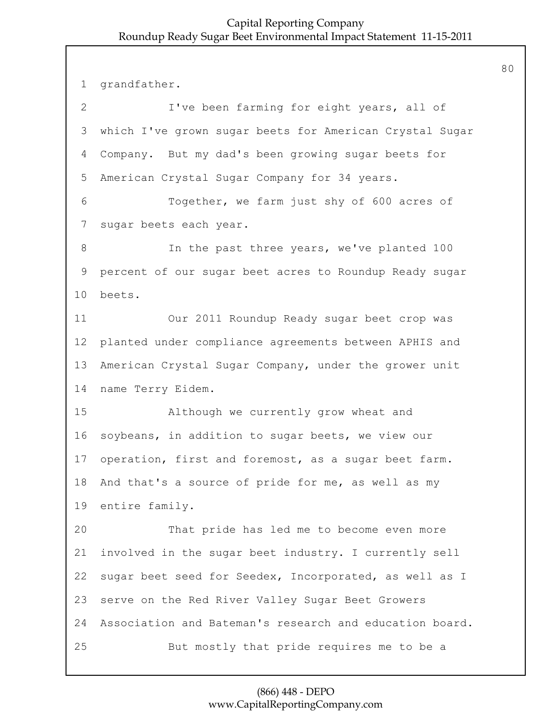grandfather. 2 I've been farming for eight years, all of which I've grown sugar beets for American Crystal Sugar Company. But my dad's been growing sugar beets for American Crystal Sugar Company for 34 years. 6 Together, we farm just shy of 600 acres of sugar beets each year. 8 100 In the past three years, we've planted 100 percent of our sugar beet acres to Roundup Ready sugar beets. 11 Our 2011 Roundup Ready sugar beet crop was planted under compliance agreements between APHIS and American Crystal Sugar Company, under the grower unit name Terry Eidem. 15 Although we currently grow wheat and soybeans, in addition to sugar beets, we view our operation, first and foremost, as a sugar beet farm. And that's a source of pride for me, as well as my entire family. 20 That pride has led me to become even more involved in the sugar beet industry. I currently sell sugar beet seed for Seedex, Incorporated, as well as I serve on the Red River Valley Sugar Beet Growers Association and Bateman's research and education board. 25 But mostly that pride requires me to be a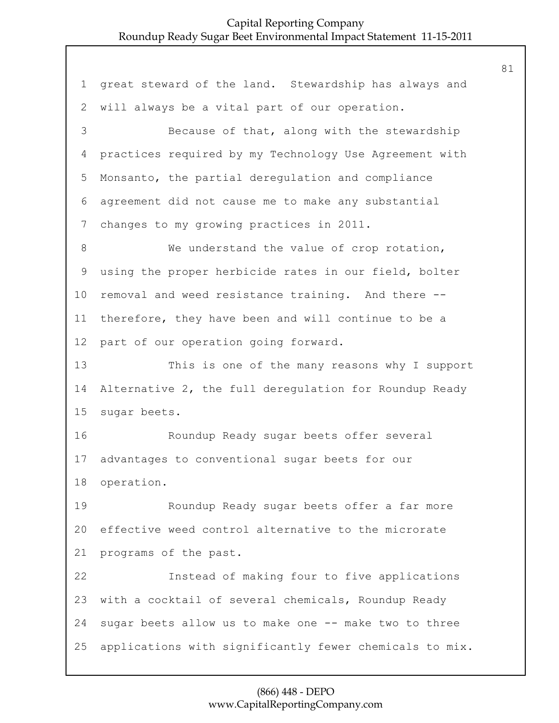great steward of the land. Stewardship has always and will always be a vital part of our operation. 3 Because of that, along with the stewardship practices required by my Technology Use Agreement with Monsanto, the partial deregulation and compliance agreement did not cause me to make any substantial changes to my growing practices in 2011. 8 We understand the value of crop rotation, using the proper herbicide rates in our field, bolter removal and weed resistance training. And there -- therefore, they have been and will continue to be a part of our operation going forward. 13 This is one of the many reasons why I support Alternative 2, the full deregulation for Roundup Ready sugar beets. 16 Roundup Ready sugar beets offer several advantages to conventional sugar beets for our operation. 19 Roundup Ready sugar beets offer a far more effective weed control alternative to the microrate programs of the past. 22 Instead of making four to five applications with a cocktail of several chemicals, Roundup Ready sugar beets allow us to make one -- make two to three applications with significantly fewer chemicals to mix.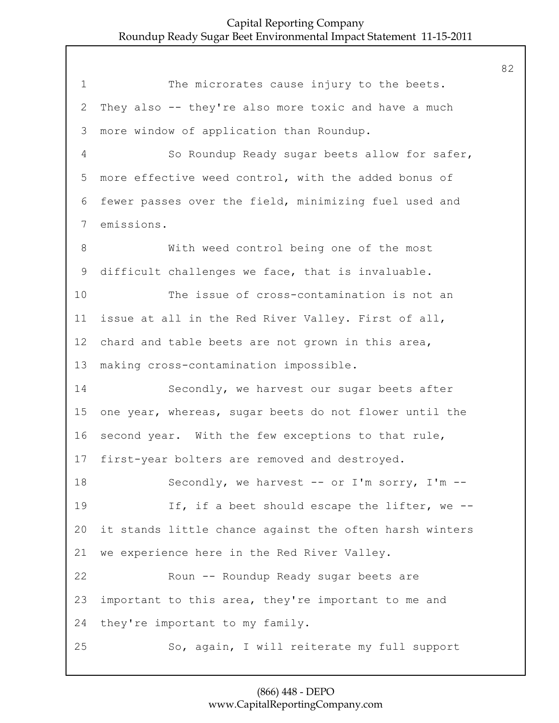1 The microrates cause injury to the beets. They also -- they're also more toxic and have a much more window of application than Roundup. 4 So Roundup Ready sugar beets allow for safer, more effective weed control, with the added bonus of fewer passes over the field, minimizing fuel used and emissions. 8 With weed control being one of the most difficult challenges we face, that is invaluable. 10 The issue of cross-contamination is not an issue at all in the Red River Valley. First of all, chard and table beets are not grown in this area, making cross-contamination impossible. 14 Secondly, we harvest our sugar beets after one year, whereas, sugar beets do not flower until the second year. With the few exceptions to that rule, first-year bolters are removed and destroyed. 18 Secondly, we harvest -- or I'm sorry, I'm --19 If, if a beet should escape the lifter, we -- it stands little chance against the often harsh winters we experience here in the Red River Valley. 22 Roun -- Roundup Ready sugar beets are important to this area, they're important to me and they're important to my family. 25 So, again, I will reiterate my full support

#### (866) 448 - DEPO www.CapitalReportingCompany.com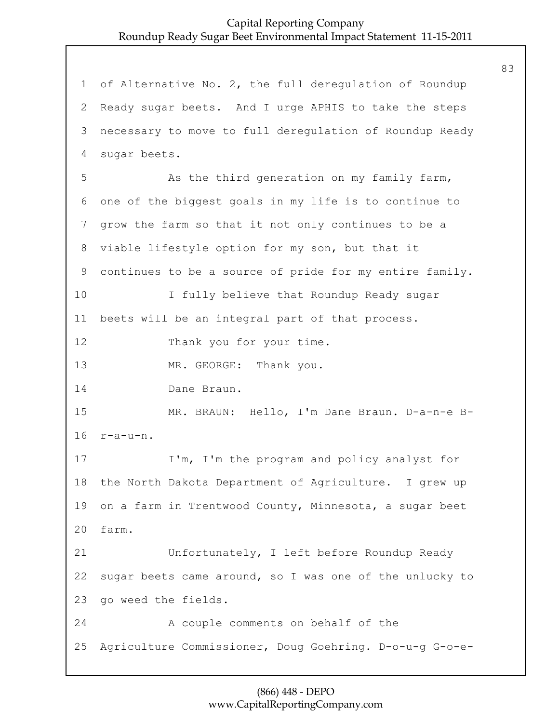1 of Alternative No. 2, the full deregulation of Roundup 2 Ready sugar beets. And I urge APHIS to take the steps 3 necessary to move to full deregulation of Roundup Ready 4 sugar beets. 5 As the third generation on my family farm, 6 one of the biggest goals in my life is to continue to 7 grow the farm so that it not only continues to be a 8 viable lifestyle option for my son, but that it 9 continues to be a source of pride for my entire family. 10 I fully believe that Roundup Ready sugar 11 beets will be an integral part of that process. 12 Thank you for your time. 13 MR. GEORGE: Thank you. 14 Dane Braun. 15 MR. BRAUN: Hello, I'm Dane Braun. D-a-n-e B-16 r-a-u-n. 17 I'm, I'm the program and policy analyst for 18 the North Dakota Department of Agriculture. I grew up 19 on a farm in Trentwood County, Minnesota, a sugar beet 20 farm. 21 Unfortunately, I left before Roundup Ready 22 sugar beets came around, so I was one of the unlucky to 23 go weed the fields. 24 A couple comments on behalf of the 25 Agriculture Commissioner, Doug Goehring. D-o-u-g G-o-e-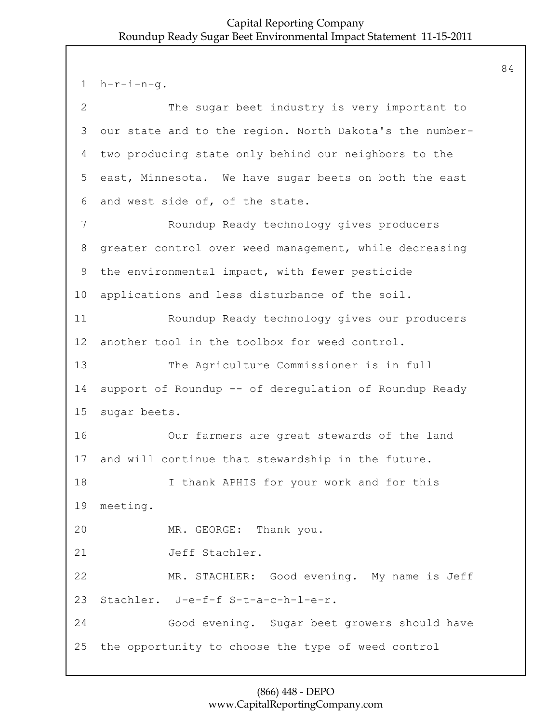1 h-r-i-n-g.

| $\overline{2}$ | The sugar beet industry is very important to            |
|----------------|---------------------------------------------------------|
| 3              | our state and to the region. North Dakota's the number- |
| 4              | two producing state only behind our neighbors to the    |
| 5              | east, Minnesota. We have sugar beets on both the east   |
| 6              | and west side of, of the state.                         |
| 7              | Roundup Ready technology gives producers                |
| 8              | greater control over weed management, while decreasing  |
| 9              | the environmental impact, with fewer pesticide          |
| 10             | applications and less disturbance of the soil.          |
| 11             | Roundup Ready technology gives our producers            |
| 12             | another tool in the toolbox for weed control.           |
| 13             | The Agriculture Commissioner is in full                 |
| 14             | support of Roundup -- of deregulation of Roundup Ready  |
| 15             | sugar beets.                                            |
| 16             | Our farmers are great stewards of the land              |
| 17             | and will continue that stewardship in the future.       |
| 18             | I thank APHIS for your work and for this                |
| 19             | meeting.                                                |
| 20             | MR. GEORGE: Thank you.                                  |
| 21             | Jeff Stachler.                                          |
| 22             | MR. STACHLER: Good evening. My name is Jeff             |
| 23             | Stachler. J-e-f-f S-t-a-c-h-l-e-r.                      |
| 24             | Good evening. Sugar beet growers should have            |
| 25             | the opportunity to choose the type of weed control      |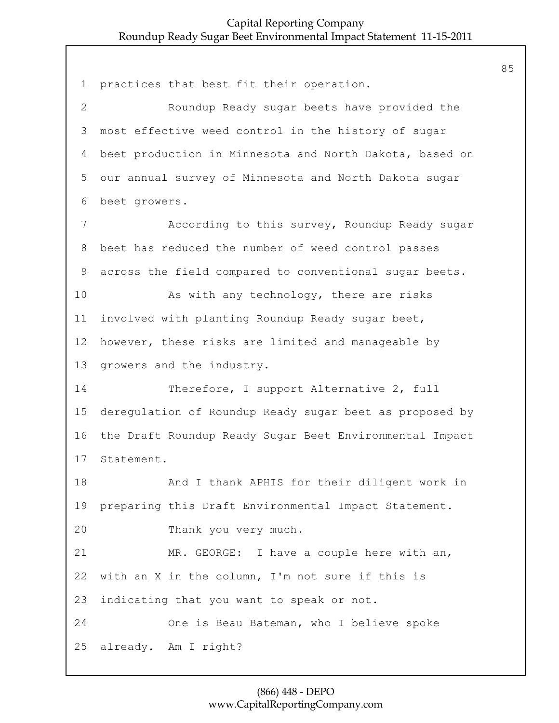practices that best fit their operation. 2 Roundup Ready sugar beets have provided the most effective weed control in the history of sugar beet production in Minnesota and North Dakota, based on our annual survey of Minnesota and North Dakota sugar beet growers. 7 According to this survey, Roundup Ready sugar beet has reduced the number of weed control passes across the field compared to conventional sugar beets. 10 As with any technology, there are risks involved with planting Roundup Ready sugar beet, however, these risks are limited and manageable by growers and the industry. 14 Therefore, I support Alternative 2, full deregulation of Roundup Ready sugar beet as proposed by the Draft Roundup Ready Sugar Beet Environmental Impact Statement. 18 And I thank APHIS for their diligent work in preparing this Draft Environmental Impact Statement. 20 Thank you very much. 21 MR. GEORGE: I have a couple here with an, with an X in the column, I'm not sure if this is indicating that you want to speak or not. 24 One is Beau Bateman, who I believe spoke already. Am I right?

#### (866) 448 - DEPO www.CapitalReportingCompany.com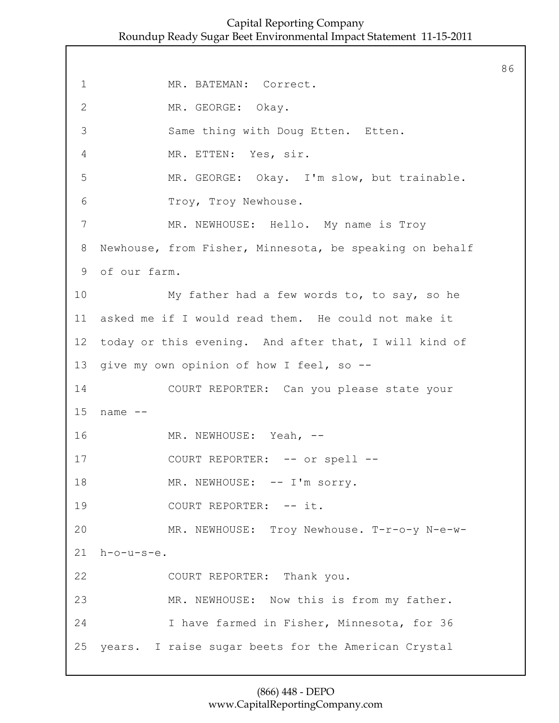86

1 MR. BATEMAN: Correct. 2 MR. GEORGE: Okay. 3 Same thing with Doug Etten. Etten. 4 MR. ETTEN: Yes, sir. 5 MR. GEORGE: Okay. I'm slow, but trainable. 6 Troy, Troy Newhouse. 7 MR. NEWHOUSE: Hello. My name is Troy 8 Newhouse, from Fisher, Minnesota, be speaking on behalf 9 of our farm. 10 My father had a few words to, to say, so he 11 asked me if I would read them. He could not make it 12 today or this evening. And after that, I will kind of 13 give my own opinion of how I feel, so -- 14 COURT REPORTER: Can you please state your 15 name -- 16 MR. NEWHOUSE: Yeah, --17 COURT REPORTER: -- or spell --18 MR. NEWHOUSE:  $--$  I'm sorry. 19 COURT REPORTER:  $--$  it. 20 MR. NEWHOUSE: Troy Newhouse. T-r-o-y N-e-w-21 h-o-u-s-e. 22 COURT REPORTER: Thank you. 23 MR. NEWHOUSE: Now this is from my father. 24 I have farmed in Fisher, Minnesota, for 36 25 years. I raise sugar beets for the American Crystal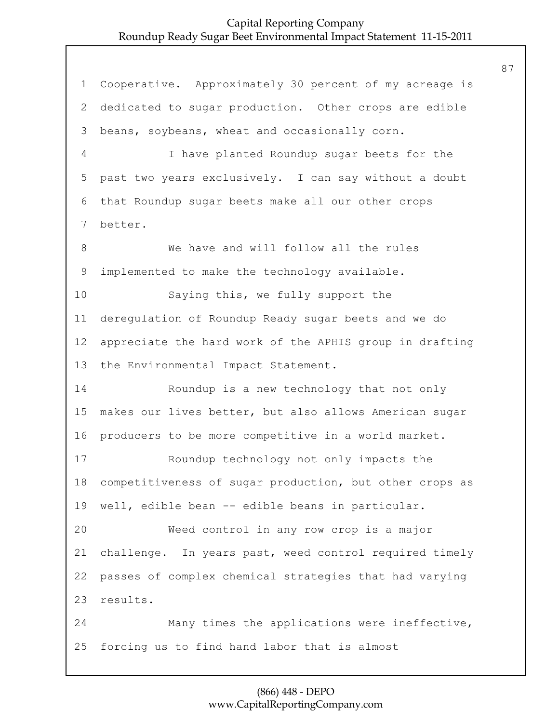Cooperative. Approximately 30 percent of my acreage is dedicated to sugar production. Other crops are edible beans, soybeans, wheat and occasionally corn. 4 I have planted Roundup sugar beets for the past two years exclusively. I can say without a doubt that Roundup sugar beets make all our other crops better. 8 We have and will follow all the rules implemented to make the technology available. 10 Saying this, we fully support the deregulation of Roundup Ready sugar beets and we do appreciate the hard work of the APHIS group in drafting the Environmental Impact Statement. 14 Roundup is a new technology that not only makes our lives better, but also allows American sugar producers to be more competitive in a world market. 17 Roundup technology not only impacts the competitiveness of sugar production, but other crops as well, edible bean -- edible beans in particular. 20 Weed control in any row crop is a major challenge. In years past, weed control required timely passes of complex chemical strategies that had varying results. 24 Many times the applications were ineffective, forcing us to find hand labor that is almost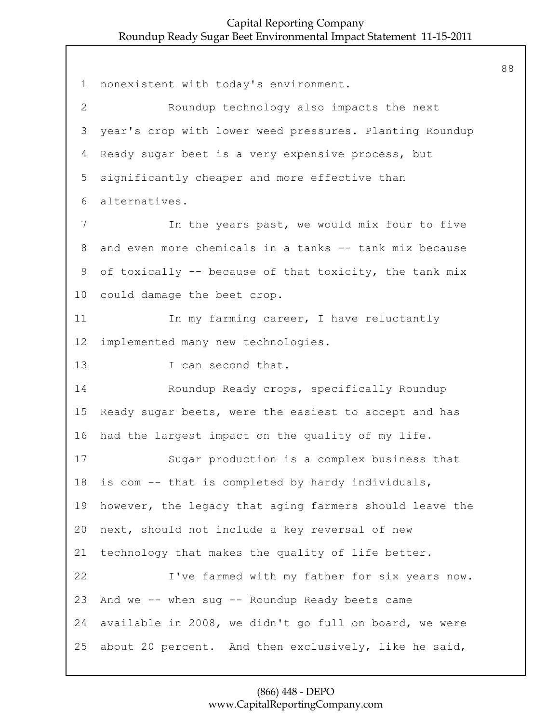88

| $\mathbf 1$    | nonexistent with today's environment.                   |
|----------------|---------------------------------------------------------|
| $\overline{2}$ | Roundup technology also impacts the next                |
| 3              | year's crop with lower weed pressures. Planting Roundup |
| 4              | Ready sugar beet is a very expensive process, but       |
| 5              | significantly cheaper and more effective than           |
| 6              | alternatives.                                           |
| 7              | In the years past, we would mix four to five            |
| 8              | and even more chemicals in a tanks -- tank mix because  |
| 9              | of toxically -- because of that toxicity, the tank mix  |
| 10             | could damage the beet crop.                             |
| 11             | In my farming career, I have reluctantly                |
| 12             | implemented many new technologies.                      |
| 13             | I can second that.                                      |
| 14             | Roundup Ready crops, specifically Roundup               |
| 15             | Ready sugar beets, were the easiest to accept and has   |
| 16             | had the largest impact on the quality of my life.       |
| 17             | Sugar production is a complex business that             |
| 18             | is com -- that is completed by hardy individuals,       |
| 19             | however, the legacy that aging farmers should leave the |
| 20             | next, should not include a key reversal of new          |
| 21             | technology that makes the quality of life better.       |
| 22             | I've farmed with my father for six years now.           |
| 23             | And we -- when sug -- Roundup Ready beets came          |
| 24             | available in 2008, we didn't go full on board, we were  |
| 25             | about 20 percent. And then exclusively, like he said,   |

(866) 448 - DEPO www.CapitalReportingCompany.com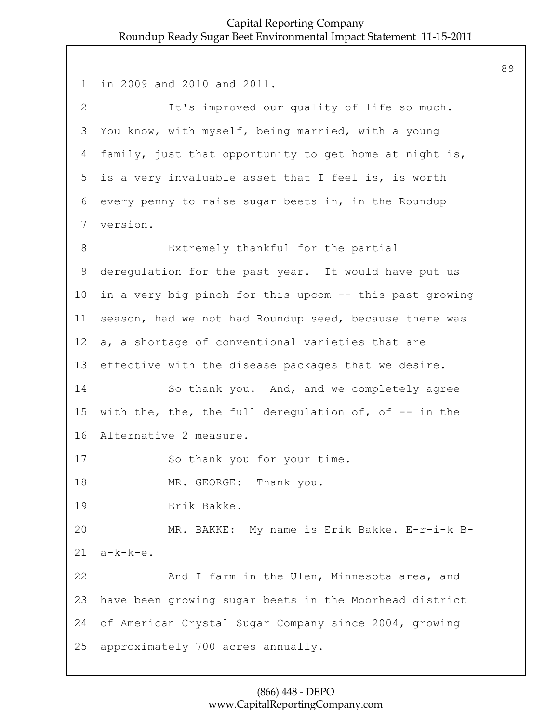1 in 2009 and 2010 and 2011. 2 It's improved our quality of life so much. 3 You know, with myself, being married, with a young 4 family, just that opportunity to get home at night is, 5 is a very invaluable asset that I feel is, is worth 6 every penny to raise sugar beets in, in the Roundup 7 version. 8 Extremely thankful for the partial 9 deregulation for the past year. It would have put us 10 in a very big pinch for this upcom -- this past growing 11 season, had we not had Roundup seed, because there was 12 a, a shortage of conventional varieties that are 13 effective with the disease packages that we desire. 14 So thank you. And, and we completely agree 15 with the, the, the full derequlation of, of  $-$  in the 16 Alternative 2 measure. 17 So thank you for your time. 18 MR. GEORGE: Thank you. 19 Erik Bakke. 20 MR. BAKKE: My name is Erik Bakke. E-r-i-k B-21 a-k-k-e. 22 And I farm in the Ulen, Minnesota area, and 23 have been growing sugar beets in the Moorhead district 24 of American Crystal Sugar Company since 2004, growing 25 approximately 700 acres annually.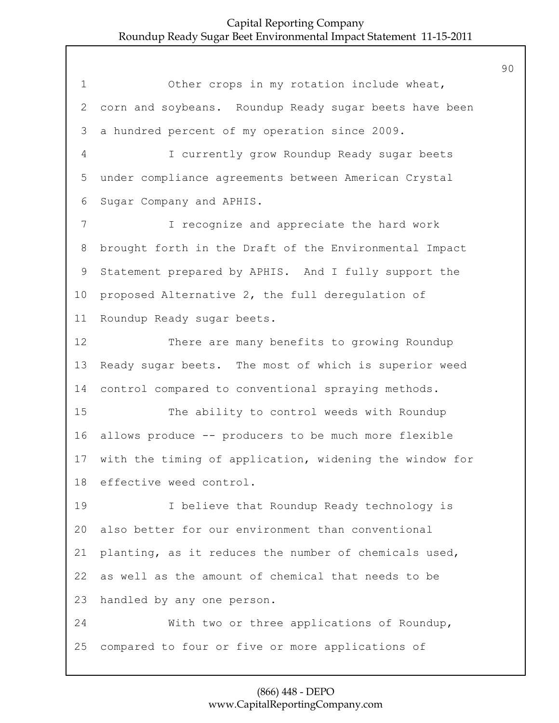1 Other crops in my rotation include wheat, corn and soybeans. Roundup Ready sugar beets have been a hundred percent of my operation since 2009. 4 I currently grow Roundup Ready sugar beets under compliance agreements between American Crystal Sugar Company and APHIS. 7 I recognize and appreciate the hard work brought forth in the Draft of the Environmental Impact Statement prepared by APHIS. And I fully support the proposed Alternative 2, the full deregulation of Roundup Ready sugar beets. 12 There are many benefits to growing Roundup Ready sugar beets. The most of which is superior weed control compared to conventional spraying methods. 15 The ability to control weeds with Roundup allows produce -- producers to be much more flexible with the timing of application, widening the window for effective weed control. 19 I believe that Roundup Ready technology is also better for our environment than conventional planting, as it reduces the number of chemicals used, as well as the amount of chemical that needs to be handled by any one person. 24 With two or three applications of Roundup, compared to four or five or more applications of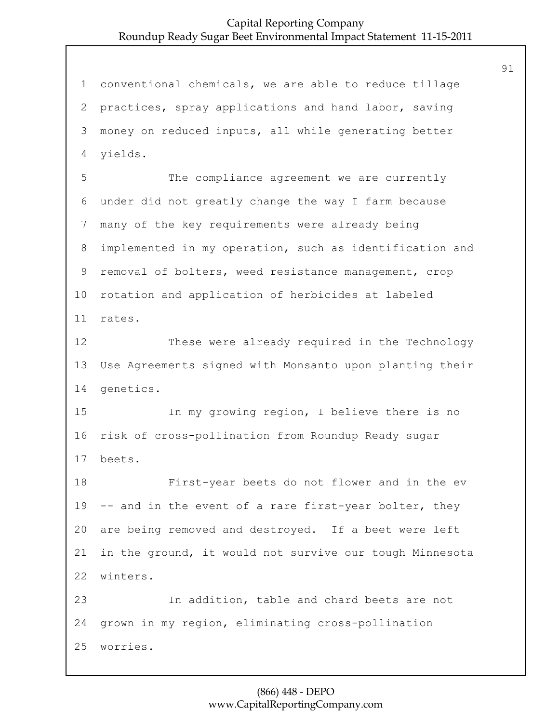conventional chemicals, we are able to reduce tillage practices, spray applications and hand labor, saving money on reduced inputs, all while generating better yields. 5 The compliance agreement we are currently under did not greatly change the way I farm because many of the key requirements were already being implemented in my operation, such as identification and removal of bolters, weed resistance management, crop rotation and application of herbicides at labeled rates. 12 These were already required in the Technology Use Agreements signed with Monsanto upon planting their genetics. 15 In my growing region, I believe there is no risk of cross-pollination from Roundup Ready sugar beets. 18 First-year beets do not flower and in the ev -- and in the event of a rare first-year bolter, they are being removed and destroyed. If a beet were left in the ground, it would not survive our tough Minnesota winters. 23 In addition, table and chard beets are not grown in my region, eliminating cross-pollination worries.

#### (866) 448 - DEPO www.CapitalReportingCompany.com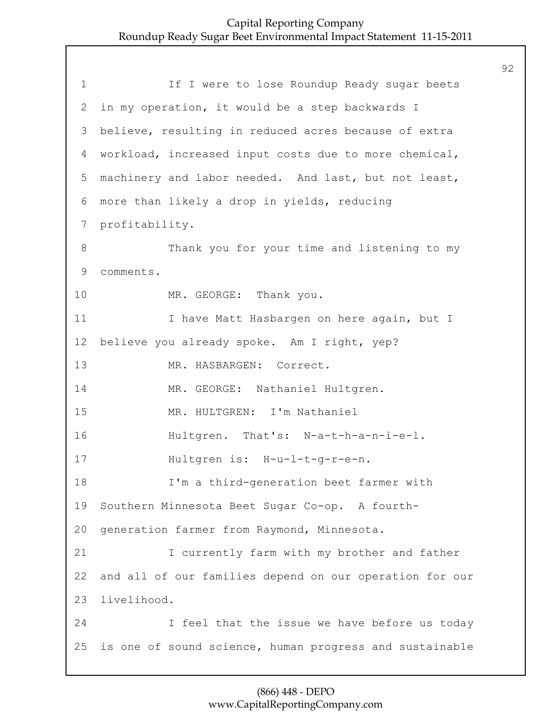| $\mathbf 1$     | If I were to lose Roundup Ready sugar beets             |
|-----------------|---------------------------------------------------------|
| 2               | in my operation, it would be a step backwards I         |
| 3               | believe, resulting in reduced acres because of extra    |
| 4               | workload, increased input costs due to more chemical,   |
| 5               | machinery and labor needed. And last, but not least,    |
| 6               | more than likely a drop in yields, reducing             |
| $7\phantom{.0}$ | profitability.                                          |
| 8               | Thank you for your time and listening to my             |
| 9               | comments.                                               |
| 10              | MR. GEORGE: Thank you.                                  |
| 11              | I have Matt Hasbargen on here again, but I              |
| 12 <sup>°</sup> | believe you already spoke. Am I right, yep?             |
| 13              | MR. HASBARGEN: Correct.                                 |
| 14              | MR. GEORGE: Nathaniel Hultgren.                         |
| 15              | MR. HULTGREN: I'm Nathaniel                             |
| 16              | Hultgren. That's: N-a-t-h-a-n-i-e-l.                    |
| 17              | Hultgren is: H-u-l-t-g-r-e-n.                           |
| 18              | I'm a third-generation beet farmer with                 |
| 19              | Southern Minnesota Beet Sugar Co-op. A fourth-          |
| 20              | generation farmer from Raymond, Minnesota.              |
| 21              | I currently farm with my brother and father             |
| 22              | and all of our families depend on our operation for our |
| 23              | livelihood.                                             |
| 24              | I feel that the issue we have before us today           |
| 25              | is one of sound science, human progress and sustainable |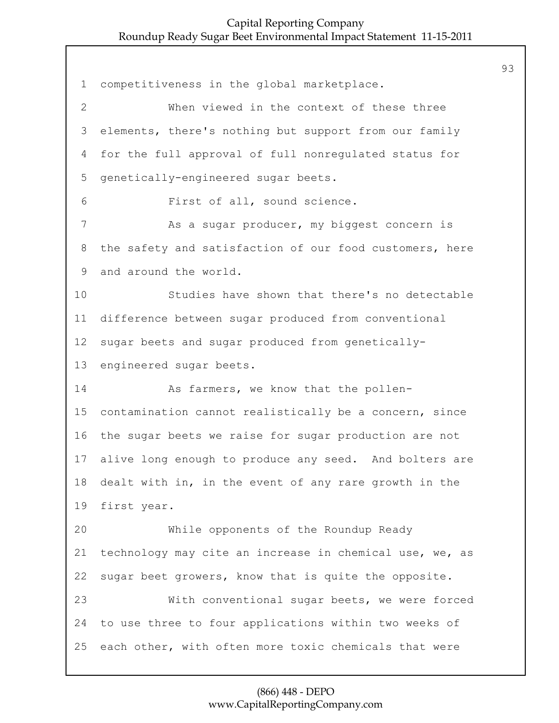competitiveness in the global marketplace. 2 When viewed in the context of these three elements, there's nothing but support from our family for the full approval of full nonregulated status for genetically-engineered sugar beets. 6 First of all, sound science. 7 As a sugar producer, my biggest concern is the safety and satisfaction of our food customers, here and around the world. 10 Studies have shown that there's no detectable difference between sugar produced from conventional sugar beets and sugar produced from genetically- engineered sugar beets. 14 As farmers, we know that the pollen- contamination cannot realistically be a concern, since the sugar beets we raise for sugar production are not alive long enough to produce any seed. And bolters are dealt with in, in the event of any rare growth in the first year. 20 While opponents of the Roundup Ready technology may cite an increase in chemical use, we, as sugar beet growers, know that is quite the opposite. 23 With conventional sugar beets, we were forced to use three to four applications within two weeks of each other, with often more toxic chemicals that were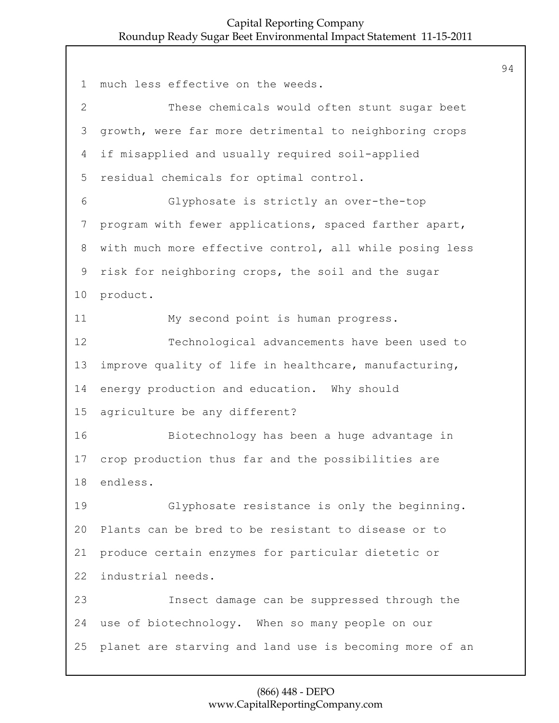much less effective on the weeds. 2 These chemicals would often stunt sugar beet growth, were far more detrimental to neighboring crops if misapplied and usually required soil-applied residual chemicals for optimal control. 6 Glyphosate is strictly an over-the-top program with fewer applications, spaced farther apart, with much more effective control, all while posing less risk for neighboring crops, the soil and the sugar product. 11 My second point is human progress. 12 Technological advancements have been used to improve quality of life in healthcare, manufacturing, energy production and education. Why should agriculture be any different? 16 Biotechnology has been a huge advantage in crop production thus far and the possibilities are endless. 19 Glyphosate resistance is only the beginning. Plants can be bred to be resistant to disease or to produce certain enzymes for particular dietetic or industrial needs. 23 Insect damage can be suppressed through the use of biotechnology. When so many people on our planet are starving and land use is becoming more of an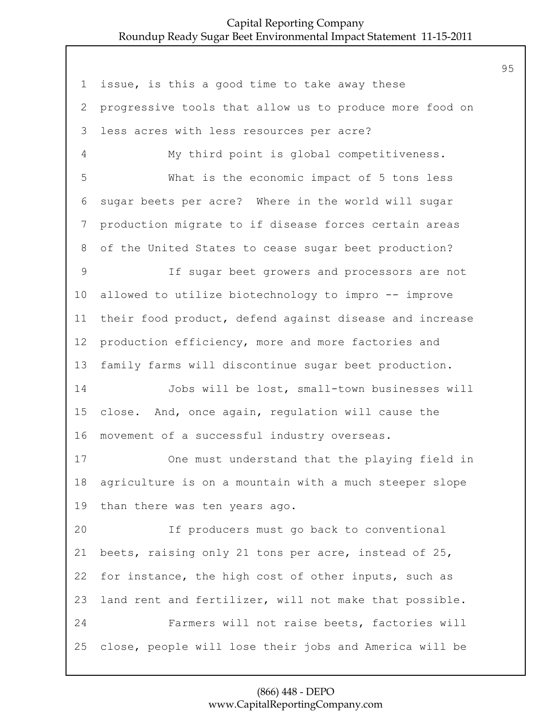issue, is this a good time to take away these progressive tools that allow us to produce more food on less acres with less resources per acre? 4 My third point is global competitiveness. 5 What is the economic impact of 5 tons less sugar beets per acre? Where in the world will sugar production migrate to if disease forces certain areas of the United States to cease sugar beet production? 9 If sugar beet growers and processors are not allowed to utilize biotechnology to impro -- improve their food product, defend against disease and increase production efficiency, more and more factories and family farms will discontinue sugar beet production. 14 Jobs will be lost, small-town businesses will close. And, once again, regulation will cause the movement of a successful industry overseas. 17 One must understand that the playing field in agriculture is on a mountain with a much steeper slope than there was ten years ago. 20 If producers must go back to conventional beets, raising only 21 tons per acre, instead of 25, for instance, the high cost of other inputs, such as land rent and fertilizer, will not make that possible. 24 Farmers will not raise beets, factories will close, people will lose their jobs and America will be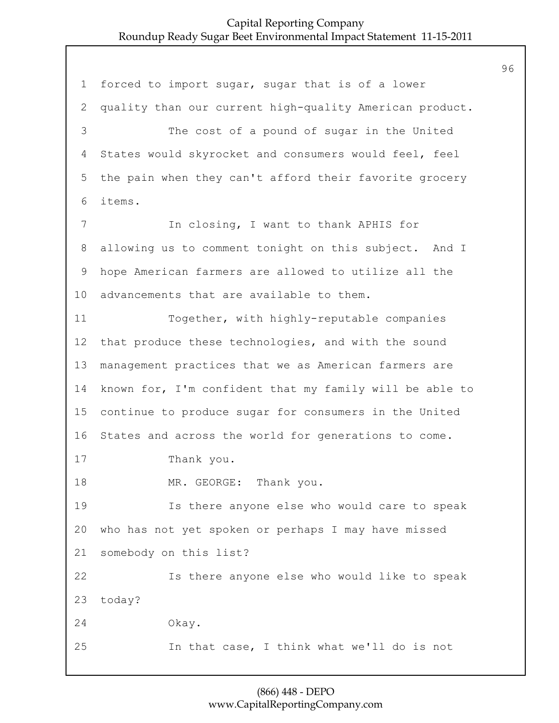1 forced to import sugar, sugar that is of a lower 2 quality than our current high-quality American product. 3 The cost of a pound of sugar in the United 4 States would skyrocket and consumers would feel, feel 5 the pain when they can't afford their favorite grocery 6 items. 7 In closing, I want to thank APHIS for 8 allowing us to comment tonight on this subject. And I 9 hope American farmers are allowed to utilize all the 10 advancements that are available to them. 11 Together, with highly-reputable companies 12 that produce these technologies, and with the sound 13 management practices that we as American farmers are 14 known for, I'm confident that my family will be able to 15 continue to produce sugar for consumers in the United 16 States and across the world for generations to come. 17 Thank you. 18 MR. GEORGE: Thank you. 19 Is there anyone else who would care to speak 20 who has not yet spoken or perhaps I may have missed 21 somebody on this list? 22 Is there anyone else who would like to speak 23 today? 24 Okay. 25 In that case, I think what we'll do is not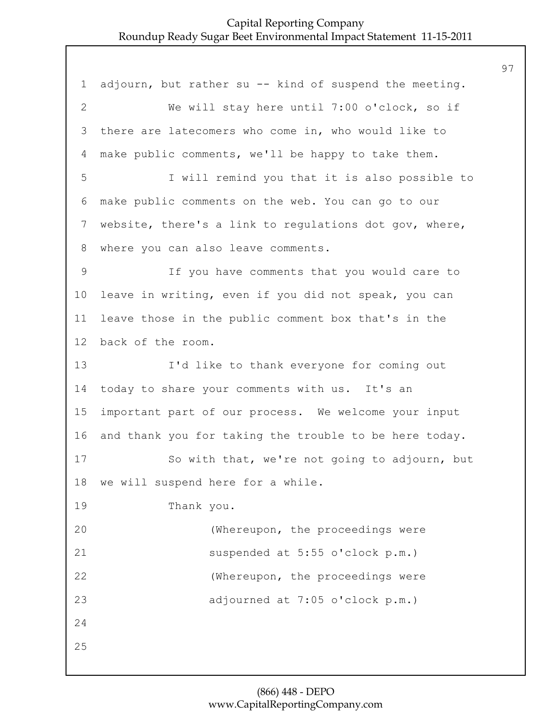1 adjourn, but rather su -- kind of suspend the meeting. 2 We will stay here until 7:00 o'clock, so if 3 there are latecomers who come in, who would like to 4 make public comments, we'll be happy to take them. 5 I will remind you that it is also possible to 6 make public comments on the web. You can go to our 7 website, there's a link to regulations dot gov, where, 8 where you can also leave comments. 9 If you have comments that you would care to 10 leave in writing, even if you did not speak, you can 11 leave those in the public comment box that's in the 12 back of the room. 13 I'd like to thank everyone for coming out 14 today to share your comments with us. It's an 15 important part of our process. We welcome your input 16 and thank you for taking the trouble to be here today. 17 So with that, we're not going to adjourn, but 18 we will suspend here for a while. 19 Thank you. 20 (Whereupon, the proceedings were 21 suspended at 5:55 o'clock p.m.) 22 (Whereupon, the proceedings were 23 adjourned at 7:05 o'clock p.m.) 24 25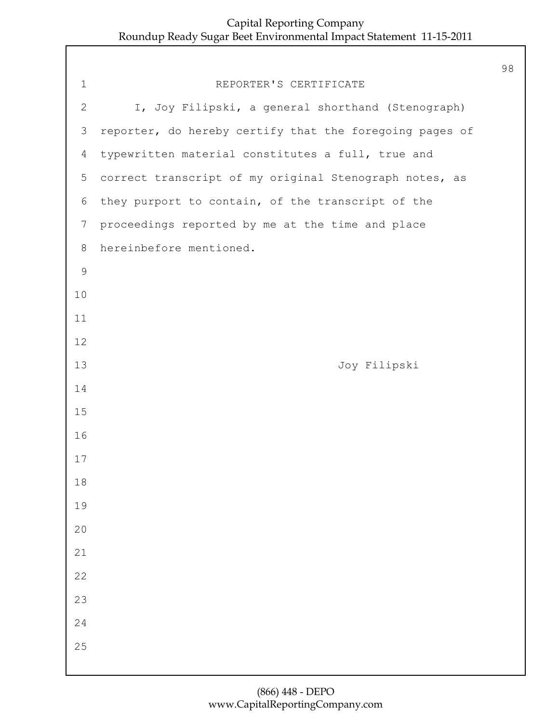| $\mathbf{1}$   | REPORTER'S CERTIFICATE                                  |
|----------------|---------------------------------------------------------|
| $\overline{2}$ | I, Joy Filipski, a general shorthand (Stenograph)       |
| 3              | reporter, do hereby certify that the foregoing pages of |
| $\overline{4}$ | typewritten material constitutes a full, true and       |
| 5              | correct transcript of my original Stenograph notes, as  |
| 6              | they purport to contain, of the transcript of the       |
| $\overline{7}$ | proceedings reported by me at the time and place        |
| 8              | hereinbefore mentioned.                                 |
| 9              |                                                         |
| 10             |                                                         |
| 11             |                                                         |
| 12             |                                                         |
| 13             | Joy Filipski                                            |
| 14             |                                                         |
| 15             |                                                         |
| 16             |                                                         |
| 17             |                                                         |
| 18             |                                                         |
| 19             |                                                         |
| 20             |                                                         |
| 21             |                                                         |
| 22             |                                                         |
| 23             |                                                         |
| 24             |                                                         |
| 25             |                                                         |
|                |                                                         |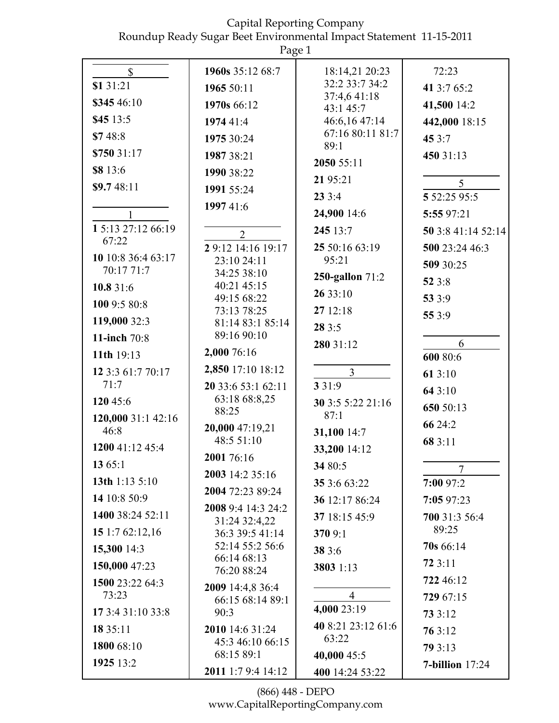|                            | Page 1                               |                                   |                      |
|----------------------------|--------------------------------------|-----------------------------------|----------------------|
| $\mathbb{S}$<br>\$1 31:21  | 1960s 35:12 68:7<br>1965 50:11       | 18:14,21 20:23<br>32:2 33:7 34:2  | 72:23<br>41 3:7 65:2 |
| \$345 46:10                |                                      | 37:4,641:18                       |                      |
| \$45 13:5                  | 1970s 66:12                          | 43:1 45:7                         | 41,500 14:2          |
| \$748:8                    | 1974 41:4                            | 46:6,16 47:14<br>67:16 80:11 81:7 | 442,000 18:15        |
|                            | 1975 30:24                           | 89:1                              | 45 $3:7$             |
| \$750 31:17                | 1987 38:21                           | 2050 55:11                        | 450 31:13            |
| \$8 13:6                   | 1990 38:22                           | 21 95:21                          | 5                    |
| \$9.748:11                 | 1991 55:24                           | 233:4                             | 5 52:25 95:5         |
| $\mathbf{1}$               | 1997 41:6                            | 24,900 14:6                       | 5:55 97:21           |
| 1 5:13 27:12 66:19         | $\overline{2}$                       | 245 13:7                          | 50 3:8 41:14 52:14   |
| 67:22                      | 29:12 14:16 19:17                    | 25 50:16 63:19                    | 500 23:24 46:3       |
| 10 10:8 36:4 63:17         | 23:10 24:11                          | 95:21                             | 509 30:25            |
| 70:17 71:7                 | 34:25 38:10                          | 250-gallon 71:2                   | 52 3:8               |
| 10.8 31:6                  | 40:21 45:15<br>49:15 68:22           | 26 33:10                          | 53 3:9               |
| 100 9:5 80:8               | 73:13 78:25                          | 27 12:18                          | 55 3:9               |
| 119,000 32:3               | 81:14 83:1 85:14                     | 28 3:5                            |                      |
| 11-inch 70:8               | 89:16 90:10                          | 280 31:12                         | 6                    |
| 11th 19:13                 | 2,000 76:16                          |                                   | 600 80:6             |
| 12 3:3 61:7 70:17<br>71:7  | 2,850 17:10 18:12                    | $\overline{3}$                    | 61 3:10              |
| 120 45:6                   | 20 33:6 53:1 62:11<br>63:18 68:8,25  | 3 3 1 : 9                         | 64 3:10              |
|                            | 88:25                                | 30 3:5 5:22 21:16<br>87:1         | 650 50:13            |
| 120,000 31:1 42:16<br>46:8 | 20,000 47:19,21                      | 31,100 14:7                       | 66 24:2              |
| 1200 41:12 45:4            | 48:5 51:10                           | 33,200 14:12                      | 68 3:11              |
| 1365:1                     | 2001 76:16                           | 34 80:5                           |                      |
| 13th $1:135:10$            | 2003 14:2 35:16                      | 35 3:6 63:22                      | 7<br>7:00 97:2       |
| 14 10:8 50:9               | 2004 72:23 89:24                     | 36 12:17 86:24                    | 7:0597:23            |
| 1400 38:24 52:11           | 2008 9:4 14:3 24:2                   | 37 18:15 45:9                     | 700 31:3 56:4        |
| 15 1:7 62:12,16            | 31:24 32:4,22<br>36:3 39:5 41:14     | 370 9:1                           | 89:25                |
| 15,300 14:3                | 52:14 55:2 56:6                      | 38 3:6                            | 70s 66:14            |
| 150,000 47:23              | 66:14 68:13                          | 3803 1:13                         | 723:11               |
| 1500 23:22 64:3            | 76:20 88:24                          |                                   | 722 46:12            |
| 73:23                      | 2009 14:4,8 36:4<br>66:15 68:14 89:1 | $\overline{4}$                    | 729 67:15            |
| 17 3:4 31:10 33:8          | 90:3                                 | 4,000 23:19                       | 73 3:12              |
| 18 35:11                   | 2010 14:6 31:24                      | 40 8:21 23:12 61:6                | 76 3:12              |
| 1800 68:10                 | 45:3 46:10 66:15                     | 63:22                             | 79 3:13              |
| 1925 13:2                  | 68:15 89:1                           | 40,000 45:5                       | $7$ -billion $17:24$ |
|                            | 2011 1:7 9:4 14:12                   | 400 14:24 53:22                   |                      |

(866) 448 - DEPO www.CapitalReportingCompany.com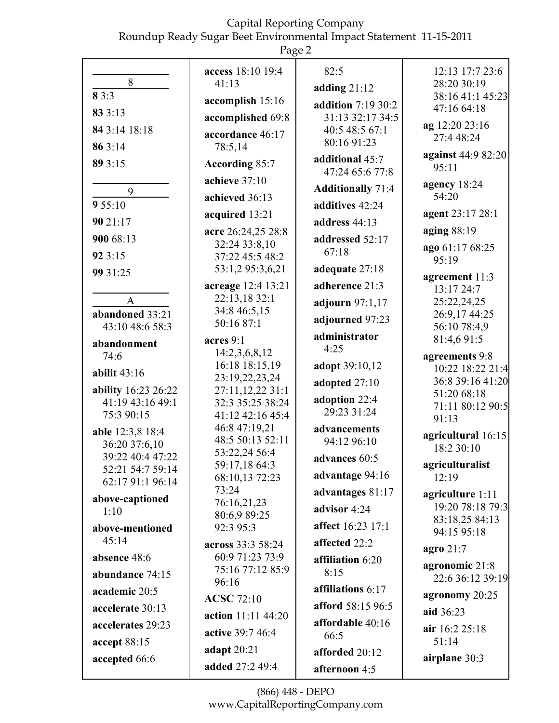|--|--|

|                                   | access 18:10 19:4                   | 82:5                               | 12:13 17:7 23:6                      |
|-----------------------------------|-------------------------------------|------------------------------------|--------------------------------------|
| 8                                 | 41:13                               | adding $21:12$                     | 28:20 30:19                          |
| 83:3                              | accomplish 15:16                    | addition 7:19 30:2                 | 38:16 41:1 45:23<br>47:16 64:18      |
| 83 3:13                           | accomplished 69:8                   | 31:13 32:17 34:5                   | ag 12:20 23:16                       |
| 84 3:14 18:18                     | accordance 46:17                    | 40:5 48:5 67:1<br>80:16 91:23      | 27:4 48:24                           |
| 86 3:14                           | 78:5,14                             |                                    | against 44:9 82:20                   |
| 89 3:15                           | According 85:7                      | additional 45:7<br>47:24 65:6 77:8 | 95:11                                |
| 9                                 | achieve 37:10                       | <b>Additionally 71:4</b>           | agency 18:24                         |
| 9 55:10                           | achieved 36:13                      | additives 42:24                    | 54:20                                |
| 90 21:17                          | acquired 13:21                      | address 44:13                      | agent 23:17 28:1                     |
| 900 68:13                         | acre 26:24,25 28:8                  | addressed 52:17                    | aging $88:19$                        |
|                                   | 32:24 33:8,10                       | 67:18                              | ago 61:17 68:25                      |
| 92 3:15                           | 37:22 45:5 48:2<br>53:1,2 95:3,6,21 | adequate 27:18                     | 95:19                                |
| 99 31:25                          | acreage 12:4 13:21                  | adherence 21:3                     | agreement 11:3                       |
| $\mathbf{A}$                      | 22:13,18 32:1                       |                                    | 13:17 24:7<br>25:22,24,25            |
| abandoned 33:21                   | 34:8 46:5,15                        | adjourn $97:1,17$                  | 26:9,17 44:25                        |
| 43:10 48:6 58:3                   | 50:16 87:1                          | adjourned 97:23                    | 56:10 78:4,9                         |
| abandonment                       | acres 9:1                           | administrator<br>4:25              | 81:4,6 91:5                          |
| 74:6                              | 14:2,3,6,8,12<br>16:18 18:15,19     |                                    | agreements 9:8                       |
| abilit $43:16$                    | 23:19,22,23,24                      | adopt 39:10,12                     | 10:22 18:22 21:4<br>36:8 39:16 41:20 |
| <b>ability</b> 16:23 26:22        | 27:11,12,22 31:1                    | adopted 27:10                      | 51:20 68:18                          |
| 41:19 43:16 49:1                  | 32:3 35:25 38:24                    | adoption 22:4<br>29:23 31:24       | 71:11 80:12 90:5                     |
| 75:3 90:15                        | 41:12 42:16 45:4<br>46:8 47:19,21   |                                    | 91:13                                |
| able 12:3,8 18:4                  | 48:5 50:13 52:11                    | advancements<br>94:12 96:10        | agricultural 16:15                   |
| 36:20 37:6,10<br>39:22 40:4 47:22 | 53:22,24 56:4                       | advances 60:5                      | 18:2 30:10                           |
| 52:21 54:7 59:14                  | 59:17,18 64:3                       |                                    | agriculturalist                      |
| 62:17 91:1 96:14                  | 68:10,13 72:23<br>73:24             | advantage 94:16                    | 12:19                                |
| above-captioned                   | 76:16,21,23                         | advantages 81:17                   | agriculture 1:11<br>19:20 78:18 79:3 |
| 1:10                              | 80:6,9 89:25                        | advisor 4:24                       | 83:18,25 84:13                       |
| above-mentioned                   | 92:3 95:3                           | affect 16:23 17:1                  | 94:15 95:18                          |
| 45:14                             | across 33:3 58:24                   | affected 22:2                      | agro $21:7$                          |
| absence 48:6                      | 60:9 71:23 73:9<br>75:16 77:12 85:9 | affiliation 6:20                   | agronomic 21:8                       |
| abundance 74:15                   | 96:16                               | 8:15                               | 22:6 36:12 39:19                     |
| academic 20:5                     | <b>ACSC</b> 72:10                   | affiliations 6:17                  | agronomy 20:25                       |
| accelerate 30:13                  | action 11:11 44:20                  | afford 58:15 96:5                  | aid 36:23                            |
| accelerates 29:23                 | active 39:7 46:4                    | affordable 40:16                   | air 16:2 25:18                       |
| accept 88:15                      | adapt 20:21                         | 66:5                               | 51:14                                |
| accepted 66:6                     | added 27:2 49:4                     | afforded 20:12                     | airplane 30:3                        |
|                                   |                                     | afternoon 4:5                      |                                      |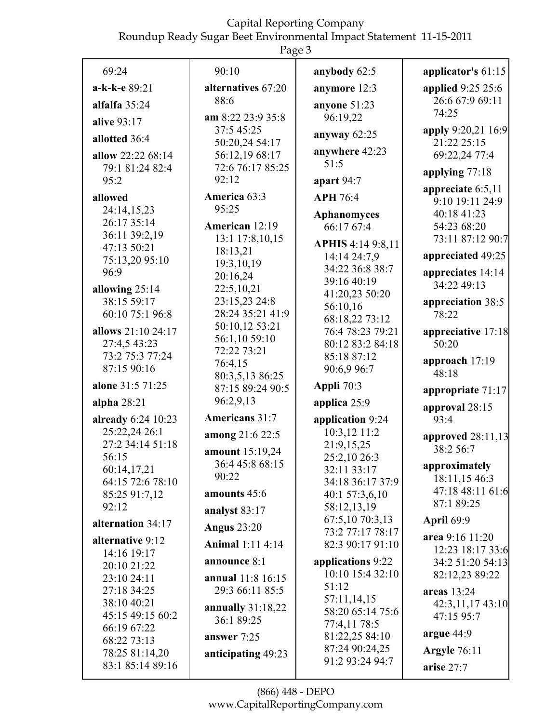|                                      | Page 3                             |                                    |                          |
|--------------------------------------|------------------------------------|------------------------------------|--------------------------|
| 69:24                                | 90:10                              | anybody 62:5                       | applicator's 61:15       |
| a-k-k-e 89:21                        | alternatives 67:20                 | anymore 12:3                       | <b>applied</b> 9:25 25:6 |
| alfalfa 35:24                        | 88:6                               | anyone 51:23                       | 26:6 67:9 69:11          |
| alive 93:17                          | am 8:22 23:9 35:8                  | 96:19,22                           | 74:25                    |
| allotted 36:4                        | 37:5 45:25                         | anyway $62:25$                     | apply 9:20,21 16:9       |
|                                      | 50:20,24 54:17                     | anywhere 42:23                     | 21:22 25:15              |
| allow 22:22 68:14<br>79:1 81:24 82:4 | 56:12,19 68:17<br>72:6 76:17 85:25 | 51:5                               | 69:22,24 77:4            |
| 95:2                                 | 92:12                              | apart $94:7$                       | applying 77:18           |
|                                      |                                    |                                    | appreciate $6:5,11$      |
| allowed                              | America 63:3<br>95:25              | <b>APH 76:4</b>                    | 9:10 19:11 24:9          |
| 24:14,15,23<br>26:17 35:14           |                                    | <b>Aphanomyces</b>                 | 40:18 41:23              |
| 36:11 39:2,19                        | American 12:19                     | 66:17 67:4                         | 54:23 68:20              |
| 47:13 50:21                          | 13:1 17:8,10,15                    | <b>APHIS 4:14 9:8,11</b>           | 73:11 87:12 90:7         |
| 75:13,20 95:10                       | 18:13,21<br>19:3,10,19             | 14:14 24:7,9                       | appreciated 49:25        |
| 96:9                                 | 20:16,24                           | 34:22 36:8 38:7                    | appreciates 14:14        |
| allowing 25:14                       | 22:5,10,21                         | 39:16 40:19                        | 34:22 49:13              |
| 38:15 59:17                          | 23:15,23 24:8                      | 41:20,23 50:20                     | appreciation 38:5        |
| 60:10 75:1 96:8                      | 28:24 35:21 41:9                   | 56:10,16                           | 78:22                    |
| allows 21:10 24:17                   | 50:10,12 53:21                     | 68:18,22 73:12<br>76:4 78:23 79:21 | appreciative 17:18       |
| 27:4,5 43:23                         | 56:1,10 59:10                      | 80:12 83:2 84:18                   | 50:20                    |
| 73:2 75:3 77:24                      | 72:22 73:21                        | 85:18 87:12                        |                          |
| 87:15 90:16                          | 76:4,15                            | 90:6,9 96:7                        | approach 17:19           |
| alone 31:5 71:25                     | 80:3,5,13 86:25                    | Appli 70:3                         | 48:18                    |
|                                      | 87:15 89:24 90:5                   |                                    | appropriate 71:17        |
| alpha $28:21$                        | 96:2,9,13                          | applica 25:9                       | approval 28:15           |
| already 6:24 10:23                   | Americans 31:7                     | application 9:24                   | 93:4                     |
| 25:22,24 26:1                        | among 21:6 22:5                    | 10:3,12 11:2                       | approved 28:11,13        |
| 27:2 34:14 51:18                     | amount 15:19,24                    | 21:9,15,25                         | 38:2 56:7                |
| 56:15                                | 36:4 45:8 68:15                    | 25:2,10 26:3                       | approximately            |
| 60:14,17,21<br>64:15 72:6 78:10      | 90:22                              | 32:11 33:17<br>34:18 36:17 37:9    | 18:11,15 46:3            |
| 85:25 91:7,12                        | amounts 45:6                       | 40:1 57:3,6,10                     | 47:18 48:11 61:6         |
| 92:12                                | analyst 83:17                      | 58:12,13,19                        | 87:1 89:25               |
| alternation 34:17                    |                                    | 67:5,10 70:3,13                    | <b>April 69:9</b>        |
|                                      | <b>Angus 23:20</b>                 | 73:2 77:17 78:17                   | area 9:16 11:20          |
| alternative 9:12                     | <b>Animal</b> 1:11 4:14            | 82:3 90:17 91:10                   | 12:23 18:17 33:6         |
| 14:16 19:17                          | announce 8:1                       | applications 9:22                  | 34:2 51:20 54:13         |
| 20:10 21:22<br>23:10 24:11           | <b>annual</b> 11:8 16:15           | 10:10 15:4 32:10                   | 82:12,23 89:22           |
| 27:18 34:25                          | 29:3 66:11 85:5                    | 51:12                              | areas 13:24              |
| 38:10 40:21                          |                                    | 57:11,14,15                        | 42:3,11,17 43:10         |
| 45:15 49:15 60:2                     | annually $31:18,22$                | 58:20 65:14 75:6                   | 47:15 95:7               |
| 66:19 67:22                          | 36:1 89:25                         | 77:4,11 78:5                       |                          |
| 68:22 73:13                          | answer 7:25                        | 81:22,25 84:10                     | argue 44:9               |
| 78:25 81:14,20                       | anticipating 49:23                 | 87:24 90:24,25                     | <b>Argyle</b> 76:11      |
| 83:1 85:14 89:16                     |                                    | 91:2 93:24 94:7                    | arise 27:7               |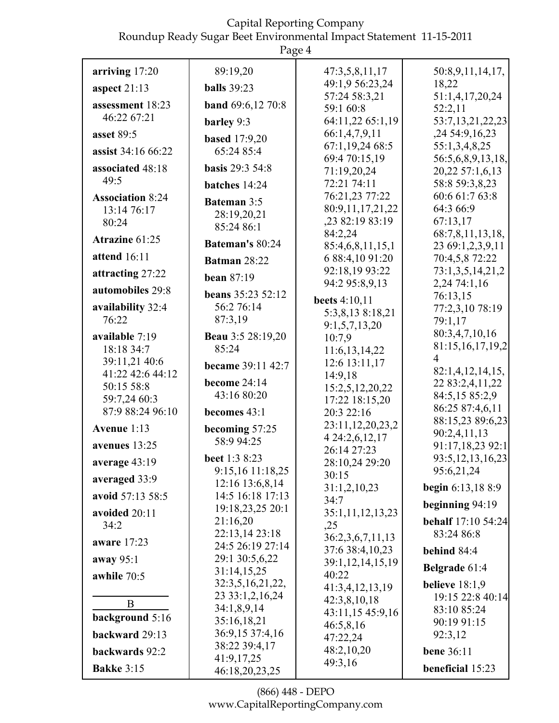|                         | Page 4                               |                                       |                                   |
|-------------------------|--------------------------------------|---------------------------------------|-----------------------------------|
| arriving 17:20          | 89:19,20                             | 47:3,5,8,11,17                        | 50:8,9,11,14,17,                  |
| aspect $21:13$          | <b>balls</b> 39:23                   | 49:1,9 56:23,24                       | 18,22                             |
| assessment 18:23        | <b>band</b> 69:6,12 70:8             | 57:24 58:3,21<br>59:1 60:8            | 51:1,4,17,20,24                   |
| 46:22 67:21             | barley 9:3                           | 64:11,22 65:1,19                      | 52:2,11<br>53:7,13,21,22,23       |
| asset 89:5              |                                      | 66:1,4,7,9,11                         | ,24 54:9,16,23                    |
| assist 34:16 66:22      | <b>based</b> 17:9,20<br>65:24 85:4   | 67:1,19,24 68:5                       | 55:1,3,4,8,25                     |
|                         |                                      | 69:4 70:15,19                         | 56:5,6,8,9,13,18,                 |
| associated 48:18        | <b>basis</b> 29:3 54:8               | 71:19,20,24                           | 20,22 57:1,6,13                   |
| 49:5                    | batches 14:24                        | 72:21 74:11                           | 58:8 59:3,8,23                    |
| <b>Association 8:24</b> | <b>Bateman 3:5</b>                   | 76:21,23 77:22                        | 60:6 61:7 63:8                    |
| 13:14 76:17             | 28:19,20,21                          | 80:9,11,17,21,22<br>,23 82:19 83:19   | 64:3 66:9<br>67:13,17             |
| 80:24                   | 85:24 86:1                           | 84:2,24                               | 68:7,8,11,13,18,                  |
| Atrazine 61:25          | Bateman's 80:24                      | 85:4,6,8,11,15,1                      | 23 69:1,2,3,9,11                  |
| attend 16:11            | <b>Batman 28:22</b>                  | 6 88:4,10 91:20                       | 70:4,5,8 72:22                    |
| attracting 27:22        |                                      | 92:18,19 93:22                        | 73:1,3,5,14,21,2                  |
| automobiles 29:8        | bean $87:19$                         | 94:2 95:8,9,13                        | 2,24 74:1,16                      |
|                         | <b>beans</b> 35:23 52:12             | beets 4:10,11                         | 76:13,15                          |
| availability 32:4       | 56:2 76:14                           | 5:3,8,13 8:18,21                      | 77:2,3,10 78:19                   |
| 76:22                   | 87:3,19                              | 9:1,5,7,13,20                         | 79:1,17                           |
| available 7:19          | <b>Beau</b> 3:5 28:19,20             | 10:7,9                                | 80:3,4,7,10,16                    |
| 18:18 34:7              | 85:24                                | 11:6,13,14,22                         | 81:15,16,17,19,2                  |
| 39:11,21 40:6           | <b>became</b> 39:11 42:7             | 12:6 13:11,17                         | 4                                 |
| 41:22 42:6 44:12        | become 24:14                         | 14:9,18                               | 82:1,4,12,14,15,                  |
| 50:15 58:8              | 43:16 80:20                          | 15:2,5,12,20,22                       | 22 83:2,4,11,22<br>84:5,15 85:2,9 |
| 59:7,24 60:3            |                                      | 17:22 18:15,20                        | 86:25 87:4,6,11                   |
| 87:9 88:24 96:10        | becomes 43:1                         | 20:3 22:16                            | 88:15,23 89:6,23                  |
| Avenue 1:13             | becoming 57:25                       | 23:11,12,20,23,2                      | 90:2,4,11,13                      |
| avenues 13:25           | 58:9 94:25                           | 4 24:2,6,12,17                        | 91:17,18,23 92:1                  |
| average 43:19           | beet 1:3 8:23                        | 26:14 27:23<br>28:10,24 29:20         | 93:5, 12, 13, 16, 23              |
|                         | 9:15,16 11:18,25                     | 30:15                                 | 95:6,21,24                        |
| averaged 33:9           | 12:16 13:6,8,14                      | 31:1,2,10,23                          | <b>begin</b> 6:13,18 8:9          |
| avoid 57:13 58:5        | 14:5 16:18 17:13<br>19:18,23,25 20:1 | 34:7                                  | beginning $94:19$                 |
| avoided 20:11           | 21:16,20                             | 35:1,11,12,13,23                      | <b>behalf</b> 17:10 54:24         |
| 34:2                    | 22:13,14 23:18                       | ,25                                   | 83:24 86:8                        |
| aware 17:23             | 24:5 26:19 27:14                     | 36:2,3,6,7,11,13<br>37:6 38:4, 10, 23 | behind 84:4                       |
| away 95:1               | 29:1 30:5,6,22                       | 39:1,12,14,15,19                      |                                   |
| awhile 70:5             | 31:14,15,25                          | 40:22                                 | <b>Belgrade</b> 61:4              |
|                         | 32:3,5,16,21,22,                     | 41:3,4,12,13,19                       | believe $18:1,9$                  |
| $\overline{B}$          | 23 33:1,2,16,24                      | 42:3,8,10,18                          | 19:15 22:8 40:14                  |
| background 5:16         | 34:1,8,9,14                          | 43:11,15 45:9,16                      | 83:10 85:24                       |
|                         | 35:16,18,21                          | 46:5,8,16                             | 90:19 91:15                       |
| backward 29:13          | 36:9,15 37:4,16<br>38:22 39:4,17     | 47:22,24                              | 92:3,12                           |
| backwards 92:2          | 41:9,17,25                           | 48:2,10,20                            | <b>bene</b> 36:11                 |
| <b>Bakke 3:15</b>       | 46:18,20,23,25                       | 49:3,16                               | beneficial 15:23                  |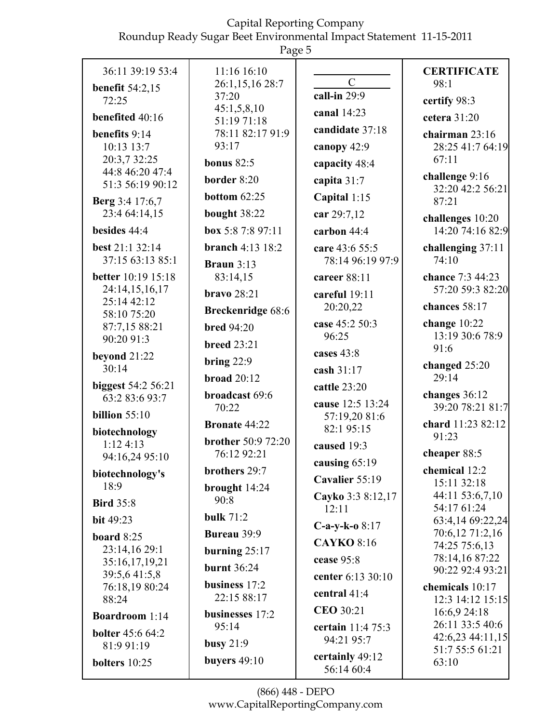Roundup Ready Sugar Beet Environmental Impact Statement 11-15-2011

| 36:11 39:19 53:4                            | 11:16 16:10                             | $\mathcal{C}$                 | <b>CERTIFICATE</b>                   |
|---------------------------------------------|-----------------------------------------|-------------------------------|--------------------------------------|
| <b>benefit 54:2,15</b><br>72:25             | 26:1,15,16 28:7<br>37:20                | call-in $29:9$                | 98:1<br>certify 98:3                 |
| benefited 40:16                             | 45:1,5,8,10<br>51:19 71:18              | canal 14:23                   | cetera 31:20                         |
| benefits 9:14                               | 78:11 82:17 91:9                        | candidate 37:18               | chairman 23:16                       |
| 10:13 13:7                                  | 93:17                                   | canopy 42:9                   | 28:25 41:7 64:19                     |
| 20:3,7 32:25<br>44:8 46:20 47:4             | bonus $82:5$                            | capacity 48:4                 | 67:11                                |
| 51:3 56:19 90:12                            | border 8:20                             | capita 31:7                   | challenge 9:16<br>32:20 42:2 56:21   |
| <b>Berg</b> 3:4 17:6,7                      | bottom $62:25$                          | Capital 1:15                  | 87:21                                |
| 23:4 64:14,15                               | bought 38:22                            | car 29:7,12                   | challenges 10:20                     |
| besides 44:4                                | box 5:8 7:8 97:11                       | carbon 44:4                   | 14:20 74:16 82:9                     |
| best 21:1 32:14                             | <b>branch</b> 4:13 $18:2$               | care 43:6 55:5                | challenging 37:11                    |
| 37:15 63:13 85:1                            | Braun $3:13$                            | 78:14 96:19 97:9              | 74:10                                |
| <b>better</b> 10:19 15:18<br>24:14,15,16,17 | 83:14,15                                | career 88:11                  | chance 7:3 44:23<br>57:20 59:3 82:20 |
| 25:14 42:12                                 | $bravo 28:21$                           | careful 19:11<br>20:20,22     | chances 58:17                        |
| 58:10 75:20                                 | <b>Breckenridge 68:6</b>                | case 45:2 50:3                | change $10:22$                       |
| 87:7,15 88:21<br>90:20 91:3                 | <b>bred</b> 94:20<br><b>breed 23:21</b> | 96:25                         | 13:19 30:6 78:9                      |
| beyond $21:22$                              |                                         | cases 43:8                    | 91:6                                 |
| 30:14                                       | bring $22:9$<br>broad $20:12$           | cash 31:17                    | changed $25:20$<br>29:14             |
| biggest 54:2 56:21                          | broadcast 69:6                          | cattle 23:20                  | changes 36:12                        |
| 63:2 83:6 93:7                              | 70:22                                   | cause 12:5 13:24              | 39:20 78:21 81:7                     |
| billion $55:10$                             | <b>Bronate 44:22</b>                    | 57:19,20 81:6<br>82:195:15    | chard 11:23 82:12                    |
| biotechnology<br>1:124:13                   | <b>brother</b> 50:9 72:20               | caused 19:3                   | 91:23                                |
| 94:16,24 95:10                              | 76:12 92:21                             | causing 65:19                 | cheaper 88:5                         |
| biotechnology's                             | brothers 29:7                           | Cavalier 55:19                | chemical 12:2<br>15:11 32:18         |
| 18:9                                        | brought 14:24<br>90:8                   | Cayko 3:3 8:12,17             | 44:11 53:6,7,10                      |
| <b>Bird 35:8</b>                            | <b>bulk 71:2</b>                        | 12:11                         | 54:17 61:24                          |
| <b>bit</b> 49:23                            | Bureau 39:9                             | $C-a-y-k-o$ 8:17              | 63:4,14 69:22,24<br>70:6,12 71:2,16  |
| board $8:25$<br>23:14,16 29:1               | burning $25:17$                         | <b>CAYKO 8:16</b>             | 74:25 75:6,13                        |
| 35:16,17,19,21                              | <b>burnt</b> 36:24                      | cease 95:8                    | 78:14,16 87:22                       |
| 39:5,6 41:5,8                               | business $17:2$                         | center 6:13 30:10             | 90:22 92:4 93:21<br>chemicals 10:17  |
| 76:18,19 80:24<br>88:24                     | 22:15 88:17                             | central 41:4                  | 12:3 14:12 15:15                     |
| <b>Boardroom</b> 1:14                       | businesses 17:2                         | <b>CEO</b> 30:21              | 16:6,9 24:18                         |
| <b>bolter</b> 45:6 64:2                     | 95:14                                   | certain 11:4 75:3             | 26:11 33:5 40:6<br>42:6,23 44:11,15  |
| 81:9 91:19                                  | busy $21:9$                             | 94:21 95:7                    | 51:7 55:5 61:21                      |
| bolters 10:25                               | buyers $49:10$                          | certainly 49:12<br>56:14 60:4 | 63:10                                |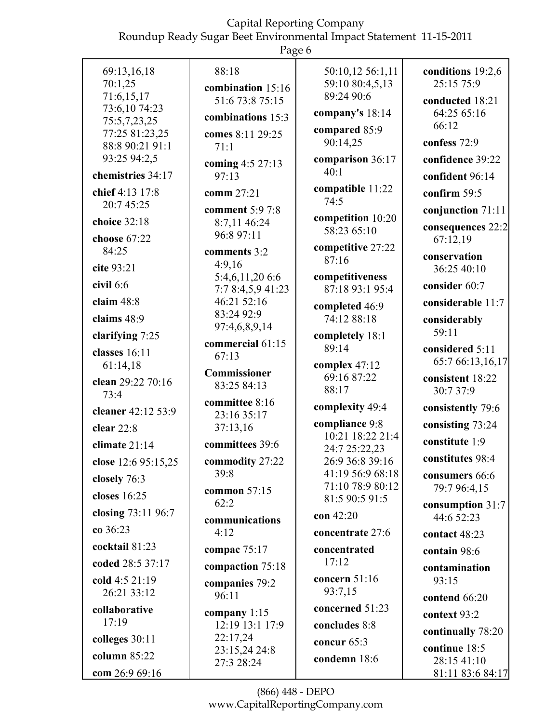| U<br>L<br>н<br>۰. |
|-------------------|
|-------------------|

| 69:13,16,18                       | 88:18                         | 50:10,12 56:1,11                  | conditions 19:2,6 |
|-----------------------------------|-------------------------------|-----------------------------------|-------------------|
| 70:1,25                           | combination 15:16             | 59:10 80:4,5,13                   | 25:15 75:9        |
| 71:6,15,17                        | 51:6 73:8 75:15               | 89:24 90:6                        | conducted 18:21   |
| 73:6,10 74:23<br>75:5,7,23,25     | combinations 15:3             | company's $18:14$                 | 64:25 65:16       |
|                                   |                               | compared 85:9                     | 66:12             |
| 77:25 81:23,25<br>88:8 90:21 91:1 | comes 8:11 29:25<br>71:1      | 90:14,25                          | confess 72:9      |
| 93:25 94:2,5                      | coming 4:5 27:13              | comparison 36:17                  | confidence 39:22  |
| chemistries 34:17                 | 97:13                         | 40:1                              | confident 96:14   |
| chief 4:13 17:8                   | comm 27:21                    | compatible 11:22<br>74:5          | confirm $59:5$    |
| 20:7 45:25                        | <b>comment</b> 5:9 7:8        |                                   | conjunction 71:11 |
| choice 32:18                      | 8:7,11 46:24                  | competition 10:20<br>58:23 65:10  | consequences 22:2 |
| choose 67:22                      | 96:8 97:11                    |                                   | 67:12,19          |
| 84:25                             | comments 3:2                  | competitive 27:22                 | conservation      |
| cite 93:21                        | 4:9,16                        | 87:16                             | 36:25 40:10       |
| civil 6:6                         | 5:4,6,11,206:6                | competitiveness                   |                   |
|                                   | 7:78:4,5,941:23               | 87:18 93:1 95:4                   | consider 60:7     |
| claim 48:8                        | 46:21 52:16<br>83:24 92:9     | completed 46:9                    | considerable 11:7 |
| claims 48:9                       | 97:4,6,8,9,14                 | 74:12 88:18                       | considerably      |
| clarifying 7:25                   | commercial 61:15              | completely 18:1                   | 59:11             |
| classes 16:11                     | 67:13                         | 89:14                             | considered 5:11   |
| 61:14,18                          |                               | complex 47:12                     | 65:7 66:13,16,17  |
| clean 29:22 70:16                 | Commissioner<br>83:25 84:13   | 69:16 87:22                       | consistent 18:22  |
| 73:4                              |                               | 88:17                             | 30:7 37:9         |
| cleaner 42:12 53:9                | committee 8:16<br>23:16 35:17 | complexity 49:4                   | consistently 79:6 |
| clear $22:8$                      | 37:13,16                      | compliance 9:8                    | consisting 73:24  |
| climate 21:14                     | committees 39:6               | 10:21 18:22 21:4<br>24:7 25:22,23 | constitute 1:9    |
| close 12:6 95:15,25               | commodity 27:22               | 26:9 36:8 39:16                   | constitutes 98:4  |
| closely 76:3                      | 39:8                          | 41:19 56:9 68:18                  | consumers 66:6    |
|                                   | common 57:15                  | 71:10 78:9 80:12                  | 79:7 96:4,15      |
| closes 16:25                      | 62:2                          | 81:5 90:5 91:5                    | consumption 31:7  |
| closing 73:11 96:7                | communications                | con 42:20                         | 44:6 52:23        |
| co 36:23                          | 4:12                          | concentrate 27:6                  | contact 48:23     |
| cocktail 81:23                    | compac $75:17$                | concentrated                      | contain 98:6      |
| coded 28:5 37:17                  | compaction 75:18              | 17:12                             | contamination     |
| cold 4:5 21:19                    | companies 79:2                | concern 51:16                     | 93:15             |
| 26:21 33:12                       | 96:11                         | 93:7,15                           | contend 66:20     |
| collaborative                     | company $1:15$                | concerned 51:23                   | context 93:2      |
| 17:19                             | 12:19 13:1 17:9               | concludes 8:8                     | continually 78:20 |
| colleges 30:11                    | 22:17,24<br>23:15,24 24:8     | concur 65:3                       | continue 18:5     |
| column 85:22                      | 27:3 28:24                    | condemn 18:6                      | 28:15 41:10       |
| com 26:9 69:16                    |                               |                                   | 81:11 83:6 84:17  |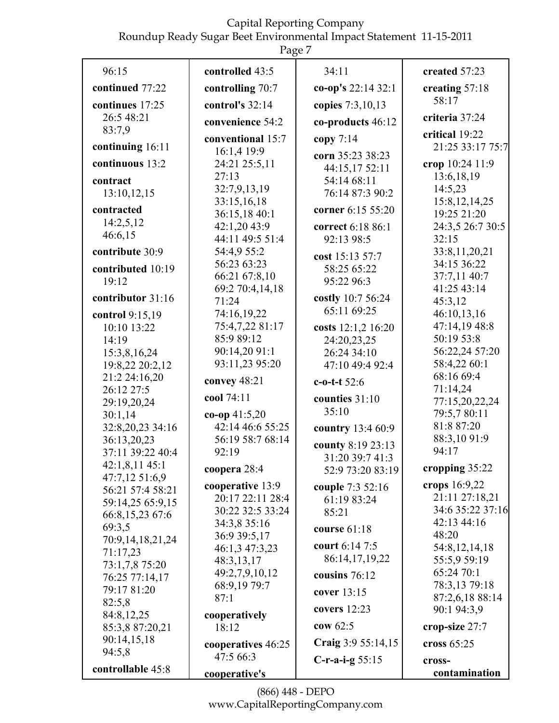Roundup Ready Sugar Beet Environmental Impact Statement 11-15-2011

| Page 7                             |                                  |                                    |                                  |  |
|------------------------------------|----------------------------------|------------------------------------|----------------------------------|--|
| 96:15                              | controlled 43:5                  | 34:11                              | created 57:23                    |  |
| continued 77:22                    | controlling 70:7                 | co-op's 22:14 32:1                 | creating 57:18                   |  |
| continues 17:25                    | control's $32:14$                | copies 7:3,10,13                   | 58:17                            |  |
| 26:5 48:21                         | convenience 54:2                 | co-products 46:12                  | criteria 37:24                   |  |
| 83:7,9                             |                                  |                                    | critical 19:22                   |  |
| continuing 16:11                   | conventional 15:7<br>16:1,4 19:9 | copy $7:14$                        | 21:25 33:17 75:7                 |  |
| continuous 13:2                    | 24:21 25:5,11                    | corn 35:23 38:23<br>44:15,17 52:11 | crop 10:24 11:9                  |  |
| contract                           | 27:13                            | 54:14 68:11                        | 13:6, 18, 19                     |  |
| 13:10,12,15                        | 32:7,9,13,19                     | 76:14 87:3 90:2                    | 14:5,23                          |  |
| contracted                         | 33:15,16,18                      | corner 6:15 55:20                  | 15:8, 12, 14, 25                 |  |
| 14:2,5,12                          | 36:15,18 40:1                    |                                    | 19:25 21:20                      |  |
| 46:6,15                            | 42:1,20 43:9<br>44:11 49:5 51:4  | correct 6:18 86:1<br>92:13 98:5    | 24:3,5 26:7 30:5<br>32:15        |  |
| contribute 30:9                    | 54:4,9 55:2                      |                                    | 33:8,11,20,21                    |  |
|                                    | 56:23 63:23                      | cost 15:13 57:7                    | 34:15 36:22                      |  |
| contributed 10:19<br>19:12         | 66:21 67:8,10                    | 58:25 65:22                        | 37:7,11 40:7                     |  |
|                                    | 69:2 70:4,14,18                  | 95:22 96:3                         | 41:25 43:14                      |  |
| contributor 31:16                  | 71:24                            | costly 10:7 56:24                  | 45:3,12                          |  |
| control 9:15,19                    | 74:16,19,22                      | 65:11 69:25                        | 46:10,13,16                      |  |
| 10:10 13:22                        | 75:4,7,22 81:17                  | costs 12:1,2 16:20                 | 47:14,19 48:8                    |  |
| 14:19                              | 85:9 89:12                       | 24:20,23,25                        | 50:19 53:8                       |  |
| 15:3,8,16,24                       | 90:14,20 91:1<br>93:11,23 95:20  | 26:24 34:10                        | 56:22,24 57:20                   |  |
| 19:8,22 20:2,12                    |                                  | 47:10 49:4 92:4                    | 58:4,22 60:1<br>68:16 69:4       |  |
| 21:2 24:16,20<br>26:12 27:5        | convey 48:21                     | $c$ -o-t-t 52:6                    | 71:14,24                         |  |
| 29:19,20,24                        | cool 74:11                       | counties 31:10                     | 77:15,20,22,24                   |  |
| 30:1,14                            | co-op $41:5,20$                  | 35:10                              | 79:5,7 80:11                     |  |
| 32:8,20,23 34:16                   | 42:14 46:6 55:25                 | country 13:4 60:9                  | 81:8 87:20                       |  |
| 36:13,20,23                        | 56:19 58:7 68:14                 | county 8:19 23:13                  | 88:3,10 91:9                     |  |
| 37:11 39:22 40:4                   | 92:19                            | 31:20 39:7 41:3                    | 94:17                            |  |
| $42:1,8,11$ $45:1$                 | coopera 28:4                     | 52:9 73:20 83:19                   | cropping 35:22                   |  |
| 47:7,12 51:6,9<br>56:21 57:4 58:21 | cooperative 13:9                 | couple 7:3 52:16                   | crops 16:9,22                    |  |
| 59:14,25 65:9,15                   | 20:17 22:11 28:4                 | 61:19 83:24                        | 21:11 27:18,21                   |  |
| 66:8,15,23 67:6                    | 30:22 32:5 33:24                 | 85:21                              | 34:6 35:22 37:16                 |  |
| 69:3,5                             | 34:3,8 35:16                     | course $61:18$                     | 42:13 44:16                      |  |
| 70:9,14,18,21,24                   | 36:9 39:5,17                     | court 6:14 7:5                     | 48:20                            |  |
| 71:17,23                           | 46:1,3 47:3,23                   | 86:14,17,19,22                     | 54:8, 12, 14, 18<br>55:5,9 59:19 |  |
| 73:1,7,8 75:20                     | 48:3,13,17<br>49:2,7,9,10,12     |                                    | 65:24 70:1                       |  |
| 76:25 77:14,17                     | 68:9,19 79:7                     | cousins 76:12                      | 78:3,13 79:18                    |  |
| 79:17 81:20                        | 87:1                             | cover 13:15                        | 87:2,6,18 88:14                  |  |
| 82:5,8<br>84:8,12,25               | cooperatively                    | covers $12:23$                     | 90:1 94:3,9                      |  |
| 85:3,8 87:20,21                    | 18:12                            | cow $62:5$                         | crop-size 27:7                   |  |
| 90:14,15,18                        |                                  | Craig 3:9 55:14,15                 | cross $65:25$                    |  |
| 94:5,8                             | cooperatives 46:25<br>47:5 66:3  |                                    |                                  |  |
| controllable 45:8                  | cooperative's                    | $C$ -r-a-i-g 55:15                 | cross-<br>contamination          |  |
|                                    |                                  |                                    |                                  |  |

(866) 448 - DEPO www.CapitalReportingCompany.com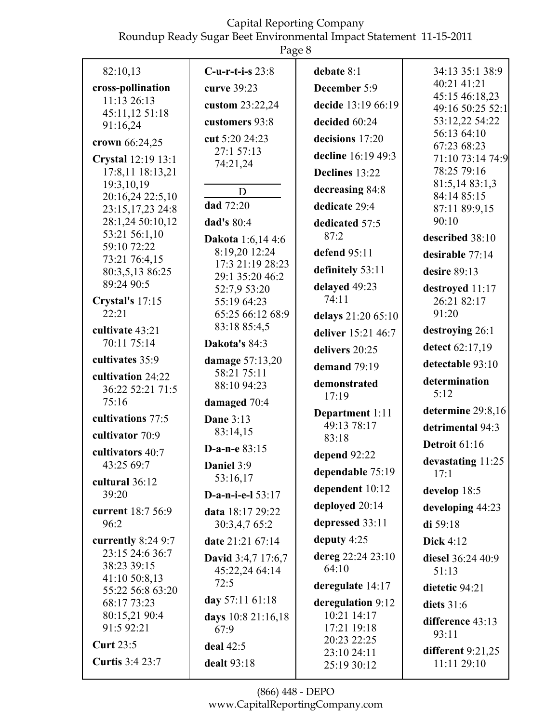Roundup Ready Sugar Beet Environmental Impact Statement 11-15-2011

|                                      | Ō                                   |                                  |                                     |
|--------------------------------------|-------------------------------------|----------------------------------|-------------------------------------|
| 82:10,13                             | $C$ -u-r-t-i-s $23:8$               | debate 8:1                       | 34:13 35:1 38:9                     |
| cross-pollination                    | curve 39:23                         | December 5:9                     | 40:21 41:21                         |
| 11:13 26:13                          | custom 23:22,24                     | decide 13:19 66:19               | 45:15 46:18,23<br>49:16 50:25 52:1  |
| 45:11,12 51:18<br>91:16,24           | customers 93:8                      | decided 60:24                    | 53:12,22 54:22                      |
| crown 66:24,25                       | cut 5:20 24:23                      | decisions 17:20                  | 56:13 64:10<br>67:23 68:23          |
| Crystal 12:19 13:1                   | 27:1 57:13                          | decline 16:19 49:3               | 71:10 73:14 74:9                    |
| 17:8,11 18:13,21                     | 74:21,24                            | Declines 13:22                   | 78:25 79:16                         |
| 19:3,10,19                           | D                                   | decreasing 84:8                  | 81:5,14 83:1,3<br>84:14 85:15       |
| 20:16,24 22:5,10<br>23:15,17,23 24:8 | dad 72:20                           | dedicate 29:4                    | 87:11 89:9,15                       |
| 28:1,24 50:10,12                     | dad's 80:4                          | dedicated 57:5                   | 90:10                               |
| 53:21 56:1,10<br>59:10 72:22         | <b>Dakota</b> 1:6,14 4:6            | 87:2                             | described 38:10                     |
| 73:21 76:4,15                        | 8:19,20 12:24                       | defend 95:11                     | desirable 77:14                     |
| 80:3,5,13 86:25                      | 17:3 21:19 28:23<br>29:1 35:20 46:2 | definitely 53:11                 | desire $89:13$                      |
| 89:24 90:5                           | 52:7,9 53:20                        | delayed 49:23                    | destroyed 11:17                     |
| Crystal's 17:15<br>22:21             | 55:19 64:23<br>65:25 66:12 68:9     | 74:11                            | 26:21 82:17<br>91:20                |
| cultivate 43:21                      | 83:18 85:4,5                        | delays 21:20 65:10               | destroying 26:1                     |
| 70:11 75:14                          | Dakota's 84:3                       | deliver 15:21 46:7               |                                     |
| cultivates 35:9                      | damage 57:13,20                     | delivers 20:25                   | detect 62:17,19<br>detectable 93:10 |
| cultivation 24:22                    | 58:21 75:11                         | demand 79:19                     | determination                       |
| 36:22 52:21 71:5                     | 88:10 94:23                         | demonstrated<br>17:19            | 5:12                                |
| 75:16                                | damaged 70:4                        | Department 1:11                  | determine 29:8,16                   |
| cultivations 77:5                    | <b>Dane 3:13</b><br>83:14,15        | 49:13 78:17                      | detrimental 94:3                    |
| cultivator 70:9                      | D-a-n-e $83:15$                     | 83:18                            | <b>Detroit 61:16</b>                |
| cultivators 40:7<br>43:25 69:7       | Daniel 3:9                          | depend 92:22                     | devastating 11:25                   |
| cultural 36:12                       | 53:16,17                            | dependable 75:19                 | 17:1                                |
| 39:20                                | D-a-n-i-e- $153:17$                 | dependent 10:12                  | develop 18:5                        |
| current 18:7 56:9                    | data 18:17 29:22                    | deployed 20:14                   | developing 44:23                    |
| 96:2                                 | 30:3,4,7 65:2                       | depressed 33:11                  | di $59:18$                          |
| currently $8:249:7$                  | date 21:21 67:14                    | deputy 4:25                      | <b>Dick 4:12</b>                    |
| 23:15 24:6 36:7<br>38:23 39:15       | <b>David</b> 3:4,7 17:6,7           | dereg 22:24 23:10                | diesel 36:24 40:9                   |
| 41:10 50:8,13                        | 45:22,24 64:14<br>72:5              | 64:10                            | 51:13                               |
| 55:22 56:8 63:20                     | day 57:11 61:18                     | deregulate 14:17                 | dietetic 94:21                      |
| 68:17 73:23<br>80:15,21 90:4         | days 10:8 21:16,18                  | deregulation 9:12<br>10:21 14:17 | diets $31:6$                        |
| 91:5 92:21                           | 67:9                                | 17:21 19:18                      | difference 43:13<br>93:11           |
| <b>Curt 23:5</b>                     | deal 42:5                           | 20:23 22:25                      | different $9:21,25$                 |
| <b>Curtis</b> 3:4 23:7               | dealt 93:18                         | 23:10 24:11<br>25:19 30:12       | 11:11 29:10                         |
|                                      |                                     |                                  |                                     |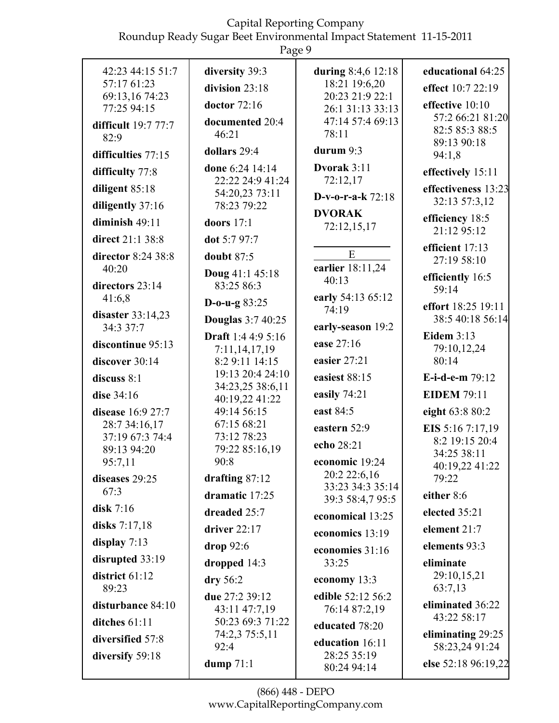Roundup Ready Sugar Beet Environmental Impact Statement 11-15-2011

|                        | 4.464                               |                                      |                                     |
|------------------------|-------------------------------------|--------------------------------------|-------------------------------------|
| 42:23 44:15 51:7       | diversity 39:3                      | during 8:4,6 12:18                   | educational 64:25                   |
| 57:17 61:23            | division 23:18                      | 18:21 19:6,20                        | effect 10:7 22:19                   |
| 69:13,16 74:23         | doctor $72:16$                      | 20:23 21:9 22:1                      | effective 10:10                     |
| 77:25 94:15            | documented 20:4                     | 26:1 31:13 33:13<br>47:14 57:4 69:13 | 57:2 66:21 81:20                    |
| difficult 19:7 77:7    | 46:21                               | 78:11                                | 82:5 85:3 88:5                      |
| 82:9                   | dollars 29:4                        | durum 9:3                            | 89:13 90:18                         |
| difficulties 77:15     |                                     |                                      | 94:1,8                              |
| difficulty 77:8        | done 6:24 14:14<br>22:22 24:9 41:24 | Dvorak 3:11<br>72:12,17              | effectively 15:11                   |
| diligent 85:18         | 54:20,23 73:11                      | D-v-o-r-a-k $72:18$                  | effectiveness 13:23                 |
| diligently 37:16       | 78:23 79:22                         |                                      | 32:13 57:3,12                       |
| diminish $49:11$       | doors $17:1$                        | <b>DVORAK</b><br>72:12,15,17         | efficiency 18:5                     |
| direct 21:1 38:8       | dot 5:7 97:7                        |                                      | 21:12 95:12                         |
| director 8:24 38:8     | doubt $87:5$                        | ${\bf E}$                            | efficient 17:13<br>27:19 58:10      |
| 40:20                  | Doug 41:1 45:18                     | earlier 18:11,24                     |                                     |
| directors 23:14        | 83:25 86:3                          | 40:13                                | efficiently 16:5<br>59:14           |
| 41:6,8                 | D-o-u-g $83:25$                     | early 54:13 65:12                    | effort 18:25 19:11                  |
| disaster 33:14,23      | <b>Douglas</b> 3:7 40:25            | 74:19                                | 38:5 40:18 56:14                    |
| 34:3 37:7              | Draft 1:4 4:9 5:16                  | early-season 19:2                    | Eidem $3:13$                        |
| discontinue 95:13      | 7:11,14,17,19                       | ease 27:16                           | 79:10,12,24                         |
| discover 30:14         | 8:2 9:11 14:15                      | easier 27:21                         | 80:14                               |
| discuss $8:1$          | 19:13 20:4 24:10                    | easiest 88:15                        | E-i-d-e-m 79:12                     |
| dise 34:16             | 34:23,25 38:6,11<br>40:19,22 41:22  | easily 74:21                         | <b>EIDEM 79:11</b>                  |
| disease 16:9 27:7      | 49:14 56:15                         | east 84:5                            | eight 63:8 80:2                     |
| 28:7 34:16,17          | 67:15 68:21                         | eastern 52:9                         | EIS 5:16 7:17,19                    |
| 37:19 67:3 74:4        | 73:12 78:23                         | echo 28:21                           | 8:2 19:15 20:4                      |
| 89:13 94:20            | 79:22 85:16,19                      |                                      | 34:25 38:11                         |
| 95:7,11                | 90:8                                | economic 19:24<br>20:2 22:6,16       | 40:19,22 41:22                      |
| diseases 29:25<br>67:3 | drafting $87:12$                    | 33:23 34:3 35:14                     | 79:22                               |
|                        | dramatic 17:25                      | 39:3 58:4,7 95:5                     | either 8:6                          |
| disk $7:16$            | dreaded 25:7                        | economical 13:25                     | elected 35:21                       |
| disks 7:17,18          | driver $22:17$                      | economics 13:19                      | element 21:7                        |
| display $7:13$         | drop $92:6$                         | economies 31:16                      | elements 93:3                       |
| disrupted 33:19        | dropped $14:3$                      | 33:25                                | eliminate                           |
| district 61:12         | $\bf{dry}$ 56:2                     | economy 13:3                         | 29:10,15,21                         |
| 89:23                  | due 27:2 39:12                      | edible 52:12 56:2                    | 63:7,13                             |
| disturbance 84:10      | 43:11 47:7,19                       | 76:14 87:2,19                        | eliminated 36:22<br>43:22 58:17     |
| ditches $61:11$        | 50:23 69:3 71:22                    | educated 78:20                       |                                     |
| diversified 57:8       | 74:2,3 75:5,11<br>92:4              | education 16:11                      | eliminating 29:25<br>58:23,24 91:24 |
| diversify 59:18        | dump $71:1$                         | 28:25 35:19                          | else 52:18 96:19,22                 |
|                        |                                     | 80:24 94:14                          |                                     |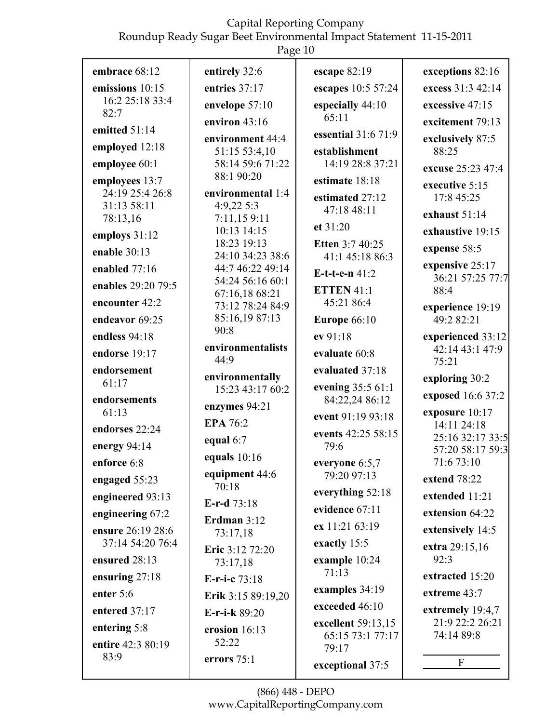| embrace 68:12                     | entirely 32:6                      | escape $82:19$                      | exceptions 82:16                     |
|-----------------------------------|------------------------------------|-------------------------------------|--------------------------------------|
| emissions 10:15                   | entries 37:17                      | escapes 10:5 57:24                  | excess 31:3 42:14                    |
| 16:2 25:18 33:4                   | envelope 57:10                     | especially 44:10                    | excessive 47:15                      |
| 82:7                              | environ $43:16$                    | 65:11                               | excitement 79:13                     |
| emitted 51:14                     | environment 44:4                   | essential 31:6 71:9                 | exclusively 87:5                     |
| employed 12:18                    | 51:15 53:4,10                      | establishment                       | 88:25                                |
| employee 60:1                     | 58:14 59:6 71:22<br>88:1 90:20     | 14:19 28:8 37:21                    | excuse 25:23 47:4                    |
| employees 13:7<br>24:19 25:4 26:8 | environmental 1:4                  | estimate 18:18                      | executive 5:15                       |
| 31:13 58:11                       | 4:9,22 5:3                         | estimated 27:12                     | 17:8 45:25                           |
| 78:13,16                          | 7:11,159:11                        | 47:18 48:11                         | exhaust 51:14                        |
| employs 31:12                     | 10:13 14:15                        | et 31:20                            | exhaustive 19:15                     |
| enable 30:13                      | 18:23 19:13<br>24:10 34:23 38:6    | Etten 3:7 40:25<br>41:1 45:18 86:3  | expense 58:5                         |
| enabled 77:16                     | 44:7 46:22 49:14                   | E-t-t-e-n $41:2$                    | expensive 25:17                      |
| enables 29:20 79:5                | 54:24 56:16 60:1                   |                                     | 36:21 57:25 77:7                     |
| encounter 42:2                    | 67:16,18 68:21<br>73:12 78:24 84:9 | <b>ETTEN 41:1</b><br>45:21 86:4     | 88:4                                 |
| endeavor 69:25                    | 85:16,19 87:13                     | <b>Europe 66:10</b>                 | experience 19:19<br>49:2 82:21       |
| endless 94:18                     | 90:8                               | ev 91:18                            | experienced 33:12                    |
| endorse 19:17                     | environmentalists                  | evaluate 60:8                       | 42:14 43:1 47:9                      |
| endorsement                       | 44:9                               | evaluated 37:18                     | 75:21                                |
| 61:17                             | environmentally                    |                                     | exploring 30:2                       |
| endorsements                      | 15:23 43:17 60:2                   | evening 35:5 61:1<br>84:22,24 86:12 | exposed 16:6 37:2                    |
| 61:13                             | enzymes 94:21                      | event 91:19 93:18                   | exposure 10:17                       |
| endorses 22:24                    | <b>EPA 76:2</b>                    | events 42:25 58:15                  | 14:11 24:18                          |
| energy 94:14                      | equal 6:7                          | 79:6                                | 25:16 32:17 33:5<br>57:20 58:17 59:3 |
| enforce 6:8                       | equals $10:16$                     | everyone $6:5,7$                    | 71:6 73:10                           |
| engaged 55:23                     | equipment 44:6                     | 79:20 97:13                         | extend 78:22                         |
| engineered 93:13                  | 70:18<br>E-r-d 73:18               | everything 52:18                    | extended 11:21                       |
| engineering 67:2                  | Erdman $3:12$                      | evidence 67:11                      | extension 64:22                      |
| ensure 26:19 28:6                 | 73:17,18                           | ex 11:21 63:19                      | extensively 14:5                     |
| 37:14 54:20 76:4                  | Eric 3:12 72:20                    | exactly 15:5                        | extra 29:15,16                       |
| ensured 28:13                     | 73:17,18                           | example 10:24                       | 92:3                                 |
| ensuring 27:18                    | E-r-i-c 73:18                      | 71:13                               | extracted 15:20                      |
| enter $5:6$                       | Erik 3:15 89:19,20                 | examples 34:19                      | extreme 43:7                         |
| entered 37:17                     | E-r-i-k 89:20                      | exceeded 46:10                      | extremely 19:4,7                     |
| entering 5:8                      | erosion 16:13                      | excellent 59:13,15                  | 21:9 22:2 26:21                      |
| entire 42:3 80:19                 | 52:22                              | 65:15 73:1 77:17<br>79:17           | 74:14 89:8                           |
| 83:9                              | errors $75:1$                      | exceptional 37:5                    | F                                    |
|                                   |                                    |                                     |                                      |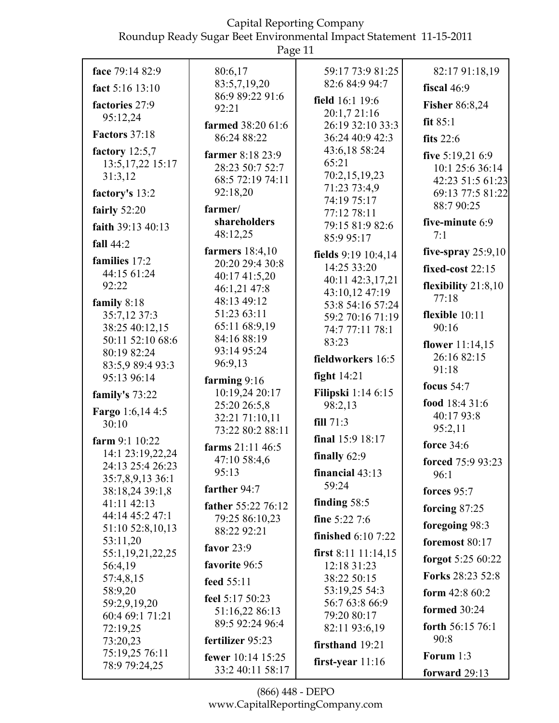|                                     | $145c$ $11$                      |                                      |                                      |
|-------------------------------------|----------------------------------|--------------------------------------|--------------------------------------|
| face 79:14 82:9                     | 80:6,17                          | 59:17 73:9 81:25                     | 82:17 91:18,19                       |
| fact 5:16 13:10                     | 83:5,7,19,20                     | 82:6 84:9 94:7                       | fiscal 46:9                          |
| factories 27:9                      | 86:9 89:22 91:6<br>92:21         | field 16:1 19:6                      | <b>Fisher 86:8,24</b>                |
| 95:12,24                            |                                  | 20:1,7 21:16                         | fit $85:1$                           |
| <b>Factors</b> 37:18                | farmed 38:20 61:6<br>86:24 88:22 | 26:19 32:10 33:3<br>36:24 40:9 42:3  | fits $22:6$                          |
| factory $12:5,7$                    | farmer 8:18 23:9                 | 43:6,18 58:24                        |                                      |
| 13:5, 17, 22 15:17                  | 28:23 50:7 52:7                  | 65:21                                | five $5:19,216:9$<br>10:1 25:6 36:14 |
| 31:3,12                             | 68:5 72:19 74:11                 | 70:2,15,19,23                        | 42:23 51:5 61:23                     |
| factory's 13:2                      | 92:18,20                         | 71:23 73:4,9                         | 69:13 77:5 81:22                     |
| fairly $52:20$                      | farmer/                          | 74:19 75:17<br>77:12 78:11           | 88:7 90:25                           |
| faith 39:13 40:13                   | shareholders                     | 79:15 81:9 82:6                      | five-minute 6:9                      |
| fall $44:2$                         | 48:12,25                         | 85:9 95:17                           | 7:1                                  |
|                                     | farmers $18:4,10$                | fields 9:19 10:4,14                  | five-spray $25:9,10$                 |
| families 17:2<br>44:15 61:24        | 20:20 29:4 30:8                  | 14:25 33:20                          | fixed-cost $22:15$                   |
| 92:22                               | 40:17 41:5,20<br>46:1,21 47:8    | 40:11 42:3,17,21                     | flexibility $21:8,10$                |
| family 8:18                         | 48:13 49:12                      | 43:10,12 47:19                       | 77:18                                |
| 35:7,12 37:3                        | 51:23 63:11                      | 53:8 54:16 57:24<br>59:2 70:16 71:19 | flexible 10:11                       |
| 38:25 40:12,15                      | 65:11 68:9,19                    | 74:7 77:11 78:1                      | 90:16                                |
| 50:11 52:10 68:6                    | 84:16 88:19                      | 83:23                                | flower $11:14,15$                    |
| 80:19 82:24                         | 93:14 95:24<br>96:9,13           | fieldworkers 16:5                    | 26:16 82:15                          |
| 83:5,9 89:4 93:3<br>95:13 96:14     |                                  | fight $14:21$                        | 91:18                                |
|                                     | farming $9:16$<br>10:19,24 20:17 | <b>Filipski</b> 1:14 6:15            | focus $54:7$                         |
| family's 73:22                      | 25:20 26:5,8                     | 98:2,13                              | food 18:4 31:6                       |
| Fargo 1:6,14 4:5<br>30:10           | 32:21 71:10,11                   | fill $71:3$                          | 40:17 93:8                           |
|                                     | 73:22 80:2 88:11                 | final 15:9 18:17                     | 95:2,11                              |
| farm $9:110:22$<br>14:1 23:19,22,24 | farms 21:11 46:5                 |                                      | <b>force</b> 34:6                    |
| 24:13 25:4 26:23                    | 47:10 58:4,6                     | finally $62:9$                       | forced 75:9 93:23                    |
| 35:7,8,9,13 36:1                    | 95:13                            | financial $43:13$                    | 96:1                                 |
| 38:18,24 39:1,8                     | farther 94:7                     | 59:24                                | forces 95:7                          |
| 41:11 42:13                         | father 55:22 76:12               | finding $58:5$                       | forcing 87:25                        |
| 44:14 45:2 47:1<br>51:10 52:8,10,13 | 79:25 86:10,23                   | fine $5:227:6$                       | foregoing 98:3                       |
| 53:11,20                            | 88:22 92:21                      | <b>finished</b> 6:10 7:22            | foremost $80:17$                     |
| 55:1,19,21,22,25                    | favor $23:9$                     | first $8:11$ 11:14,15                | forgot 5:25 60:22                    |
| 56:4,19                             | favorite 96:5                    | 12:18 31:23                          | Forks 28:23 52:8                     |
| 57:4,8,15<br>58:9,20                | feed 55:11                       | 38:22 50:15<br>53:19,25 54:3         |                                      |
| 59:2,9,19,20                        | feel 5:17 50:23                  | 56:7 63:8 66:9                       | form $42:860:2$                      |
| 60:4 69:1 71:21                     | 51:16,22 86:13                   | 79:20 80:17                          | <b>formed</b> 30:24                  |
| 72:19,25                            | 89:5 92:24 96:4                  | 82:11 93:6,19                        | forth 56:15 76:1                     |
| 73:20,23                            | fertilizer 95:23                 | firsthand 19:21                      | 90:8                                 |
| 75:19,25 76:11<br>78:9 79:24,25     | fewer 10:14 15:25                | first-year $11:16$                   | Forum 1:3                            |
|                                     | 33:2 40:11 58:17                 |                                      | forward 29:13                        |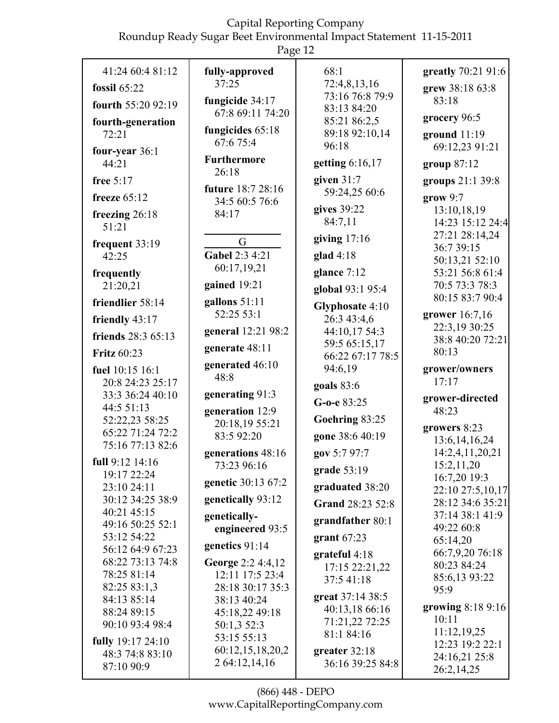| 41:24 60:4 81:12                    | fully-approved                      | 68:1                              | greatly 70:21 91:6             |
|-------------------------------------|-------------------------------------|-----------------------------------|--------------------------------|
| fossil $65:22$                      | 37:25                               | 72:4,8,13,16                      | grew 38:18 63:8                |
| fourth 55:20 92:19                  | fungicide 34:17                     | 73:16 76:8 79:9                   | 83:18                          |
|                                     | 67:8 69:11 74:20                    | 83:13 84:20<br>85:21 86:2,5       | grocery 96:5                   |
| fourth-generation<br>72:21          | fungicides 65:18                    | 89:18 92:10,14                    | ground $11:19$                 |
| four-year 36:1                      | 67:6 75:4                           | 96:18                             | 69:12,23 91:21                 |
| 44:21                               | <b>Furthermore</b>                  | getting 6:16,17                   | group 87:12                    |
| free $5:17$                         | 26:18                               | given $31:7$                      | groups 21:1 39:8               |
| freeze $65:12$                      | future 18:7 28:16<br>34:5 60:5 76:6 | 59:24,25 60:6                     | grow 9:7                       |
| freezing 26:18                      | 84:17                               | gives 39:22                       | 13:10,18,19                    |
| 51:21                               |                                     | 84:7,11                           | 14:23 15:12 24:4               |
| frequent 33:19                      | G                                   | giving $17:16$                    | 27:21 28:14,24<br>36:7 39:15   |
| 42:25                               | Gabel 2:3 4:21                      | glad $4:18$                       | 50:13,21 52:10                 |
| frequently                          | 60:17,19,21                         | glance 7:12                       | 53:21 56:8 61:4                |
| 21:20,21                            | gained 19:21                        | global 93:1 95:4                  | 70:5 73:3 78:3                 |
| friendlier 58:14                    | gallons $51:11$                     | Glyphosate 4:10                   | 80:15 83:7 90:4                |
| friendly 43:17                      | 52:25 53:1                          | 26:3 43:4,6                       | grower 16:7,16                 |
| friends 28:3 65:13                  | general 12:21 98:2                  | 44:10,17 54:3                     | 22:3,19 30:25                  |
| <b>Fritz 60:23</b>                  | generate 48:11                      | 59:5 65:15,17                     | 38:8 40:20 72:21<br>80:13      |
|                                     | generated 46:10                     | 66:22 67:17 78:5                  |                                |
| fuel 10:15 16:1<br>20:8 24:23 25:17 | 48:8                                | 94:6,19                           | grower/owners<br>17:17         |
| 33:3 36:24 40:10                    | generating 91:3                     | goals 83:6                        |                                |
| 44:5 51:13                          | generation 12:9                     | G-o-e 83:25                       | grower-directed<br>48:23       |
|                                     |                                     |                                   |                                |
| 52:22,23 58:25                      |                                     | Goehring 83:25                    |                                |
| 65:22 71:24 72:2                    | 20:18,19 55:21<br>83:5 92:20        | gone 38:6 40:19                   | growers 8:23                   |
| 75:16 77:13 82:6                    |                                     |                                   | 13:6, 14, 16, 24               |
| full 9:12 14:16                     | generations 48:16<br>73:23 96:16    | gov 5:7 97:7                      | 14:2,4,11,20,21<br>15:2,11,20  |
| 19:17 22:24                         | genetic 30:13 67:2                  | grade $53:19$                     | 16:7,20 19:3                   |
| 23:10 24:11                         |                                     | graduated 38:20                   | 22:10 27:5,10,17               |
| 30:12 34:25 38:9<br>40:21 45:15     | genetically 93:12                   | Grand 28:23 52:8                  | 28:12 34:6 35:21               |
| 49:16 50:25 52:1                    | genetically-                        | grandfather 80:1                  | 37:14 38:1 41:9<br>49:22 60:8  |
| 53:12 54:22                         | engineered 93:5                     | grant $67:23$                     | 65:14,20                       |
| 56:12 64:9 67:23                    | genetics 91:14                      | grateful $4:18$                   | 66:7,9,20 76:18                |
| 68:22 73:13 74:8                    | George 2:2 4:4,12                   | 17:15 22:21,22                    | 80:23 84:24                    |
| 78:25 81:14                         | 12:11 17:5 23:4                     | 37:5 41:18                        | 85:6,13 93:22                  |
| 82:25 83:1,3<br>84:13 85:14         | 28:18 30:17 35:3<br>38:13 40:24     | great 37:14 38:5                  | 95:9                           |
| 88:24 89:15                         | 45:18,22 49:18                      | 40:13,18 66:16                    | growing 8:18 9:16              |
| 90:10 93:4 98:4                     | 50:1,3 52:3                         | 71:21,22 72:25                    | 10:11                          |
| fully 19:17 24:10                   | 53:15 55:13                         | 81:1 84:16                        | 11:12,19,25<br>12:23 19:2 22:1 |
| 48:3 74:8 83:10<br>87:10 90:9       | 60:12,15,18,20,2<br>2 64:12,14,16   | greater 32:18<br>36:16 39:25 84:8 | 24:16,21 25:8                  |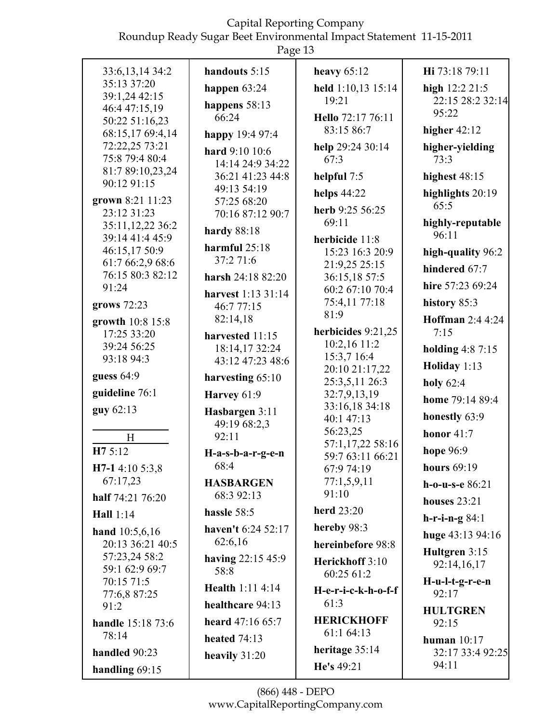| u<br>- |  |
|--------|--|
|--------|--|

|                                 | Ō                          |                              |                         |
|---------------------------------|----------------------------|------------------------------|-------------------------|
| 33:6, 13, 14 34:2               | handouts 5:15              | heavy $65:12$                | Hi 73:18 79:11          |
| 35:13 37:20                     | happen $63:24$             | held 1:10,13 15:14           | high 12:2 21:5          |
| 39:1,24 42:15                   | happens 58:13              | 19:21                        | 22:15 28:2 32:14        |
| 46:4 47:15,19<br>50:22 51:16,23 | 66:24                      | Hello 72:17 76:11            | 95:22                   |
| 68:15,17 69:4,14                | happy 19:4 97:4            | 83:15 86:7                   | higher $42:12$          |
| 72:22,25 73:21                  |                            | help 29:24 30:14             | higher-yielding         |
| 75:8 79:4 80:4                  | hard 9:10 10:6             | 67:3                         | 73:3                    |
| 81:7 89:10,23,24                | 14:14 24:9 34:22           |                              |                         |
| 90:12 91:15                     | 36:21 41:23 44:8           | helpful $7:5$                | highest $48:15$         |
| grown 8:21 11:23                | 49:13 54:19<br>57:25 68:20 | helps $44:22$                | highlights 20:19        |
| 23:12 31:23                     | 70:16 87:12 90:7           | herb 9:25 56:25              | 65:5                    |
| 35:11,12,22 36:2                |                            | 69:11                        | highly-reputable        |
| 39:14 41:4 45:9                 | <b>hardy</b> 88:18         | herbicide 11:8               | 96:11                   |
| 46:15,17 50:9                   | harmful $25:18$            | 15:23 16:3 20:9              | high-quality 96:2       |
| 61:7 66:2,9 68:6                | 37:2 71:6                  | 21:9,25 25:15                |                         |
| 76:15 80:3 82:12                | harsh 24:18 82:20          | 36:15,18 57:5                | hindered 67:7           |
| 91:24                           | harvest 1:13 31:14         | 60:2 67:10 70:4              | hire 57:23 69:24        |
| grows 72:23                     | 46:7 77:15                 | 75:4,11 77:18                | history 85:3            |
| growth 10:8 15:8                | 82:14,18                   | 81:9                         | Hoffman 2:4 4:24        |
| 17:25 33:20                     | harvested 11:15            | herbicides 9:21,25           | 7:15                    |
| 39:24 56:25                     | 18:14,17 32:24             | 10:2,16 11:2                 |                         |
| 93:18 94:3                      | 43:12 47:23 48:6           | 15:3,7 16:4                  | <b>holding 4:8 7:15</b> |
| guess 64:9                      |                            | 20:10 21:17,22               | Holiday 1:13            |
|                                 | harvesting 65:10           | 25:3,5,11 26:3               | holy $62:4$             |
| guideline 76:1                  | Harvey 61:9                | 32:7,9,13,19                 | home 79:14 89:4         |
| guy 62:13                       | Hasbargen 3:11             | 33:16,18 34:18<br>40:1 47:13 | honestly 63:9           |
|                                 | 49:19 68:2,3               | 56:23,25                     | honor $41:7$            |
| H                               | 92:11                      | 57:1,17,22 58:16             |                         |
| H7 5:12                         | $H-a-s-b-a-r-g-e-n$        | 59:7 63:11 66:21             | hope 96:9               |
| H7-1 4:10 5:3,8                 | 68:4                       | 67:9 74:19                   | hours $69:19$           |
| 67:17,23                        | <b>HASBARGEN</b>           | 77:1,5,9,11                  | $h$ -o-u-s-e 86:21      |
| half 74:21 76:20                | 68:3 92:13                 | 91:10                        | houses $23:21$          |
| Hall $1:14$                     | hassle 58:5                | herd 23:20                   | $h-r-i-n-g 84:1$        |
| hand $10:5,6,16$                | haven't 6:24 52:17         | hereby 98:3                  | huge $43:13\,94:16$     |
| 20:13 36:21 40:5                | 62:6,16                    | hereinbefore 98:8            | Hultgren 3:15           |
| 57:23,24 58:2                   | having $22:15\,45:9$       | Herickhoff 3:10              | 92:14,16,17             |
| 59:1 62:9 69:7<br>70:15 71:5    | 58:8                       | 60:25 61:2                   | $H-u-l-t-g-r-e-n$       |
| 77:6,8 87:25                    | <b>Health 1:11 4:14</b>    | H-e-r-i-c-k-h-o-f-f          | 92:17                   |
| 91:2                            | healthcare 94:13           | 61:3                         | <b>HULTGREN</b>         |
| <b>handle</b> 15:18 73:6        | heard 47:16 65:7           | <b>HERICKHOFF</b>            | 92:15                   |
| 78:14                           | <b>heated</b> 74:13        | 61:1 64:13                   | human $10:17$           |
| handled 90:23                   | heavily $31:20$            | heritage 35:14               | 32:17 33:4 92:25        |
| handling 69:15                  |                            | He's 49:21                   | 94:11                   |
|                                 |                            |                              |                         |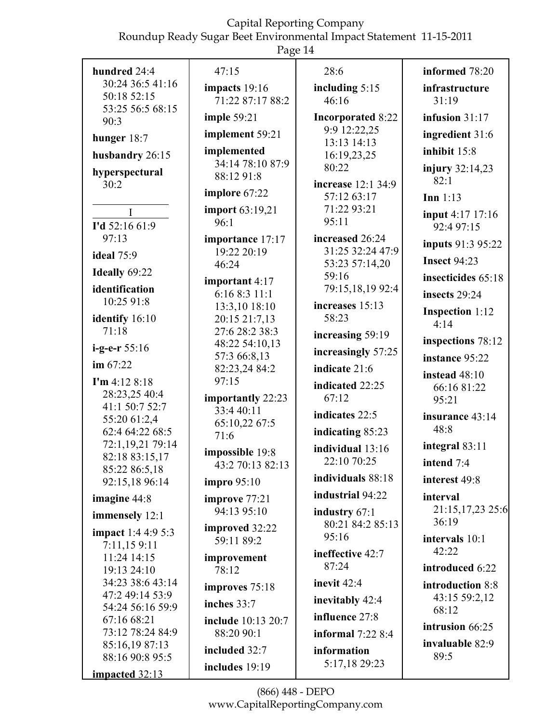| hundred 24:4                    | 47:15                          | 28:6                         | informed 78:20                 |
|---------------------------------|--------------------------------|------------------------------|--------------------------------|
| 30:24 36:5 41:16                | impacts 19:16                  | including $5:15$             | infrastructure                 |
| 50:18 52:15                     | 71:22 87:17 88:2               | 46:16                        | 31:19                          |
| 53:25 56:5 68:15                | imple $59:21$                  | <b>Incorporated 8:22</b>     | infusion $31:17$               |
| 90:3                            |                                | 9:9 12:22,25                 |                                |
| hunger 18:7                     | implement 59:21                | 13:13 14:13                  | ingredient 31:6                |
| husbandry 26:15                 | implemented                    | 16:19,23,25                  | inhibit 15:8                   |
| hyperspectural<br>30:2          | 34:14 78:10 87:9<br>88:12 91:8 | 80:22<br>increase 12:1 34:9  | injury 32:14,23<br>82:1        |
|                                 | implore 67:22                  | 57:12 63:17                  | Inn $1:13$                     |
| $\mathbf I$                     | import 63:19,21                | 71:22 93:21                  |                                |
| I'd 52:16 61:9                  | 96:1                           | 95:11                        | input 4:17 17:16<br>92:4 97:15 |
| 97:13                           | importance 17:17               | increased 26:24              |                                |
|                                 | 19:22 20:19                    | 31:25 32:24 47:9             | inputs 91:3 95:22              |
| <b>ideal</b> 75:9               | 46:24                          | 53:23 57:14,20               | <b>Insect 94:23</b>            |
| Ideally 69:22                   | important 4:17                 | 59:16                        | insecticides 65:18             |
| identification                  | 6:16 8:3 11:1                  | 79:15,18,19 92:4             | insects 29:24                  |
| 10:25 91:8                      | 13:3,10 18:10                  | increases 15:13              |                                |
| identify 16:10                  | 20:15 21:7,13                  | 58:23                        | <b>Inspection 1:12</b><br>4:14 |
| 71:18                           | 27:6 28:2 38:3                 | increasing 59:19             |                                |
| $i-g-e-r 55:16$                 | 48:22 54:10,13                 |                              | inspections 78:12              |
| im $67:22$                      | 57:3 66:8,13                   | increasingly 57:25           | instance 95:22                 |
|                                 | 82:23,24 84:2                  | indicate 21:6                | instead 48:10                  |
| $\Gamma$ m 4:12 8:18            | 97:15                          | indicated 22:25              | 66:16 81:22                    |
| 28:23,25 40:4                   | importantly 22:23              | 67:12                        | 95:21                          |
| 41:1 50:7 52:7                  | 33:4 40:11                     | indicates 22:5               |                                |
| 55:20 61:2,4                    | 65:10,22 67:5                  |                              | insurance 43:14                |
| 62:4 64:22 68:5                 | 71:6                           | indicating 85:23             | 48:8                           |
| 72:1,19,21 79:14                | impossible 19:8                | individual 13:16             | integral 83:11                 |
| 82:18 83:15,17                  | 43:2 70:13 82:13               | 22:10 70:25                  | intend 7:4                     |
| 85:22 86:5,18<br>92:15,18 96:14 | <b>impro</b> 95:10             | individuals 88:18            | interest 49:8                  |
|                                 |                                | industrial 94:22             | interval                       |
| imagine $44:8$                  | improve 77:21                  |                              |                                |
| immensely 12:1                  | 94:13 95:10                    | industry 67:1                | 21:15,17,23 25:6<br>36:19      |
| <b>impact</b> 1:4 4:9 5:3       | improved 32:22                 | 80:21 84:2 85:13             |                                |
| 7:11,159:11                     | 59:11 89:2                     | 95:16                        | intervals 10:1                 |
| 11:24 14:15                     | improvement                    | ineffective 42:7             | 42:22                          |
| 19:13 24:10                     | 78:12                          | 87:24                        | introduced 6:22                |
| 34:23 38:6 43:14                |                                | inevit $42:4$                | introduction 8:8               |
| 47:2 49:14 53:9                 | improves 75:18                 |                              | 43:15 59:2,12                  |
| 54:24 56:16 59:9                | inches $33:7$                  | inevitably 42:4              | 68:12                          |
| 67:16 68:21                     | include 10:13 20:7             | influence 27:8               |                                |
| 73:12 78:24 84:9                | 88:20 90:1                     | informal $7:228:4$           | intrusion 66:25                |
| 85:16,19 87:13                  | included 32:7                  |                              | invaluable 82:9                |
| 88:16 90:8 95:5                 |                                | information<br>5:17,18 29:23 | 89:5                           |
| impacted $32:13$                | includes 19:19                 |                              |                                |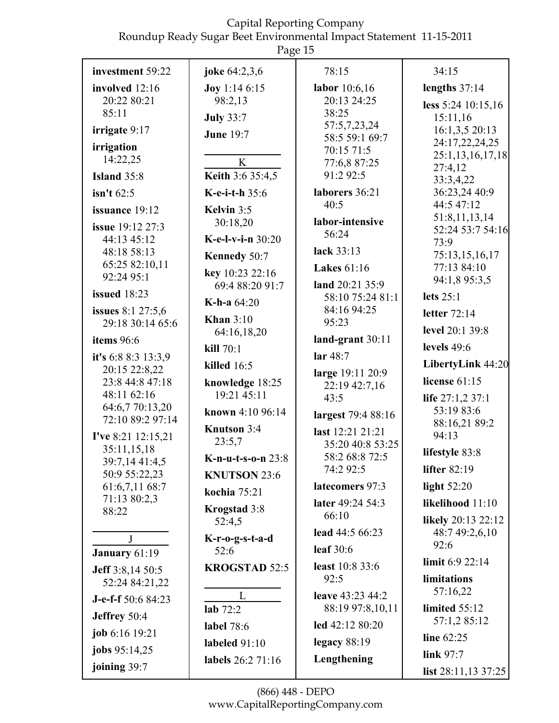|                                       | rage 15                 |                                      |                                  |
|---------------------------------------|-------------------------|--------------------------------------|----------------------------------|
| investment 59:22                      | joke 64:2,3,6           | 78:15                                | 34:15                            |
| involved 12:16                        | <b>Joy</b> 1:14 6:15    | labor $10:6,16$                      | lengths $37:14$                  |
| 20:22 80:21                           | 98:2,13                 | 20:13 24:25                          | less 5:24 10:15,16               |
| 85:11                                 | <b>July 33:7</b>        | 38:25<br>57:5,7,23,24                | 15:11,16                         |
| irrigate 9:17                         | <b>June 19:7</b>        | 58:5 59:1 69:7                       | 16:1,3,5 20:13<br>24:17,22,24,25 |
| irrigation                            |                         | 70:15 71:5                           | 25:1,13,16,17,18                 |
| 14:22,25                              | K                       | 77:6,8 87:25                         | 27:4,12                          |
| <b>Island 35:8</b>                    | <b>Keith 3:6 35:4,5</b> | 91:2 92:5                            | 33:3,4,22                        |
| $\sin$ 't 62:5                        | K-e-i-t-h 35:6          | laborers 36:21                       | 36:23,24 40:9<br>44:5 47:12      |
| issuance 19:12                        | Kelvin $3:5$            | 40:5                                 | 51:8,11,13,14                    |
| issue 19:12 27:3                      | 30:18,20                | labor-intensive<br>56:24             | 52:24 53:7 54:16                 |
| 44:13 45:12                           | K-e-l-v-i-n $30:20$     |                                      | 73:9                             |
| 48:18 58:13                           | Kennedy 50:7            | lack 33:13                           | 75:13,15,16,17                   |
| 65:25 82:10,11<br>92:24 95:1          | key 10:23 22:16         | <b>Lakes</b> 61:16                   | 77:13 84:10                      |
| <b>issued</b> 18:23                   | 69:4 88:20 91:7         | land 20:21 35:9                      | 94:1,8 95:3,5                    |
|                                       | <b>K-h-a</b> $64:20$    | 58:10 75:24 81:1<br>84:16 94:25      | lets $25:1$                      |
| issues 8:1 27:5,6<br>29:18 30:14 65:6 | Khan $3:10$             | 95:23                                | letter $72:14$                   |
| items 96:6                            | 64:16,18,20             | land-grant 30:11                     | level 20:1 39:8                  |
|                                       | kill $70:1$             |                                      | levels $49:6$                    |
| it's 6:8 8:3 13:3,9<br>20:15 22:8,22  | killed $16:5$           | lar $48:7$                           | LibertyLink 44:20                |
| 23:8 44:8 47:18                       | knowledge 18:25         | large 19:11 20:9<br>22:19 42:7,16    | license 61:15                    |
| 48:11 62:16                           | 19:21 45:11             | 43:5                                 | life 27:1,2 37:1                 |
| 64:6,7 70:13,20                       | known 4:10 96:14        | largest 79:4 88:16                   | 53:19 83:6                       |
| 72:10 89:2 97:14                      | Knutson 3:4             |                                      | 88:16,21 89:2                    |
| I've 8:21 12:15,21                    | 23:5,7                  | last 12:21 21:21<br>35:20 40:8 53:25 | 94:13                            |
| 35:11,15,18<br>39:7,14 41:4,5         | K-n-u-t-s-o-n 23:8      | 58:2 68:8 72:5                       | lifestyle 83:8                   |
| 50:9 55:22,23                         | <b>KNUTSON 23:6</b>     | 74:2 92:5                            | <b>lifter 82:19</b>              |
| 61:6,7,11 68:7                        | kochia 75:21            | latecomers 97:3                      | light $52:20$                    |
| 71:13 80:2,3<br>88:22                 | Krogstad 3:8            | later 49:24 54:3                     | likelihood 11:10                 |
|                                       | 52:4,5                  | 66:10                                | likely 20:13 22:12               |
| J                                     | K-r-o-g-s-t-a-d         | lead 44:5 66:23                      | 48:7 49:2,6,10                   |
| January 61:19                         | 52:6                    | leaf $30:6$                          | 92:6                             |
| <b>Jeff</b> 3:8,14 50:5               | <b>KROGSTAD 52:5</b>    | least 10:8 33:6                      | limit $6:9$ 22:14                |
| 52:24 84:21,22                        |                         | 92:5                                 | limitations                      |
| J-e-f-f 50:6 84:23                    | L                       | leave 43:23 44:2                     | 57:16,22                         |
| Jeffrey 50:4                          | lab $72:2$              | 88:19 97:8,10,11                     | limited $55:12$                  |
| job 6:16 19:21                        | label 78:6              | led 42:12 80:20                      | 57:1,2 85:12                     |
|                                       | labeled $91:10$         | legacy $88:19$                       | line 62:25                       |
| jobs 95:14,25                         | labels 26:2 71:16       | Lengthening                          | link $97:7$                      |
| joining 39:7                          |                         |                                      | list $28:11,1337:25$             |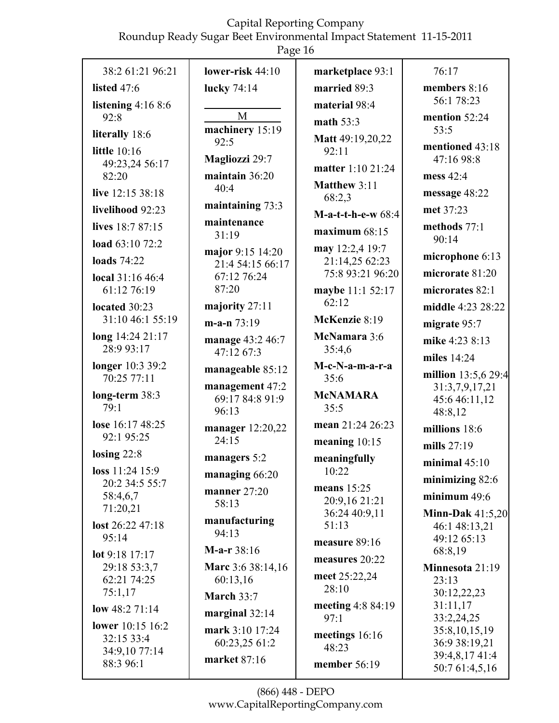|                                 | Page 16                  |                                |                                  |
|---------------------------------|--------------------------|--------------------------------|----------------------------------|
| 38:2 61:21 96:21                | lower-risk $44:10$       | marketplace 93:1               | 76:17                            |
| listed $47:6$                   | lucky 74:14              | married 89:3                   | members 8:16                     |
| listening $4:168:6$             |                          | material 98:4                  | 56:1 78:23                       |
| 92:8                            | M                        | math $53:3$                    | mention 52:24                    |
| literally 18:6                  | machinery 15:19          | Matt 49:19,20,22               | 53:5                             |
| <b>little</b> 10:16             | 92:5                     | 92:11                          | mentioned 43:18                  |
| 49:23,24 56:17                  | Magliozzi 29:7           | matter 1:10 21:24              | 47:16 98:8                       |
| 82:20                           | maintain 36:20<br>40:4   | Matthew 3:11                   | mess 42:4                        |
| live 12:15 38:18                |                          | 68:2,3                         | message 48:22                    |
| livelihood 92:23                | maintaining 73:3         | $M-a-t-t-h-e-w$ 68:4           | met 37:23                        |
| lives 18:7 87:15                | maintenance<br>31:19     | maximum 68:15                  | methods $77:1$<br>90:14          |
| load 63:10 72:2                 | major 9:15 14:20         | may 12:2,4 19:7                |                                  |
| <b>loads</b> 74:22              | 21:4 54:15 66:17         | 21:14,25 62:23                 | microphone 6:13                  |
| local 31:16 46:4                | 67:12 76:24              | 75:8 93:21 96:20               | microrate 81:20                  |
| 61:12 76:19                     | 87:20                    | maybe 11:1 52:17               | microrates 82:1                  |
| located 30:23                   | majority 27:11           | 62:12                          | middle 4:23 28:22                |
| 31:10 46:1 55:19                | $m-a-n$ 73:19            | McKenzie 8:19                  | migrate 95:7                     |
| long 14:24 21:17<br>28:9 93:17  | manage 43:2 46:7         | McNamara 3:6<br>35:4,6         | mike 4:23 8:13                   |
|                                 | 47:12 67:3               |                                | miles 14:24                      |
| longer 10:3 39:2<br>70:25 77:11 | manageable 85:12         | M-c-N-a-m-a-r-a<br>35:6        | million 13:5,6 29:4              |
| long-term 38:3                  | management 47:2          | <b>McNAMARA</b>                | 31:3,7,9,17,21                   |
| 79:1                            | 69:17 84:8 91:9<br>96:13 | 35:5                           | 45:6 46:11,12<br>48:8,12         |
| lose 16:17 48:25                | manager 12:20,22         | mean 21:24 26:23               | millions 18:6                    |
| 92:1 95:25                      | 24:15                    | meaning $10:15$                | mills 27:19                      |
| losing $22:8$                   | managers 5:2             | meaningfully                   | minimal $45:10$                  |
| loss $11:24$ 15:9               | managing $66:20$         | 10:22                          | minimizing 82:6                  |
| 20:2 34:5 55:7<br>58:4,6,7      | manner $27:20$           | means $15:25$                  | minimum $49:6$                   |
| 71:20,21                        | 58:13                    | 20:9,16 21:21<br>36:24 40:9,11 | Minn-Dak $41:5,20$               |
| lost 26:22 47:18                | manufacturing            | 51:13                          | 46:1 48:13,21                    |
| 95:14                           | 94:13                    | measure 89:16                  | 49:12 65:13                      |
| lot 9:18 17:17                  | $M-a-r 38:16$            | measures 20:22                 | 68:8,19                          |
| 29:18 53:3,7                    | Marc 3:6 38:14,16        | meet 25:22,24                  | Minnesota 21:19                  |
| 62:21 74:25                     | 60:13,16                 | 28:10                          | 23:13                            |
| 75:1,17                         | <b>March 33:7</b>        | meeting $4:884:19$             | 30:12,22,23<br>31:11,17          |
| low $48:271:14$                 | marginal $32:14$         | 97:1                           | 33:2,24,25                       |
| lower 10:15 16:2<br>32:15 33:4  | mark 3:10 17:24          | meetings $16:16$               | 35:8,10,15,19                    |
| 34:9,10 77:14                   | 60:23,25 61:2            | 48:23                          | 36:9 38:19,21                    |
| 88:3 96:1                       | market 87:16             | member $56:19$                 | 39:4,8,17 41:4<br>50:7 61:4,5,16 |
|                                 |                          |                                |                                  |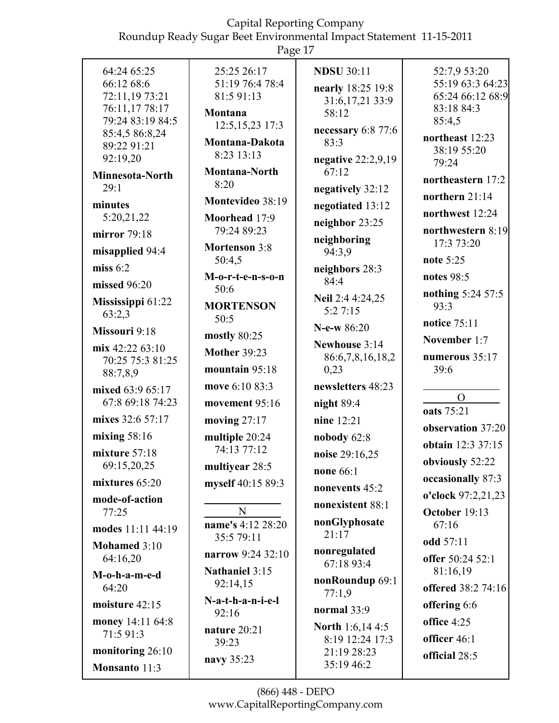|                                    | O                              |                               |                           |
|------------------------------------|--------------------------------|-------------------------------|---------------------------|
| 64:24 65:25                        | 25:25 26:17                    | <b>NDSU 30:11</b>             | 52:7,9 53:20              |
| 66:12 68:6                         | 51:19 76:4 78:4                | nearly 18:25 19:8             | 55:19 63:3 64:23          |
| 72:11,19 73:21                     | 81:5 91:13                     | 31:6,17,21 33:9               | 65:24 66:12 68:9          |
| 76:11,17 78:17                     | Montana                        | 58:12                         | 83:18 84:3                |
| 79:24 83:19 84:5                   | 12:5, 15, 23 17:3              |                               | 85:4,5                    |
| 85:4,5 86:8,24                     | Montana-Dakota                 | necessary 6:8 77:6<br>83:3    | northeast 12:23           |
| 89:22 91:21                        | 8:23 13:13                     |                               | 38:19 55:20               |
| 92:19,20                           | Montana-North                  | negative $22:2,9,19$<br>67:12 | 79:24                     |
| Minnesota-North                    | 8:20                           |                               | northeastern 17:2         |
| 29:1                               |                                | negatively 32:12              | northern $21:14$          |
| minutes                            | Montevideo 38:19               | negotiated 13:12              | northwest 12:24           |
| 5:20,21,22                         | Moorhead 17:9<br>79:24 89:23   | neighbor 23:25                | northwestern 8:19         |
| mirror 79:18                       |                                | neighboring                   | 17:3 73:20                |
| misapplied 94:4                    | <b>Mortenson 3:8</b><br>50:4,5 | 94:3,9                        | note 5:25                 |
| miss $6:2$                         | M-o-r-t-e-n-s-o-n              | neighbors 28:3                | notes 98:5                |
| missed 96:20                       | 50:6                           | 84:4                          |                           |
| Mississippi 61:22                  | <b>MORTENSON</b>               | Neil 2:4 4:24,25              | nothing 5:24 57:5<br>93:3 |
| 63:2,3                             | 50:5                           | 5:27:15                       | notice 75:11              |
| Missouri 9:18                      | mostly 80:25                   | $N-e-w 86:20$                 |                           |
| mix $42:2263:10$                   | <b>Mother 39:23</b>            | Newhouse 3:14                 | November 1:7              |
| 70:25 75:3 81:25                   |                                | 86:6,7,8,16,18,2              | numerous 35:17            |
| 88:7,8,9                           | mountain 95:18                 | 0,23                          | 39:6                      |
| mixed 63:9 65:17                   | move 6:10 83:3                 | newsletters 48:23             | $\Omega$                  |
| 67:8 69:18 74:23                   | movement 95:16                 | night 89:4                    | oats 75:21                |
| mixes 32:6 57:17                   | moving $27:17$                 | nine 12:21                    | observation 37:20         |
| mixing $58:16$                     | multiple 20:24                 | nobody 62:8                   | obtain 12:3 37:15         |
| mixture 57:18                      | 74:13 77:12                    | noise 29:16,25                | obviously 52:22           |
| 69:15,20,25                        | multiyear 28:5                 | none 66:1                     | occasionally 87:3         |
| mixtures $65:20$<br>mode-of-action | myself 40:15 89:3              | nonevents 45:2                | o'clock 97:2,21,23        |
| 77:25                              | N                              | nonexistent 88:1              | October 19:13             |
|                                    | name's 4:12 28:20              | nonGlyphosate                 | 67:16                     |
| modes 11:11 44:19                  | 35:5 79:11                     | 21:17                         | odd 57:11                 |
| Mohamed 3:10<br>64:16,20           | narrow 9:24 32:10              | nonregulated                  | offer 50:24 52:1          |
|                                    | <b>Nathaniel 3:15</b>          | 67:18 93:4                    | 81:16,19                  |
| M-o-h-a-m-e-d                      | 92:14,15                       | nonRoundup 69:1               |                           |
| 64:20                              | N-a-t-h-a-n-i-e-l              | 77:1,9                        | offered 38:2 74:16        |
| moisture 42:15                     | 92:16                          | normal $33:9$                 | offering 6:6              |
| money 14:11 64:8                   | nature 20:21                   | <b>North 1:6,144:5</b>        | office 4:25               |
| 71:5 91:3                          | 39:23                          | 8:19 12:24 17:3               | officer 46:1              |
| monitoring 26:10                   | navy 35:23                     | 21:19 28:23                   | official 28:5             |
| Monsanto 11:3                      |                                | 35:19 46:2                    |                           |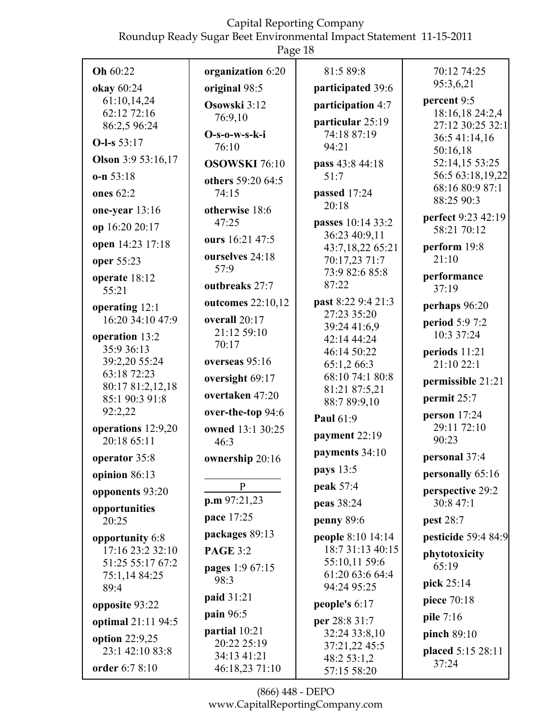Page 18 81:5 89:8 **Oh** 60:22 organization 6:20 70:12 74:25 95:3,6,21 okay 60:24 original 98:5 participated 39:6 61:10,14,24 percent 9:5 Osowski 3:12 participation 4:7 18:16,18 24:2,4  $62:12\,72:16$ 76:9,10 particular 25:19 86:2,5 96:24 27:12 30:25 32:1  $O-s-<sub>0</sub>-<sub>w-s-k-i</sub>$ 74:18 87:19 36:5 41:14,16 **O-l-s**  $53:17$  $76:10$ 94:21 50:16,18 **Olson** 3:9 53:16.17 **pass** 43:8 44:18 52:14,15 53:25 **OSOWSKI** 76.10 56:5 63:18,19,22  $o-n 53:18$  $51:7$ others 59:20 64:5 68:16 80:9 87:1 ones  $62.2$ passed  $17:24$  $74.15$ 88:25 90:3  $20:18$ one-year  $13:16$ otherwise 18:6 perfect 9:23 42:19  $47:25$ **passes**  $10:14.33:2$ op 16:20 20:17 58:21 70:12 36:23 40:9,11 ours 16:21 47:5 **open** 14:23 17:18 perform  $19:8$ 43:7,18,22 65:21 ourselves 24:18  $21:10$ 70:17,23 71:7 oper 55:23  $57:9$ 73:9 82:6 85:8 performance operate 18:12 87:22 outbreaks 27:7  $37:19$  $55:21$ past 8:22 9:4 21:3 outcomes  $22:10.12$ perhaps  $96:20$ operating  $12:1$ 27:23 35:20  $16:20$  34:10 47:9 overall  $20:17$ **period** 5:9 7:2 39:24 41:6,9 21:12 59:10 10:3 37:24 operation 13:2 42:14 44:24  $70.17$ 35:9 36:13 46:14 50:22 periods  $11:21$ 39:2,20 55:24 overseas 95:16  $65:1,266:3$  $21:1022:1$ 63:18 72:23 68:10 74:1 80:8 oversight 69:17 permissible 21:21 80:17 81:2,12,18 81:21 87:5.21 overtaken 47:20 85:1 90:3 91:8 permit  $25:7$ 88:7 89:9,10 92:2,22 over-the-top 94:6 person  $17:24$ **Paul 61:9** operations 12:9,20 29:11 72:10 owned 13:1 30:25 payment  $22:19$ 90:23  $20:1865:11$  $46:3$ payments  $34:10$ personal 37:4 **operator** 35:8 ownership 20:16 **pays** 13:5 personally  $65:16$ opinion  $86:13$  $\mathbf{P}$ **peak** 57:4 perspective 29:2 opponents 93:20  $p.m.97:21,23$  $30:847:1$ **peas** 38:24 opportunities pace 17:25 penny  $89:6$ **pest** 28:7 20:25 packages 89:13 pesticide 59:4 84:9 opportunity 6:8 **people** 8:10 14:14 17:16 23:2 32:10 18:7 31:13 40:15 **PAGE 3:2** phytotoxicity 55:10,11 59:6 51:25 55:17 67:2 65:19 pages 1:9 67:15  $61:2063:664:4$ 75:1,14 84:25 98:3 pick  $25:14$ 94:24 95:25 89:4 paid 31:21 piece  $70:18$ people's  $6:17$ opposite 93:22 pain 96:5 pile 7:16

optimal 21:11 94:5 option  $22:9.25$  $23:1$  42:10 83:8

order 6:7 8:10

(866) 448 - DEPO www.CapitalReportingCompany.com

partial  $10:21$ 

20:22 25:19

34:13 41:21

46:18,23 71:10

**per** 28:8 31:7

32:24 33:8,10

37:21,22 45:5

48:2 53:1,2

57:15 58:20

pinch  $89:10$ 

 $37:24$ 

placed 5:15 28:11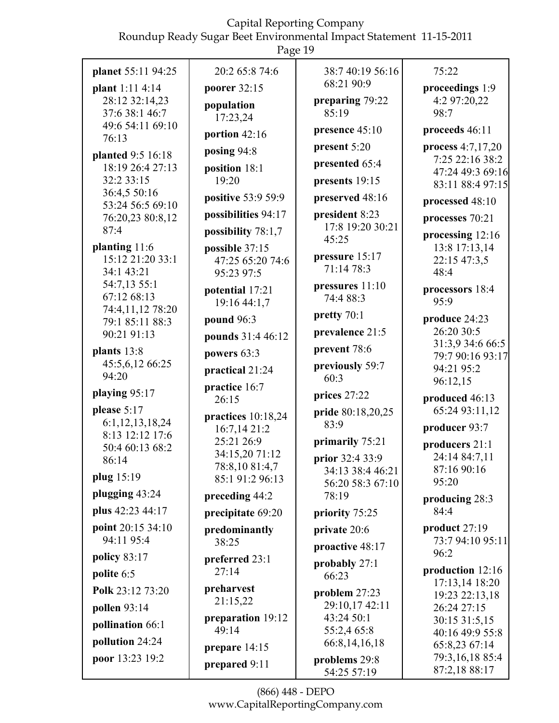|                                                                                                                                      | Page 19                                                                                                                |                                                                                                           |                                                                                                                                        |
|--------------------------------------------------------------------------------------------------------------------------------------|------------------------------------------------------------------------------------------------------------------------|-----------------------------------------------------------------------------------------------------------|----------------------------------------------------------------------------------------------------------------------------------------|
| planet 55:11 94:25<br>plant 1:11 4:14<br>28:12 32:14,23<br>37:6 38:1 46:7<br>49:6 54:11 69:10<br>76:13                               | 20:2 65:8 74:6<br>poorer 32:15<br>population<br>17:23,24<br>portion 42:16                                              | 38:7 40:19 56:16<br>68:21 90:9<br>preparing 79:22<br>85:19<br>presence 45:10                              | 75:22<br>proceedings 1:9<br>4:2 97:20,22<br>98:7<br>proceeds 46:11                                                                     |
| planted 9:5 16:18<br>18:19 26:4 27:13<br>32:2 33:15<br>36:4,5 50:16<br>53:24 56:5 69:10<br>76:20,23 80:8,12<br>87:4                  | posing 94:8<br>position 18:1<br>19:20<br>positive 53:9 59:9<br>possibilities 94:17<br>possibility $78:1,7$             | present 5:20<br>presented 65:4<br>presents 19:15<br>preserved 48:16<br>president 8:23<br>17:8 19:20 30:21 | process 4:7,17,20<br>7:25 22:16 38:2<br>47:24 49:3 69:16<br>83:11 88:4 97:15<br>processed 48:10<br>processes 70:21<br>processing 12:16 |
| planting 11:6<br>15:12 21:20 33:1<br>34:1 43:21<br>54:7,13 55:1<br>67:12 68:13<br>74:4,11,12 78:20<br>79:1 85:11 88:3<br>90:21 91:13 | possible 37:15<br>47:25 65:20 74:6<br>95:23 97:5<br>potential 17:21<br>19:16 44:1,7<br>pound 96:3<br>pounds 31:4 46:12 | 45:25<br>pressure 15:17<br>71:14 78:3<br>pressures 11:10<br>74:4 88:3<br>pretty 70:1<br>prevalence 21:5   | 13:8 17:13,14<br>22:15 47:3,5<br>48:4<br>processors 18:4<br>95:9<br>produce 24:23<br>26:20 30:5                                        |
| plants 13:8<br>45:5,6,12 66:25<br>94:20<br>playing 95:17                                                                             | powers 63:3<br>practical 21:24<br>practice 16:7                                                                        | prevent 78:6<br>previously 59:7<br>60:3                                                                   | 31:3,9 34:6 66:5<br>79:7 90:16 93:17<br>94:21 95:2<br>96:12,15                                                                         |
| please $5:17$<br>6:1,12,13,18,24<br>8:13 12:12 17:6<br>50:4 60:13 68:2<br>86:14                                                      | 26:15<br>practices 10:18,24<br>16:7,14 21:2<br>25:21 26:9<br>34:15,20 71:12<br>78:8,10 81:4,7                          | prices 27:22<br>pride 80:18,20,25<br>83:9<br>primarily 75:21<br>prior 32:4 33:9<br>34:13 38:4 46:21       | produced 46:13<br>65:24 93:11,12<br>producer 93:7<br>producers 21:1<br>24:14 84:7,11<br>87:16 90:16                                    |
| plug 15:19<br>plugging 43:24<br>plus 42:23 44:17                                                                                     | 85:1 91:2 96:13<br>preceding 44:2<br>precipitate 69:20                                                                 | 56:20 58:3 67:10<br>78:19<br>priority 75:25                                                               | 95:20<br>producing 28:3<br>84:4                                                                                                        |
| point 20:15 34:10<br>94:11 95:4<br>policy $83:17$<br>polite 6:5                                                                      | predominantly<br>38:25<br>preferred 23:1<br>27:14                                                                      | private 20:6<br>proactive 48:17<br>probably 27:1<br>66:23                                                 | product 27:19<br>73:7 94:10 95:11<br>96:2<br>production 12:16                                                                          |
| Polk 23:12 73:20<br><b>pollen</b> 93:14<br>pollination 66:1<br>pollution 24:24                                                       | preharvest<br>21:15,22<br>preparation 19:12<br>49:14<br>prepare $14:15$                                                | problem 27:23<br>29:10,17 42:11<br>43:24 50:1<br>55:2,4 65:8<br>66:8,14,16,18                             | 17:13,14 18:20<br>19:23 22:13,18<br>26:24 27:15<br>30:15 31:5,15<br>40:16 49:9 55:8<br>65:8,23 67:14                                   |
| poor 13:23 19:2                                                                                                                      | prepared 9:11                                                                                                          | problems 29:8<br>54:25 57:19                                                                              | 79:3,16,18 85:4<br>87:2,18 88:17                                                                                                       |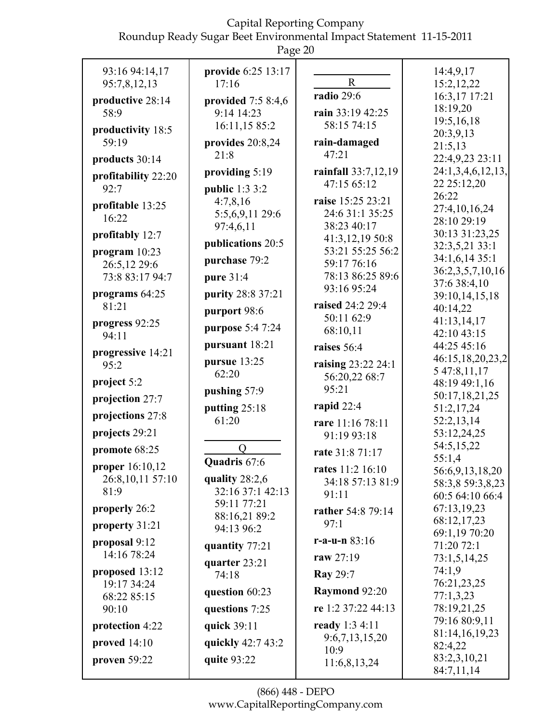| 93:16 94:14,17                  | provide 6:25 13:17  |                                         | 14:4,9,17                        |
|---------------------------------|---------------------|-----------------------------------------|----------------------------------|
| 95:7,8,12,13                    | 17:16               | $\mathbf R$                             | 15:2,12,22                       |
| productive 28:14                | provided $7:58:4,6$ | radio 29:6                              | 16:3,17 17:21                    |
| 58:9                            | 9:14 14:23          | rain 33:19 42:25                        | 18:19,20                         |
| productivity 18:5               | 16:11,15 85:2       | 58:15 74:15                             | 19:5,16,18                       |
| 59:19                           | provides $20:8,24$  | rain-damaged                            | 20:3,9,13                        |
|                                 | 21:8                | 47:21                                   | 21:5,13                          |
| products 30:14                  |                     |                                         | 22:4,9,23 23:11                  |
| profitability 22:20             | providing 5:19      | rainfall 33:7,12,19<br>47:15 65:12      | 24:1,3,4,6,12,13,<br>22 25:12,20 |
| 92:7                            | public 1:3 3:2      |                                         | 26:22                            |
| profitable 13:25                | 4:7,8,16            | raise 15:25 23:21                       | 27:4,10,16,24                    |
| 16:22                           | 5:5,6,9,11 29:6     | 24:6 31:1 35:25                         | 28:10 29:19                      |
| profitably 12:7                 | 97:4,6,11           | 38:23 40:17                             | 30:13 31:23,25                   |
|                                 | publications 20:5   | 41:3,12,19 50:8                         | 32:3,5,21 33:1                   |
| program $10:23$                 | purchase 79:2       | 53:21 55:25 56:2<br>59:17 76:16         | 34:1,6,14 35:1                   |
| 26:5,12 29:6<br>73:8 83:17 94:7 |                     | 78:13 86:25 89:6                        | 36:2,3,5,7,10,16                 |
|                                 | pure 31:4           | 93:16 95:24                             | 37:6 38:4,10                     |
| programs 64:25                  | purity 28:8 37:21   |                                         | 39:10,14,15,18                   |
| 81:21                           | purport 98:6        | raised 24:2 29:4                        | 40:14,22                         |
| progress 92:25                  | purpose 5:4 7:24    | 50:11 62:9                              | 41:13,14,17                      |
| 94:11                           |                     | 68:10,11                                | 42:10 43:15                      |
| progressive 14:21               | pursuant 18:21      | raises 56:4                             | 44:25 45:16                      |
| 95:2                            | pursue 13:25        | raising 23:22 24:1                      | 46:15,18,20,23,2<br>5 47:8,11,17 |
| project 5:2                     | 62:20               | 56:20,22 68:7                           | 48:19 49:1,16                    |
| projection 27:7                 | pushing 57:9        | 95:21                                   | 50:17,18,21,25                   |
|                                 | putting $25:18$     | rapid $22:4$                            | 51:2,17,24                       |
| projections 27:8                | 61:20               | rare 11:16 78:11                        | 52:2,13,14                       |
| projects 29:21                  |                     | 91:19 93:18                             | 53:12,24,25                      |
| promote 68:25                   | O                   | rate 31:8 71:17                         | 54:5,15,22                       |
| proper 16:10,12                 | Quadris 67:6        | rates 11:2 16:10                        | 55:1,4<br>56:6,9,13,18,20        |
| 26:8,10,11 57:10                | quality $28:2,6$    | 34:18 57:13 81:9                        | 58:3,8 59:3,8,23                 |
| 81:9                            | 32:16 37:1 42:13    | 91:11                                   | 60:5 64:10 66:4                  |
| properly 26:2                   | 59:11 77:21         | rather 54:8 79:14                       | 67:13,19,23                      |
| property 31:21                  | 88:16,21 89:2       | 97:1                                    | 68:12,17,23                      |
|                                 | 94:13 96:2          |                                         | 69:1,19 70:20                    |
| proposal 9:12                   | quantity 77:21      | r-a-u-n $83:16$                         | 71:20 72:1                       |
| 14:16 78:24                     | quarter 23:21       | raw 27:19                               | 73:1,5,14,25                     |
| proposed 13:12                  | 74:18               | <b>Ray 29:7</b>                         | 74:1.9                           |
| 19:17 34:24                     | question 60:23      | Raymond 92:20                           | 76:21,23,25<br>77:1,3,23         |
| 68:22 85:15<br>90:10            | questions 7:25      | re 1:2 37:22 44:13                      | 78:19,21,25                      |
|                                 |                     |                                         | 79:16 80:9,11                    |
| protection 4:22                 | quick 39:11         | <b>ready</b> 1:3 4:11<br>9:6,7,13,15,20 | 81:14,16,19,23                   |
| proved 14:10                    | quickly 42:7 43:2   | 10:9                                    | 82:4,22                          |
| proven 59:22                    | quite 93:22         | 11:6,8,13,24                            | 83:2,3,10,21                     |
|                                 |                     |                                         | 84:7,11,14                       |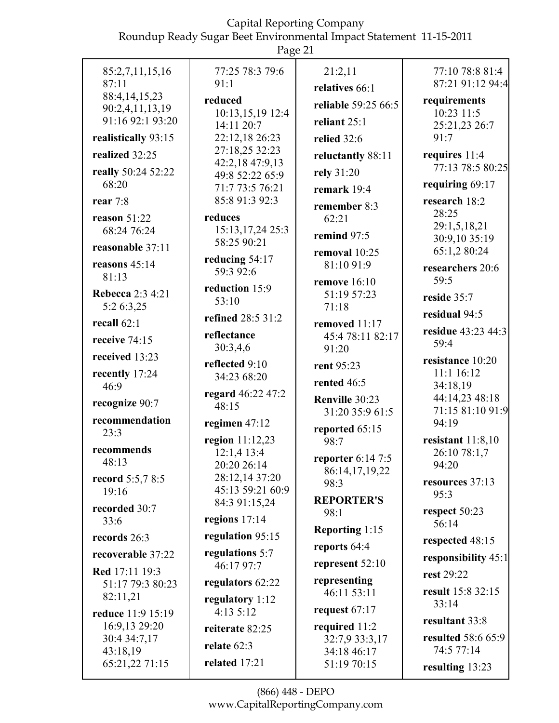|                                           | Page 21                            |                                                  |                                                     |
|-------------------------------------------|------------------------------------|--------------------------------------------------|-----------------------------------------------------|
| 85:2,7,11,15,16<br>87:11<br>88:4,14,15,23 | 77:25 78:3 79:6<br>91:1<br>reduced | 21:2,11<br>relatives 66:1<br>reliable 59:25 66:5 | 77:10 78:8 81:4<br>87:21 91:12 94:4<br>requirements |
| 90:2,4,11,13,19<br>91:16 92:1 93:20       | 10:13,15,19 12:4<br>14:11 20:7     | reliant $25:1$                                   | 10:23 11:5                                          |
| realistically 93:15                       | 22:12,18 26:23                     | relied 32:6                                      | 25:21,23 26:7<br>91:7                               |
| realized 32:25                            | 27:18,25 32:23                     | reluctantly 88:11                                | requires 11:4                                       |
| really 50:24 52:22                        | 42:2,18 47:9,13<br>49:8 52:22 65:9 | rely 31:20                                       | 77:13 78:5 80:25                                    |
| 68:20                                     | 71:7 73:5 76:21                    | remark 19:4                                      | requiring $69:17$                                   |
| rear 7:8                                  | 85:8 91:3 92:3                     | remember 8:3                                     | research 18:2<br>28:25                              |
| reason $51:22$<br>68:24 76:24             | reduces<br>15:13, 17, 24 25:3      | 62:21                                            | 29:1,5,18,21                                        |
| reasonable 37:11                          | 58:25 90:21                        | remind 97:5                                      | 30:9,10 35:19                                       |
| reasons $45:14$                           | reducing 54:17                     | removal 10:25<br>81:10 91:9                      | 65:1,2 80:24<br>researchers 20:6                    |
| 81:13                                     | 59:3 92:6                          | remove $16:10$                                   | 59:5                                                |
| <b>Rebecca</b> 2:3 4:21                   | reduction 15:9<br>53:10            | 51:19 57:23                                      | reside 35:7                                         |
| 5:2 6:3,25<br>recall $62:1$               | refined 28:5 31:2                  | 71:18<br>removed 11:17                           | residual 94:5                                       |
| receive 74:15                             | reflectance                        | 45:4 78:11 82:17                                 | residue 43:23 44:3                                  |
| received 13:23                            | 30:3,4,6                           | 91:20                                            | 59:4                                                |
| recently 17:24                            | reflected 9:10<br>34:23 68:20      | rent 95:23                                       | resistance 10:20<br>11:1 16:12                      |
| 46:9                                      | regard 46:22 47:2                  | rented 46:5                                      | 34:18,19                                            |
| recognize 90:7                            | 48:15                              | Renville 30:23<br>31:20 35:9 61:5                | 44:14,23 48:18<br>71:15 81:10 91:9                  |
| recommendation<br>23:3                    | regimen $47:12$                    | reported 65:15                                   | 94:19                                               |
| recommends                                | region 11:12,23                    | 98:7                                             | resistant $11:8,10$                                 |
| 48:13                                     | 12:1,4 13:4<br>20:20 26:14         | reporter 6:14 7:5                                | 26:10 78:1,7<br>94:20                               |
| <b>record</b> 5:5,7 8:5                   | 28:12,14 37:20                     | 86:14,17,19,22<br>98:3                           | resources 37:13                                     |
| 19:16                                     | 45:13 59:21 60:9<br>84:3 91:15,24  | <b>REPORTER'S</b>                                | 95:3                                                |
| recorded 30:7<br>33:6                     | regions $17:14$                    | 98:1                                             | respect $50:23$<br>56:14                            |
| records 26:3                              | regulation 95:15                   | <b>Reporting 1:15</b>                            | respected 48:15                                     |
| recoverable 37:22                         | regulations 5:7                    | reports 64:4                                     | responsibility 45:1                                 |
| <b>Red</b> 17:11 19:3                     | 46:17 97:7                         | represent 52:10                                  | rest 29:22                                          |
| 51:17 79:3 80:23<br>82:11,21              | regulators 62:22                   | representing<br>46:11 53:11                      | result 15:8 32:15                                   |
| reduce 11:9 15:19                         | regulatory 1:12<br>4:135:12        | request $67:17$                                  | 33:14                                               |
| 16:9,13 29:20                             | reiterate 82:25                    | required 11:2                                    | resultant 33:8                                      |
| 30:4 34:7,17<br>43:18,19                  | relate 62:3                        | 32:7,9 33:3,17<br>34:18 46:17                    | resulted 58:6 65:9<br>74:5 77:14                    |
| 65:21,22 71:15                            | related 17:21                      | 51:19 70:15                                      | resulting 13:23                                     |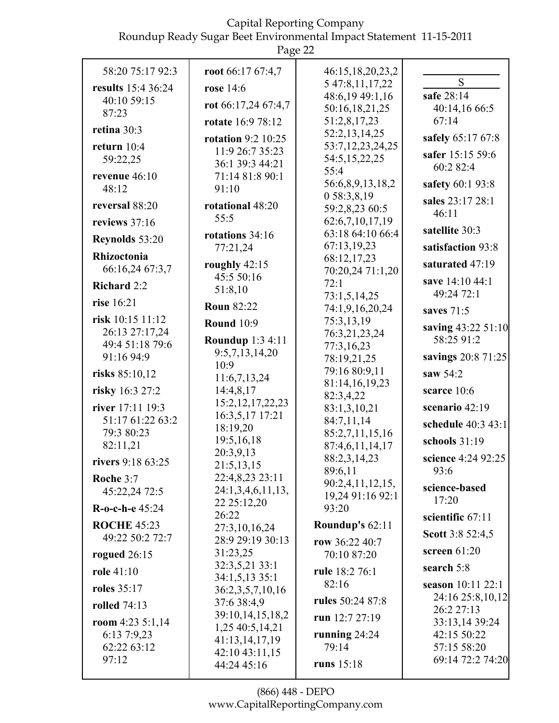| 58:20 75:17 92:3<br>results 15:4 36:24<br>40:10 59:15<br>87:23<br>retina 30:3<br>return 10:4<br>59:22,25<br>revenue 46:10<br>48:12<br>reversal 88:20<br>reviews 37:16<br>Reynolds 53:20<br>Rhizoctonia<br>66:16,24 67:3,7<br>Richard 2:2<br>rise 16:21 | Page 22<br>root $66:1767:47$<br>rose 14:6<br>rot 66:17,24 67:4,7<br><b>rotate</b> 16:9 78:12<br>rotation $9:2$ 10:25<br>11:9 26:7 35:23<br>36:1 39:3 44:21<br>71:14 81:8 90:1<br>91:10<br>rotational 48:20<br>55:5<br>rotations 34:16<br>77:21,24<br>roughly $42:15$<br>45:5 50:16<br>51:8,10 | 46:15,18,20,23,2<br>5 47:8, 11, 17, 22<br>48:6,19 49:1,16<br>50:16,18,21,25<br>51:2,8,17,23<br>52:2,13,14,25<br>53:7,12,23,24,25<br>54:5, 15, 22, 25<br>55:4<br>56:6,8,9,13,18,2<br>0 58:3,8,19<br>59:2,8,23 60:5<br>62:6,7,10,17,19<br>63:18 64:10 66:4<br>67:13,19,23<br>68:12,17,23<br>70:20,24 71:1,20<br>72:1<br>73:1,5,14,25 | S<br>safe 28:14<br>40:14,16 66:5<br>67:14<br>safely 65:17 67:8<br>safer 15:15 59:6<br>60:2 82:4<br>safety 60:1 93:8<br>sales 23:17 28:1<br>46:11<br>satellite 30:3<br>satisfaction 93:8<br>saturated 47:19<br>save 14:10 44:1<br>49:24 72:1 |
|--------------------------------------------------------------------------------------------------------------------------------------------------------------------------------------------------------------------------------------------------------|-----------------------------------------------------------------------------------------------------------------------------------------------------------------------------------------------------------------------------------------------------------------------------------------------|------------------------------------------------------------------------------------------------------------------------------------------------------------------------------------------------------------------------------------------------------------------------------------------------------------------------------------|---------------------------------------------------------------------------------------------------------------------------------------------------------------------------------------------------------------------------------------------|
| risk 10:15 11:12<br>26:13 27:17,24<br>49:4 51:18 79:6<br>91:16 94:9                                                                                                                                                                                    | <b>Roun 82:22</b><br><b>Round 10:9</b><br><b>Roundup 1:3 4:11</b><br>9:5,7,13,14,20<br>10:9                                                                                                                                                                                                   | 74:1,9,16,20,24<br>75:3,13,19<br>76:3,21,23,24<br>77:3,16,23<br>78:19,21,25                                                                                                                                                                                                                                                        | saves $71:5$<br>saving 43:22 51:10<br>58:25 91:2<br>savings 20:8 71:25                                                                                                                                                                      |
| risks 85:10,12<br>risky 16:3 27:2<br>river 17:11 19:3<br>51:17 61:22 63:2<br>79:3 80:23<br>82:11,21                                                                                                                                                    | 11:6,7,13,24<br>14:4,8,17<br>15:2, 12, 17, 22, 23<br>16:3,5,17 17:21<br>18:19,20<br>19:5,16,18                                                                                                                                                                                                | 79:16 80:9,11<br>81:14,16,19,23<br>82:3,4,22<br>83:1,3,10,21<br>84:7,11,14<br>85:2,7,11,15,16<br>87:4,6,11,14,17                                                                                                                                                                                                                   | saw $54:2$<br>scarce 10:6<br>scenario 42:19<br>schedule 40:3 43:1<br>schools 31:19                                                                                                                                                          |
| <b>rivers</b> 9:18 63:25<br>Roche 3:7<br>45:22,24 72:5<br>R-o-c-h-e 45:24<br><b>ROCHE 45:23</b>                                                                                                                                                        | 20:3,9,13<br>21:5,13,15<br>22:4,8,23 23:11<br>24:1,3,4,6,11,13,<br>22 25:12,20<br>26:22                                                                                                                                                                                                       | 88:2,3,14,23<br>89:6,11<br>90:2,4,11,12,15,<br>19,24 91:16 92:1<br>93:20<br>Roundup's 62:11                                                                                                                                                                                                                                        | science 4:24 92:25<br>93:6<br>science-based<br>17:20<br>scientific 67:11                                                                                                                                                                    |
| 49:22 50:2 72:7<br>rogued $26:15$<br>role $41:10$<br><b>roles</b> 35:17<br><b>rolled</b> 74:13                                                                                                                                                         | 27:3,10,16,24<br>28:9 29:19 30:13<br>31:23,25<br>32:3,5,21 33:1<br>34:1,5,13 35:1<br>36:2,3,5,7,10,16<br>37:6 38:4,9<br>39:10,14,15,18,2                                                                                                                                                      | row $36:2240:7$<br>70:10 87:20<br>rule 18:2 76:1<br>82:16<br>rules 50:24 87:8<br>run 12:7 27:19                                                                                                                                                                                                                                    | <b>Scott</b> 3:8 52:4,5<br>screen 61:20<br>search 5:8<br>season $10:11$ 22:1<br>24:16 25:8,10,12<br>26:2 27:13                                                                                                                              |
| room $4:235:1,14$<br>6:13 7:9,23<br>62:22 63:12<br>97:12                                                                                                                                                                                               | 1,25 40:5,14,21<br>41:13,14,17,19<br>42:10 43:11,15<br>44:24 45:16                                                                                                                                                                                                                            | running $24:24$<br>79:14<br>runs 15:18                                                                                                                                                                                                                                                                                             | 33:13,14 39:24<br>42:15 50:22<br>57:15 58:20<br>69:14 72:2 74:20                                                                                                                                                                            |

(866) 448 - DEPO www.CapitalReportingCompany.com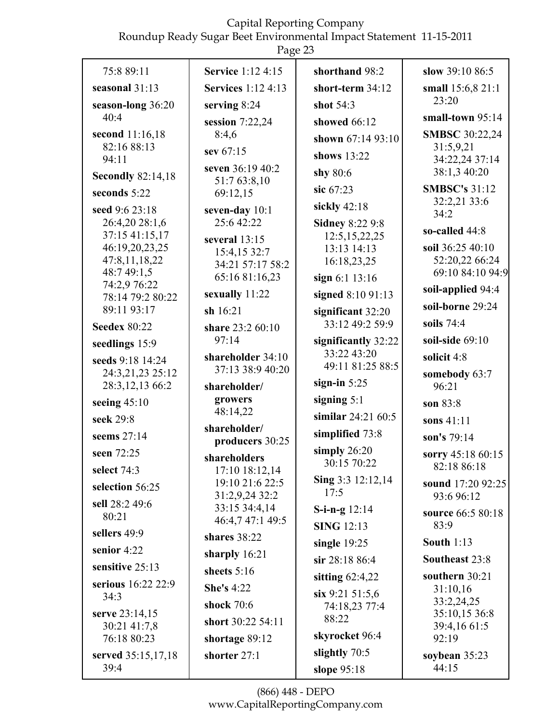#### Capital Reporting Company

Roundup Ready Sugar Beet Environmental Impact Statement 11-15-2011

|                                 | 445c2                              |                                      |                                    |
|---------------------------------|------------------------------------|--------------------------------------|------------------------------------|
| 75:8 89:11                      | <b>Service</b> 1:12 4:15           | shorthand 98:2                       | slow 39:10 86:5                    |
| seasonal 31:13                  | <b>Services</b> 1:12 4:13          | short-term 34:12                     | small 15:6,8 21:1                  |
| season-long 36:20               | serving $8:24$                     | shot $54:3$                          | 23:20                              |
| 40:4                            | session $7:22,24$                  | showed 66:12                         | small-town $95:14$                 |
| second 11:16,18                 | 8:4,6                              | shown 67:14 93:10                    | <b>SMBSC</b> 30:22,24              |
| 82:16 88:13<br>94:11            | sev 67:15                          | shows 13:22                          | 31:5,9,21<br>34:22,24 37:14        |
| <b>Secondly 82:14,18</b>        | seven 36:19 40:2                   | shy 80:6                             | 38:1,3 40:20                       |
| seconds 5:22                    | 51:7 63:8,10<br>69:12,15           | sic 67:23                            | <b>SMBSC's 31:12</b>               |
| seed 9:6 23:18                  | seven-day 10:1                     | sickly 42:18                         | 32:2,21 33:6                       |
| 26:4,20 28:1,6                  | 25:6 42:22                         | <b>Sidney 8:22 9:8</b>               | 34:2                               |
| 37:15 41:15,17                  | several 13:15                      | 12:5, 15, 22, 25                     | so-called 44:8                     |
| 46:19,20,23,25<br>47:8,11,18,22 | 15:4,15 32:7                       | 13:13 14:13                          | soil 36:25 40:10<br>52:20,22 66:24 |
| 48:7 49:1,5                     | 34:21 57:17 58:2<br>65:16 81:16,23 | 16:18,23,25                          | 69:10 84:10 94:9                   |
| 74:2,9 76:22                    | sexually 11:22                     | sign 6:1 13:16<br>signed 8:10 91:13  | soil-applied 94:4                  |
| 78:14 79:2 80:22<br>89:11 93:17 | sh $16:21$                         |                                      | soil-borne 29:24                   |
| <b>Seedex 80:22</b>             | share 23:2 60:10                   | significant 32:20<br>33:12 49:2 59:9 | soils $74:4$                       |
| seedlings 15:9                  | 97:14                              | significantly 32:22                  | soil-side $69:10$                  |
| seeds 9:18 14:24                | shareholder 34:10                  | 33:22 43:20                          | solicit 4:8                        |
| 24:3,21,23 25:12                | 37:13 38:9 40:20                   | 49:11 81:25 88:5                     | somebody 63:7                      |
| 28:3,12,13 66:2                 | shareholder/                       | sign-in $5:25$                       | 96:21                              |
| seeing $45:10$                  | growers                            | signing $5:1$                        | son 83:8                           |
| seek 29:8                       | 48:14,22<br>shareholder/           | similar $24:2160:5$                  | sons 41:11                         |
| seems 27:14                     | producers 30:25                    | simplified 73:8                      | son's 79:14                        |
| seen 72:25                      | shareholders                       | simply $26:20$                       | sorry 45:18 60:15                  |
| select 74:3                     | 17:10 18:12,14                     | 30:15 70:22                          | 82:18 86:18                        |
| selection 56:25                 | 19:10 21:6 22:5<br>31:2,9,24 32:2  | Sing 3:3 12:12,14<br>17:5            | sound 17:20 92:25                  |
| sell 28:2 49:6                  | 33:15 34:4,14                      | S-i-n-g $12:14$                      | 93:6 96:12                         |
| 80:21                           | 46:4,7 47:1 49:5                   | <b>SING</b> 12:13                    | source 66:5 80:18<br>83:9          |
| sellers 49:9                    | shares 38:22                       | single $19:25$                       | <b>South 1:13</b>                  |
| senior 4:22                     | sharply 16:21                      | sir 28:18 86:4                       | Southeast 23:8                     |
| sensitive 25:13                 | sheets $5:16$                      | sitting $62:4,22$                    | southern 30:21                     |
| serious 16:22 22:9              | <b>She's 4:22</b>                  |                                      | 31:10,16                           |
| 34:3                            | shock 70:6                         | six 9:21 51:5,6<br>74:18,23 77:4     | 33:2,24,25                         |
| serve 23:14,15<br>30:21 41:7,8  | short 30:22 54:11                  | 88:22                                | 35:10,15 36:8<br>39:4,16 61:5      |
| 76:18 80:23                     | shortage 89:12                     | skyrocket 96:4                       | 92:19                              |
| served 35:15,17,18              | shorter 27:1                       | slightly 70:5                        | soybean 35:23                      |
| 39:4                            |                                    | slope 95:18                          | 44:15                              |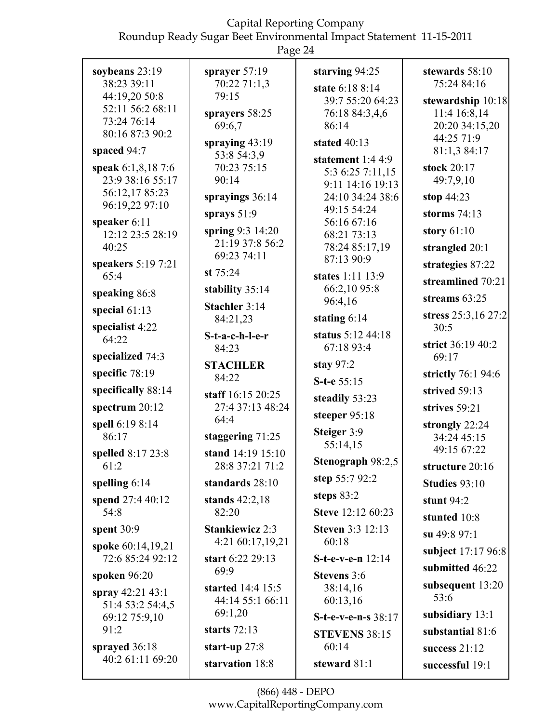| soybeans 23:19                        | sprayer $57:19$                            | starving 94:25                       | stewards 58:10              |
|---------------------------------------|--------------------------------------------|--------------------------------------|-----------------------------|
| 38:23 39:11                           | 70:22 71:1,3                               | state 6:18 8:14                      | 75:24 84:16                 |
| 44:19,20 50:8                         | 79:15                                      | 39:7 55:20 64:23                     | stewardship 10:18           |
| 52:11 56:2 68:11                      | sprayers 58:25                             | 76:18 84:3,4,6                       | 11:4 16:8,14                |
| 73:24 76:14                           | 69:6,7                                     | 86:14                                | 20:20 34:15,20              |
| 80:16 87:3 90:2                       | spraying $43:19$                           | stated $40:13$                       | 44:25 71:9                  |
| spaced 94:7                           | 53:8 54:3,9                                |                                      | 81:1,3 84:17                |
| speak 6:1,8,18 7:6                    | 70:23 75:15                                | statement $1:44:9$                   | stock 20:17                 |
| 23:9 38:16 55:17                      | 90:14                                      | 5:3 6:25 7:11,15                     | 49:7,9,10                   |
| 56:12,1785:23                         |                                            | 9:11 14:16 19:13<br>24:10 34:24 38:6 | stop $44:23$                |
| 96:19,22 97:10                        | sprayings 36:14                            | 49:15 54:24                          |                             |
| speaker 6:11                          | sprays $51:9$                              | 56:16 67:16                          | storms $74:13$              |
| 12:12 23:5 28:19                      | spring $9:3$ 14:20                         | 68:21 73:13                          | story $61:10$               |
| 40:25                                 | 21:19 37:8 56:2                            | 78:24 85:17,19                       | strangled 20:1              |
| speakers 5:19 7:21                    | 69:23 74:11                                | 87:13 90:9                           | strategies 87:22            |
| 65:4                                  | st $75:24$                                 | states 1:11 13:9                     |                             |
|                                       | stability 35:14                            | 66:2,10 95:8                         | streamlined 70:21           |
| speaking 86:8                         | Stachler 3:14                              | 96:4,16                              | streams $63:25$             |
| special $61:13$<br>specialist 4:22    | 84:21,23                                   | stating $6:14$                       | stress 25:3,16 27:2<br>30:5 |
| 64:22                                 | S-t-a-c-h-l-e-r                            | status 5:12 44:18                    |                             |
|                                       | 84:23                                      | 67:18 93:4                           | strict 36:19 40:2           |
| specialized 74:3                      | <b>STACHLER</b>                            | stay $97:2$                          | 69:17                       |
| specific 78:19                        | 84:22                                      | S-t-e 55:15                          | strictly 76:1 94:6          |
| specifically 88:14                    | staff 16:15 20:25                          | steadily 53:23                       | strived 59:13               |
| spectrum 20:12                        | 27:4 37:13 48:24<br>64:4                   | steeper 95:18                        | strives 59:21               |
| spell 6:19 8:14                       |                                            | Steiger 3:9                          | strongly 22:24              |
| 86:17                                 | staggering $71:25$                         | 55:14,15                             | 34:24 45:15                 |
| spelled 8:17 23:8                     | stand 14:19 15:10                          |                                      | 49:15 67:22                 |
| 61:2                                  | 28:8 37:21 71:2                            | Stenograph 98:2,5                    | structure 20:16             |
| spelling $6:14$                       | standards 28:10                            | step $55:792:2$                      | Studies 93:10               |
| spend 27:4 40:12                      | stands $42:2,18$                           | steps $83:2$                         | stunt $94:2$                |
| 54:8                                  | 82:20                                      | Steve 12:12 60:23                    | stunted 10:8                |
| spent $30:9$                          | <b>Stankiewicz 2:3</b><br>4:21 60:17,19,21 | <b>Steven 3:3 12:13</b><br>60:18     | su 49:8 97:1                |
| spoke 60:14,19,21<br>72:6 85:24 92:12 | start 6:22 29:13                           | S-t-e-v-e-n 12:14                    | subject 17:17 96:8          |
| spoken $96:20$                        | 69:9                                       | Stevens 3:6                          | submitted 46:22             |
| spray 42:21 43:1                      | started 14:4 15:5                          | 38:14,16                             | subsequent 13:20            |
| 51:4 53:2 54:4,5                      | 44:14 55:1 66:11                           | 60:13,16                             | 53:6                        |
| 69:12 75:9,10                         | 69:1,20                                    | S-t-e-v-e-n-s 38:17                  | subsidiary 13:1             |
| 91:2                                  | starts $72:13$                             | <b>STEVENS 38:15</b>                 | substantial 81:6            |
| sprayed 36:18                         | start-up $27:8$                            | 60:14                                | success $21:12$             |
| 40:2 61:11 69:20                      | starvation 18:8                            | steward 81:1                         | successful 19:1             |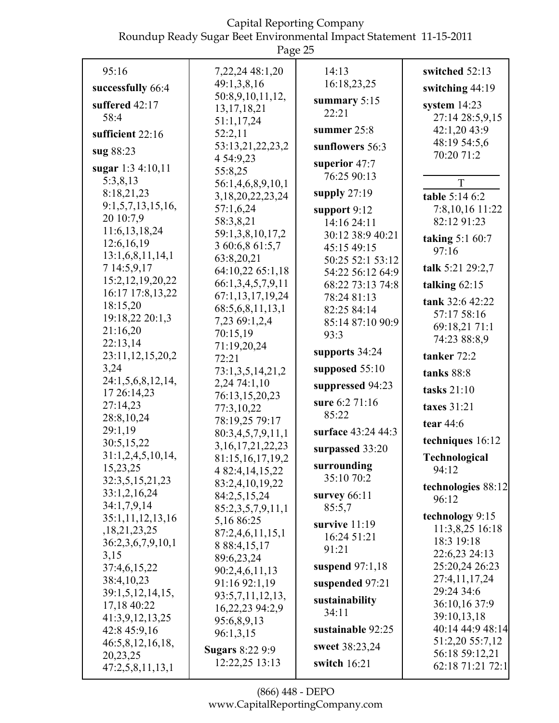| Page 25              |                                  |                    |                              |
|----------------------|----------------------------------|--------------------|------------------------------|
| 95:16                | 7, 22, 24 48: 1, 20              | 14:13              | switched 52:13               |
| successfully 66:4    | 49:1,3,8,16                      | 16:18,23,25        | switching 44:19              |
|                      | 50:8,9,10,11,12,                 | summary $5:15$     |                              |
| suffered 42:17       | 13, 17, 18, 21                   | 22:21              | system $14:23$               |
| 58:4                 | 51:1,17,24                       |                    | 27:14 28:5,9,15              |
| sufficient 22:16     | 52:2,11                          | summer $25:8$      | 42:1,20 43:9                 |
| sug 88:23            | 53:13,21,22,23,2                 | sunflowers 56:3    | 48:19 54:5,6<br>70:20 71:2   |
| sugar 1:3 4:10,11    | 4 54:9,23                        | superior $47:7$    |                              |
| 5:3,8,13             | 55:8,25                          | 76:25 90:13        |                              |
| 8:18,21,23           | 56:1,4,6,8,9,10,1                | supply $27:19$     | T                            |
| 9:1,5,7,13,15,16,    | 3, 18, 20, 22, 23, 24            |                    | table 5:14 6:2               |
| 20 10:7,9            | 57:1,6,24                        | support $9:12$     | 7:8,10,16 11:22              |
| 11:6, 13, 18, 24     | 58:3,8,21                        | 14:16 24:11        | 82:12 91:23                  |
| 12:6,16,19           | 59:1,3,8,10,17,2                 | 30:12 38:9 40:21   | taking $5:160:7$             |
| 13:1,6,8,11,14,1     | 3 60:6,8 61:5,7                  | 45:15 49:15        | 97:16                        |
| 7 14:5,9,17          | 63:8,20,21                       | 50:25 52:1 53:12   | talk 5:21 29:2,7             |
| 15:2, 12, 19, 20, 22 | 64:10,22 65:1,18                 | 54:22 56:12 64:9   |                              |
| 16:17 17:8,13,22     | 66:1,3,4,5,7,9,11                | 68:22 73:13 74:8   | talking $62:15$              |
| 18:15,20             | 67:1,13,17,19,24                 | 78:24 81:13        | tank 32:6 42:22              |
| 19:18,22 20:1,3      | 68:5,6,8,11,13,1                 | 82:25 84:14        | 57:17 58:16                  |
| 21:16,20             | 7,23 69:1,2,4                    | 85:14 87:10 90:9   | 69:18,21 71:1                |
| 22:13,14             | 70:15,19                         | 93:3               | 74:23 88:8,9                 |
| 23:11,12,15,20,2     | 71:19,20,24                      | supports 34:24     | tanker 72:2                  |
| 3,24                 | 72:21                            | supposed $55:10$   |                              |
| 24:1,5,6,8,12,14,    | 73:1,3,5,14,21,2<br>2,24 74:1,10 |                    | tanks 88:8                   |
| 17 26:14,23          | 76:13,15,20,23                   | suppressed 94:23   | tasks $21:10$                |
| 27:14,23             | 77:3,10,22                       | sure 6:2 71:16     | taxes 31:21                  |
| 28:8,10,24           | 78:19,25 79:17                   | 85:22              | tear 44:6                    |
| 29:1,19              | 80:3,4,5,7,9,11,1                | surface 43:24 44:3 |                              |
| 30:5,15,22           | 3, 16, 17, 21, 22, 23            | surpassed 33:20    | techniques 16:12             |
| 31:1,2,4,5,10,14,    | 81:15, 16, 17, 19, 2             |                    | Technological                |
| 15,23,25             | 4 82:4, 14, 15, 22               | surrounding        | 94:12                        |
| 32:3,5,15,21,23      | 83:2,4,10,19,22                  | 35:10 70:2         | technologies 88:12           |
| 33:1,2,16,24         | 84:2,5,15,24                     | survey $66:11$     | 96:12                        |
| 34:1,7,9,14          | 85:2,3,5,7,9,11,1                | 85:5,7             |                              |
| 35:1,11,12,13,16     | 5,1686:25                        | survive 11:19      | technology 9:15              |
| , 18, 21, 23, 25     | 87:2,4,6,11,15,1                 | 16:24 51:21        | 11:3,8,25 16:18              |
| 36:2,3,6,7,9,10,1    | 8 88:4,15,17                     | 91:21              | 18:3 19:18                   |
| 3,15                 | 89:6,23,24                       |                    | 22:6,23 24:13                |
| 37:4,6,15,22         | 90:2,4,6,11,13                   | suspend $97:1,18$  | 25:20,24 26:23               |
| 38:4,10,23           | 91:16 92:1,19                    | suspended 97:21    | 27:4,11,17,24<br>29:24 34:6  |
| 39:1,5,12,14,15,     | 93:5,7,11,12,13,                 | sustainability     |                              |
| 17,18 40:22          | 16,22,23 94:2,9                  | 34:11              | 36:10,16 37:9<br>39:10,13,18 |
| 41:3,9,12,13,25      | 95:6,8,9,13                      | sustainable 92:25  | 40:14 44:9 48:14             |
| 42:8 45:9,16         | 96:1,3,15                        |                    | 51:2,20 55:7,12              |
| 46:5,8,12,16,18,     | <b>Sugars</b> 8:22 9:9           | sweet 38:23,24     | 56:18 59:12,21               |
| 20, 23, 25           | 12:22,25 13:13                   | switch $16:21$     | 62:18 71:21 72:1             |
| 47:2,5,8,11,13,1     |                                  |                    |                              |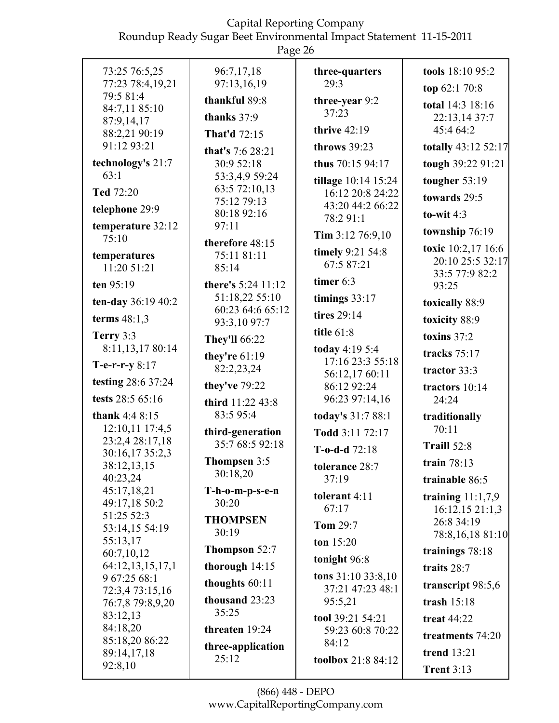| 73:25 76:5,25                            | 96:7,17,18                              | three-quarters                            | tools 18:10 95:2                                         |
|------------------------------------------|-----------------------------------------|-------------------------------------------|----------------------------------------------------------|
| 77:23 78:4,19,21                         | 97:13,16,19                             | 29:3                                      | top 62:1 70:8                                            |
| 79:5 81:4<br>84:7,11 85:10<br>87:9,14,17 | thankful 89:8<br>thanks $37:9$          | three-year 9:2<br>37:23<br>thrive $42:19$ | total 14:3 18:16<br>22:13,14 37:7<br>45:4 64:2           |
| 88:2,21 90:19<br>91:12 93:21             | <b>That'd 72:15</b>                     | throws 39:23                              | totally 43:12 52:17                                      |
| technology's 21:7<br>63:1                | that's 7:6 28:21<br>30:9 52:18          | thus 70:15 94:17                          | tough 39:22 91:21                                        |
|                                          | 53:3,4,9 59:24<br>63:5 72:10,13         | tillage 10:14 15:24                       | tougher 53:19                                            |
| <b>Ted 72:20</b><br>telephone 29:9       | 75:12 79:13<br>80:18 92:16              | 16:12 20:8 24:22<br>43:20 44:2 66:22      | towards 29:5<br>to-wit $4:3$                             |
| temperature 32:12<br>75:10               | 97:11                                   | 78:2 91:1<br>Tim $3:12$ 76:9,10           | township 76:19                                           |
| temperatures<br>11:20 51:21              | therefore 48:15<br>75:11 81:11<br>85:14 | timely 9:21 54:8<br>67:5 87:21            | toxic 10:2,17 16:6<br>20:10 25:5 32:17<br>33:5 77:9 82:2 |
| ten 95:19                                | there's 5:24 11:12                      | timer 6:3                                 | 93:25                                                    |
| ten-day 36:19 40:2                       | 51:18,22 55:10<br>60:23 64:6 65:12      | timings $33:17$                           | toxically 88:9                                           |
| terms $48:1,3$                           | 93:3,10 97:7                            | tires 29:14                               | toxicity 88:9                                            |
| Terry 3:3<br>8:11,13,17 80:14            | <b>They'll 66:22</b>                    | title 61:8<br>today 4:19 5:4              | toxins $37:2$<br>tracks $75:17$                          |
| T-e-r-r-y $8:17$                         | they're $61:19$<br>82:2,23,24           | 17:16 23:3 55:18                          | tractor 33:3                                             |
| testing 28:6 37:24                       | they've 79:22                           | 56:12,17 60:11<br>86:12 92:24             | tractors 10:14                                           |
| tests 28:5 65:16                         | third 11:22 43:8                        | 96:23 97:14,16                            | 24:24                                                    |
| thank 4:4 8:15<br>12:10,11 17:4,5        | 83:5 95:4                               | today's 31:7 88:1                         | traditionally<br>70:11                                   |
| 23:2,4 28:17,18                          | third-generation<br>35:7 68:5 92:18     | Todd 3:11 72:17                           | Traill 52:8                                              |
| 30:16,17 35:2,3                          | Thompsen 3:5                            | T-o-d-d $72:18$                           |                                                          |
| 38:12,13,15<br>40:23,24                  | 30:18,20                                | tolerance 28:7<br>37:19                   | train 78:13                                              |
| 45:17,18,21<br>49:17,18 50:2             | $T-h-o-m-p-s-e-n$<br>30:20              | tolerant 4:11<br>67:17                    | trainable 86:5<br>training $11:1,7,9$<br>16:12,1521:1,3  |
| 51:25 52:3<br>53:14,15 54:19             | <b>THOMPSEN</b><br>30:19                | <b>Tom 29:7</b>                           | 26:8 34:19<br>78:8,16,18 81:10                           |
| 55:13,17<br>60:7,10,12                   | <b>Thompson 52:7</b>                    | ton $15:20$                               | trainings 78:18                                          |
| 64:12,13,15,17,1                         | thorough $14:15$                        | tonight 96:8                              | traits 28:7                                              |
| 9 67:25 68:1                             | thoughts $60:11$                        | tons $31:1033:8,10$<br>37:21 47:23 48:1   | transcript 98:5,6                                        |
| 72:3,4 73:15,16<br>76:7,8 79:8,9,20      | thousand 23:23                          | 95:5,21                                   | trash $15:18$                                            |
| 83:12,13                                 | 35:25                                   | tool 39:21 54:21                          | <b>treat 44:22</b>                                       |
| 84:18,20                                 | threaten 19:24                          | 59:23 60:8 70:22                          | treatments 74:20                                         |
| 85:18,20 86:22<br>89:14,17,18            | three-application                       | 84:12                                     | trend 13:21                                              |
| 92:8,10                                  | 25:12                                   | toolbox 21:8 84:12                        | Trent $3:13$                                             |
|                                          |                                         |                                           |                                                          |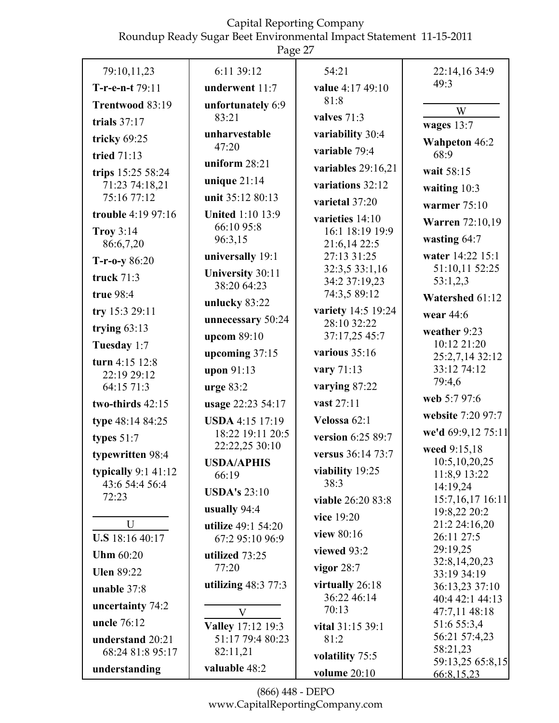|                                      | r age $27$                             |                               |                                    |
|--------------------------------------|----------------------------------------|-------------------------------|------------------------------------|
| 79:10,11,23                          | 6:11 39:12                             | 54:21                         | 22:14,16 34:9                      |
| T-r-e-n-t 79:11                      | underwent 11:7                         | value 4:17 49:10              | 49:3                               |
| Trentwood 83:19                      | unfortunately 6:9                      | 81:8                          | W                                  |
| trials $37:17$                       | 83:21                                  | valves $71:3$                 | wages $13:7$                       |
| tricky 69:25                         | unharvestable                          | variability 30:4              | <b>Wahpeton 46:2</b>               |
| tried 71:13                          | 47:20                                  | variable 79:4                 | 68:9                               |
| trips 15:25 58:24                    | uniform $28:21$                        | variables $29:16,21$          | wait 58:15                         |
| 71:23 74:18,21                       | unique $21:14$                         | variations 32:12              | waiting $10:3$                     |
| 75:16 77:12                          | unit 35:12 80:13                       | varietal 37:20                | warmer $75:10$                     |
| trouble 4:19 97:16                   | <b>United 1:10 13:9</b>                | varieties 14:10               | <b>Warren</b> 72:10,19             |
| <b>Troy 3:14</b>                     | 66:10 95:8<br>96:3,15                  | 16:1 18:19 19:9               | wasting $64:7$                     |
| 86:6,7,20                            |                                        | 21:6,14 22:5                  |                                    |
| $T-r-0-y86:20$                       | universally 19:1                       | 27:13 31:25<br>32:3,5 33:1,16 | water 14:22 15:1<br>51:10,11 52:25 |
| truck $71:3$                         | <b>University 30:11</b><br>38:20 64:23 | 34:2 37:19,23                 | 53:1,2,3                           |
| true 98:4                            | unlucky 83:22                          | 74:3,5 89:12                  | Watershed 61:12                    |
| try 15:3 29:11                       |                                        | variety 14:5 19:24            | wear 44:6                          |
| trying $63:13$                       | unnecessary 50:24                      | 28:10 32:22<br>37:17,25 45:7  | weather 9:23                       |
| Tuesday 1:7                          | upcom 89:10                            | various $35:16$               | 10:12 21:20                        |
| turn 4:15 12:8                       | upcoming 37:15                         |                               | 25:2,7,14 32:12                    |
| 22:19 29:12                          | upon 91:13                             | vary 71:13                    | 33:12 74:12<br>79:4,6              |
| 64:15 71:3                           | urge $83:2$                            | varying 87:22                 | web 5:7 97:6                       |
| two-thirds 42:15                     | usage 22:23 54:17                      | vast 27:11                    | website 7:20 97:7                  |
| type 48:14 84:25                     | <b>USDA</b> 4:15 17:19                 | Velossa 62:1                  |                                    |
| types $51:7$                         | 18:22 19:11 20:5<br>22:22,25 30:10     | version 6:25 89:7             | we'd 69:9,12 75:11                 |
| typewritten 98:4                     | <b>USDA/APHIS</b>                      | versus 36:14 73:7             | weed 9:15,18<br>10:5,10,20,25      |
| typically $9:1$ 41:12                | 66:19                                  | viability 19:25               | 11:8,9 13:22                       |
| 43:6 54:4 56:4                       | <b>USDA's 23:10</b>                    | 38:3                          | 14:19,24                           |
| 72:23                                | usually $94:4$                         | viable 26:20 83:8             | 15:7,16,17 16:11                   |
| U                                    | utilize 49:1 54:20                     | vice 19:20                    | 19:8,22 20:2<br>21:2 24:16,20      |
| <b>U.S</b> 18:16 40:17               | 67:2 95:10 96:9                        | <b>view</b> 80:16             | 26:11 27:5                         |
| <b>Uhm 60:20</b>                     | utilized 73:25                         | viewed 93:2                   | 29:19,25                           |
| <b>Ulen 89:22</b>                    | 77:20                                  | vigor $28:7$                  | 32:8,14,20,23<br>33:19 34:19       |
| unable 37:8                          | utilizing $48:377:3$                   | virtually 26:18               | 36:13,23 37:10                     |
|                                      |                                        | 36:22 46:14                   | 40:4 42:1 44:13                    |
| uncertainty 74:2                     | $\mathbf{V}$                           | 70:13                         | 47:7,11 48:18                      |
| uncle 76:12                          | Valley 17:12 19:3                      | vital 31:15 39:1              | 51:6 55:3,4<br>56:21 57:4,23       |
| understand 20:21<br>68:24 81:8 95:17 | 51:17 79:4 80:23<br>82:11,21           | 81:2                          | 58:21,23                           |
|                                      | valuable 48:2                          | volatility 75:5               | 59:13,25 65:8,15                   |
| understanding                        |                                        | volume 20:10                  | 66:8,15,23                         |

(866) 448 - DEPO www.CapitalReportingCompany.com